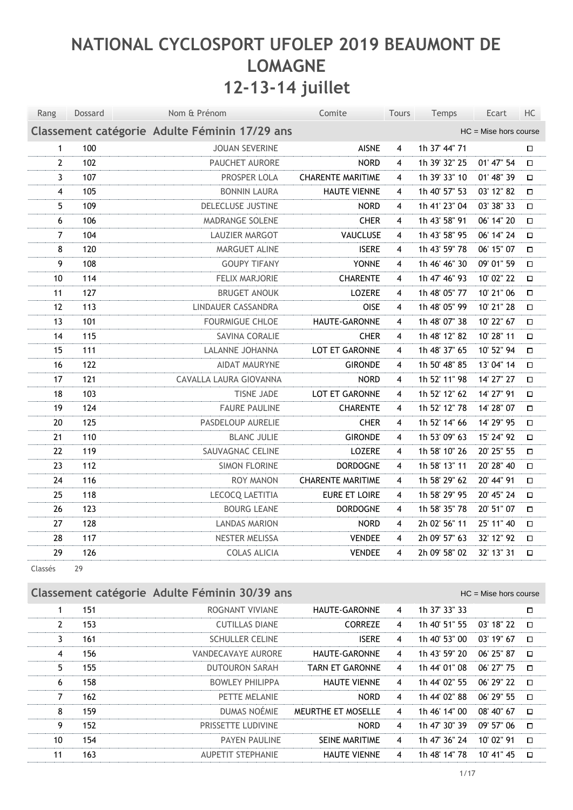# **NATIONAL CYCLOSPORT UFOLEP 2019 BEAUMONT DE LOMAGNE 12-13-14 juillet**

| Rang             | Dossard | Nom & Prénom                                  | Comite                   | Tours | Temps         | Ecart                   | HC     |
|------------------|---------|-----------------------------------------------|--------------------------|-------|---------------|-------------------------|--------|
|                  |         | Classement catégorie Adulte Féminin 17/29 ans |                          |       |               | $HC =$ Mise hors course |        |
| $\mathbf{1}$     | 100     | <b>JOUAN SEVERINE</b>                         | <b>AISNE</b>             | 4     | 1h 37' 44" 71 |                         | $\Box$ |
| $\overline{2}$   | 102     | PAUCHET AURORE                                | <b>NORD</b>              | 4     | 1h 39' 32" 25 | 01' 47" 54              | $\Box$ |
| 3                | 107     | PROSPER LOLA                                  | <b>CHARENTE MARITIME</b> | 4     | 1h 39' 33" 10 | 01' 48" 39              | $\Box$ |
| $\overline{4}$   | 105     | <b>BONNIN LAURA</b>                           | <b>HAUTE VIENNE</b>      | 4     | 1h 40' 57" 53 | 03' 12" 82              | $\Box$ |
| 5                | 109     | DELECLUSE JUSTINE                             | <b>NORD</b>              | 4     | 1h 41' 23" 04 | 03' 38" 33              | $\Box$ |
| $\boldsymbol{6}$ | 106     | MADRANGE SOLENE                               | <b>CHER</b>              | 4     | 1h 43' 58" 91 | 06' 14" 20              | $\Box$ |
| $\overline{7}$   | 104     | LAUZIER MARGOT                                | VAUCLUSE                 | 4     | 1h 43' 58" 95 | 06' 14" 24              | $\Box$ |
| 8                | 120     | MARGUET ALINE                                 | <b>ISERE</b>             | 4     | 1h 43' 59" 78 | 06' 15" 07              | $\Box$ |
| 9                | 108     | <b>GOUPY TIFANY</b>                           | <b>YONNE</b>             | 4     | 1h 46' 46" 30 | 09' 01" 59              | $\Box$ |
| 10               | 114     | <b>FELIX MARJORIE</b>                         | <b>CHARENTE</b>          | 4     | 1h 47' 46" 93 | 10' 02" 22              | $\Box$ |
| 11               | 127     | <b>BRUGET ANOUK</b>                           | LOZERE                   | 4     | 1h 48' 05" 77 | 10' 21" 06              | $\Box$ |
| 12               | 113     | LINDAUER CASSANDRA                            | <b>OISE</b>              | 4     | 1h 48' 05" 99 | 10' 21" 28              | $\Box$ |
| 13               | 101     | <b>FOURMIGUE CHLOE</b>                        | HAUTE-GARONNE            | 4     | 1h 48' 07" 38 | 10' 22" 67              | $\Box$ |
| 14               | 115     | SAVINA CORALIE                                | <b>CHER</b>              | 4     | 1h 48' 12" 82 | 10' 28" 11              | $\Box$ |
| 15               | 111     | LALANNE JOHANNA                               | LOT ET GARONNE           | 4     | 1h 48' 37" 65 | 10' 52" 94              | $\Box$ |
| 16               | 122     | <b>AIDAT MAURYNE</b>                          | <b>GIRONDE</b>           | 4     | 1h 50' 48" 85 | 13' 04" 14              | $\Box$ |
| 17               | 121     | CAVALLA LAURA GIOVANNA                        | <b>NORD</b>              | 4     | 1h 52' 11" 98 | 14' 27" 27              | $\Box$ |
| 18               | 103     | <b>TISNE JADE</b>                             | LOT ET GARONNE           | 4     | 1h 52' 12" 62 | 14' 27" 91              | $\Box$ |
| 19               | 124     | <b>FAURE PAULINE</b>                          | <b>CHARENTE</b>          | 4     | 1h 52' 12" 78 | 14' 28" 07              | $\Box$ |
| 20               | 125     | PASDELOUP AURELIE                             | <b>CHER</b>              | 4     | 1h 52' 14" 66 | 14' 29" 95              | $\Box$ |
| 21               | 110     | <b>BLANC JULIE</b>                            | <b>GIRONDE</b>           | 4     | 1h 53' 09" 63 | 15' 24" 92              | $\Box$ |
| 22               | 119     | SAUVAGNAC CELINE                              | LOZERE                   | 4     | 1h 58' 10" 26 | 20' 25" 55              | $\Box$ |
| 23               | 112     | <b>SIMON FLORINE</b>                          | <b>DORDOGNE</b>          | 4     | 1h 58' 13" 11 | 20' 28" 40              | $\Box$ |
| 24               | 116     | <b>ROY MANON</b>                              | <b>CHARENTE MARITIME</b> | 4     | 1h 58' 29" 62 | 20' 44" 91              | $\Box$ |
| 25               | 118     | LECOCQ LAETITIA                               | EURE ET LOIRE            | 4     | 1h 58' 29" 95 | 20' 45" 24              | $\Box$ |
| 26               | 123     | <b>BOURG LEANE</b>                            | <b>DORDOGNE</b>          | 4     | 1h 58' 35" 78 | 20' 51" 07              | $\Box$ |
| 27               | 128     | <b>LANDAS MARION</b>                          | <b>NORD</b>              | 4     | 2h 02' 56" 11 | 25' 11" 40              | $\Box$ |
| 28               | 117     | NESTER MELISSA                                | <b>VENDEE</b>            | 4     | 2h 09' 57" 63 | 32' 12" 92              | $\Box$ |
| 29               | 126     | <b>COLAS ALICIA</b>                           | <b>VENDEE</b>            | 4     | 2h 09' 58" 02 | 32' 13" 31              | $\Box$ |

Classés 29

#### **Classement catégorie Adulte Féminin 30/39 ans** Advanced Management Catégorie Adulte Féminin 30/39 ans

|               | 151 | ROGNANT VIVIANE           | HAUTE-GARONNE          | 4              | 1h 37' 33" 33 |              | $\Box$ |
|---------------|-----|---------------------------|------------------------|----------------|---------------|--------------|--------|
| $\mathcal{P}$ | 153 | <b>CUTILLAS DIANE</b>     | <b>CORREZE</b>         | $\overline{4}$ | 1h 40' 51" 55 | 03' 18" 22   | $\Box$ |
| 3.            | 161 | <b>SCHULLER CELINE</b>    | <b>ISERE</b>           | 4              | 1h 40' 53" 00 | $03'$ 19" 67 | $\Box$ |
| 4             | 156 | VANDECAVAYE AURORE        | <b>HAUTE-GARONNE</b>   | 4              | 1h 43' 59" 20 | 06' 25" 87   | $\Box$ |
| 5.            | 155 | <b>DUTOURON SARAH</b>     | <b>TARN ET GARONNE</b> | 4              | 1h 44' 01" 08 | 06' 27" 75   | $\Box$ |
| 6             | 158 | <b>BOWLEY PHILIPPA</b>    | <b>HAUTE VIENNE</b>    | 4              | 1h 44' 02" 55 | 06' 29" 22   | $\Box$ |
| 7             | 162 | PETTE MELANIE             | <b>NORD</b>            | $\overline{4}$ | 1h 44' 02" 88 | 06' 29" 55   | $\Box$ |
| 8             | 159 | DUMAS NOÉMIE              | MEURTHE ET MOSELLE     | 4              | 1h 46' 14" 00 | 08' 40" 67   | $\Box$ |
| 9             | 152 | <b>PRISSETTE LUDIVINE</b> | <b>NORD</b>            | $\overline{4}$ | 1h 47' 30" 39 | 09' 57" 06   | $\Box$ |
| 10            | 154 | <b>PAYEN PAULINE</b>      | <b>SEINE MARITIME</b>  | 4              | 1h 47' 36" 24 | 10' 02" 91   | $\Box$ |
| 11            | 163 | <b>AUPETIT STEPHANIE</b>  | <b>HAUTE VIENNE</b>    | 4              | 1h 48' 14" 78 | 10' 41" 45   | $\Box$ |
|               |     |                           |                        |                |               |              |        |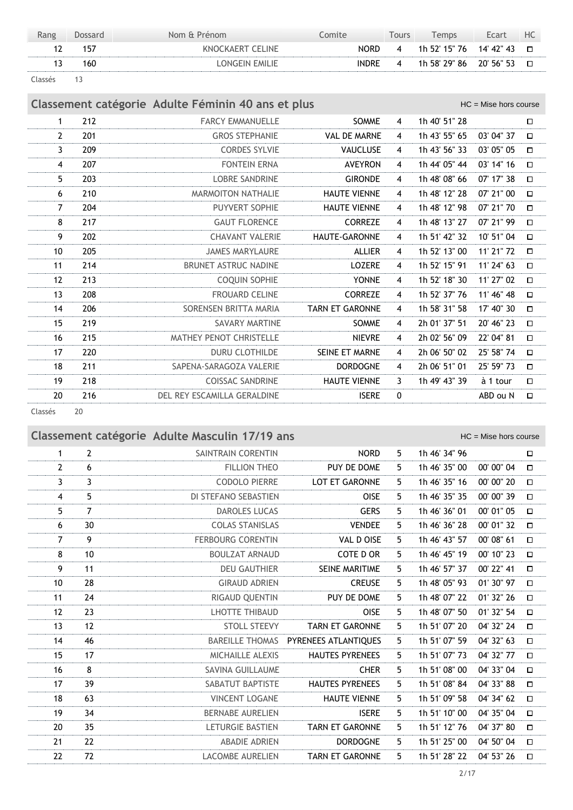| Rang | Dossard | Nom & Prénom     | .omite       | Tours | <b>Femps</b>             | Ecart | HC |
|------|---------|------------------|--------------|-------|--------------------------|-------|----|
|      | 157     | KNOCKAERT CELINE | NORD         | 4     | 1h 52' 15" 76 14' 42" 43 |       |    |
|      | 160     | LONGEIN EMILIE   | <b>INDRE</b> | 4     | 1h 58' 29" 86 20' 56" 53 |       |    |

Classés 13

**Classement catégorie Adulte Féminin 40 ans et plus** Manuel Manuel Manuel HC = Mise hors course

1 212 **FARCY EMMANUELLE SOMME** 4 1h 40' 51" 28  $\Box$ 2 201 GROS STEPHANIE VAL DE MARNE 4 1h 43' 55'' 65 03' 04'' 37  $\Box$ 3 209 CORDES SYLVIE VAUCLUSE 4 1h 43' 56'' 33 03' 05'' 05  $\Box$ 4 207 FONTEIN ERNA AVEYRON 4 1h 44' 05'' 44 03' 14'' 16  $\Box$ 5 203 LOBRE SANDRINE GIRONDE 4 1h 48' 08'' 66 07' 17'' 38  $\Box$ 6 210 MARMOITON NATHALIE HAUTE VIENNE 4 1h 48' 12'' 28 07' 21'' 00  $\Box$ 7 204 PUYVERT SOPHIE HAUTE VIENNE 4 1h 48' 12'' 98 07' 21'' 70  $\Box$ 8 217 GAUT FLORENCE CORREZE 4 1h 48' 13" 27 07' 21" 99  $\Box$ 9 202 CHAVANT VALERIE HAUTE-GARONNE 4 1h 51' 42'' 32 10' 51'' 04  $\Box$ 10 205 JAMES MARYLAURE ALLIER 4 1h 52' 13'' 00 11' 21'' 72  $\Box$ 11 214 BRUNET ASTRUC NADINE LOZERE 4 1h 52' 15'' 91 11' 24'' 63  $\Box$ 12 213 COQUIN SOPHIE YONNE 4 1h 52' 18'' 30 11' 27'' 02  $\Box$ 13 208 FROUARD CELINE CORREZE 4 1h 52' 37'' 76 11' 46'' 48  $\Box$ 14 206 SORENSEN BRITTA MARIA TARN ET GARONNE 4 1h 58' 31'' 58 17' 40'' 30  $\Box$ 15 219 SAVARY MARTINE SOMME 4 2h 01' 37'' 51 20' 46'' 23  $\Box$ 16 215 MATHEY PENOT CHRISTELLE NIEVRE 4 2h 02' 56'' 09 22' 04'' 81  $\Box$ 17 220 DURU CLOTHILDE SEINE ET MARNE 4 2h 06' 50'' 02 25' 58'' 74  $\Box$ 18 211 SAPENA-SARAGOZA VALERIE DORDOGNE 4 2h 06' 51'' 01 25' 59'' 73  $\Box$ 19 218 COISSAC SANDRINE HAUTE VIENNE 3 1h 49' 43'' 39 à 1 tour  $\Box$ 20 216 DEL REY ESCAMILLA GERALDINE **ISERE 0** ABD ou N  $\Box$ 

Classés 20

## **Classement catégorie Adulte Masculin 17/19 ans** Masculin 1700 and Masculin HC = Mise hors course

| $\mathbf 1$    | $\overline{2}$   | SAINTRAIN CORENTIN       | <b>NORD</b>            | 5  | 1h 46' 34" 96 |            | $\Box$ |
|----------------|------------------|--------------------------|------------------------|----|---------------|------------|--------|
| $\overline{2}$ | 6                | <b>FILLION THEO</b>      | PUY DE DOME            | 5. | 1h 46' 35" 00 | 00' 00" 04 | $\Box$ |
| 3              | $\overline{3}$   | <b>CODOLO PIERRE</b>     | <b>LOT ET GARONNE</b>  | 5. | 1h 46' 35" 16 | 00' 00" 20 | $\Box$ |
| $\overline{4}$ | 5                | DI STEFANO SEBASTIEN     | <b>OISE</b>            | 5  | 1h 46' 35" 35 | 00' 00" 39 | $\Box$ |
| 5              | $\overline{7}$   | <b>DAROLES LUCAS</b>     | <b>GERS</b>            | 5. | 1h 46' 36" 01 | 00' 01" 05 | $\Box$ |
| 6              | 30               | <b>COLAS STANISLAS</b>   | <b>VENDEE</b>          | 5  | 1h 46' 36" 28 | 00' 01" 32 | $\Box$ |
| $\overline{7}$ | 9                | <b>FERBOURG CORENTIN</b> | VAL D OISE             | 5  | 1h 46' 43" 57 | 00' 08" 61 | $\Box$ |
| 8              | 10 <sup>10</sup> | <b>BOULZAT ARNAUD</b>    | COTE D OR              | 5. | 1h 46' 45" 19 | 00' 10" 23 | $\Box$ |
| 9              | 11               | <b>DEU GAUTHIER</b>      | <b>SEINE MARITIME</b>  | 5. | 1h 46' 57" 37 | 00' 22" 41 | $\Box$ |
| 10             | 28               | <b>GIRAUD ADRIEN</b>     | <b>CREUSE</b>          | 5. | 1h 48' 05" 93 | 01' 30" 97 | $\Box$ |
| 11             | 24               | RIGAUD QUENTIN           | PUY DE DOME            | 5  | 1h 48' 07" 22 | 01' 32" 26 | $\Box$ |
| 12             | 23               | <b>LHOTTE THIBAUD</b>    | <b>OISE</b>            | 5  | 1h 48' 07" 50 | 01' 32" 54 | $\Box$ |
| 13             | 12               | <b>STOLL STEEVY</b>      | <b>TARN ET GARONNE</b> | 5. | 1h 51' 07" 20 | 04' 32" 24 | $\Box$ |
| 14             | 46               | <b>BAREILLE THOMAS</b>   | PYRENEES ATLANTIOUES   | 5. | 1h 51' 07" 59 | 04' 32" 63 | $\Box$ |
| 15             | 17               | MICHAILLE ALEXIS         | <b>HAUTES PYRENEES</b> | 5. | 1h 51' 07" 73 | 04' 32" 77 | $\Box$ |
| 16             | 8                | <b>SAVINA GUILLAUME</b>  | <b>CHER</b>            | 5. | 1h 51' 08" 00 | 04' 33" 04 | $\Box$ |
| 17             | 39               | SABATUT BAPTISTE         | <b>HAUTES PYRENEES</b> | 5. | 1h 51' 08" 84 | 04' 33" 88 | $\Box$ |
| 18             | 63               | <b>VINCENT LOGANE</b>    | <b>HAUTE VIENNE</b>    | 5  | 1h 51' 09" 58 | 04' 34" 62 | $\Box$ |
| 19             | 34               | <b>BERNABE AURELIEN</b>  | <b>ISERE</b>           | 5. | 1h 51' 10" 00 | 04' 35" 04 | $\Box$ |
| 20             | 35               | LETURGIE BASTIEN         | <b>TARN ET GARONNE</b> | 5. | 1h 51' 12" 76 | 04' 37" 80 | $\Box$ |
| 21             | 22               | <b>ABADIE ADRIEN</b>     | <b>DORDOGNE</b>        | 5. | 1h 51' 25" 00 | 04' 50" 04 | $\Box$ |
| 22             | 72               | <b>LACOMBE AURELIEN</b>  | <b>TARN ET GARONNE</b> | 5  | 1h 51' 28" 22 | 04' 53" 26 | $\Box$ |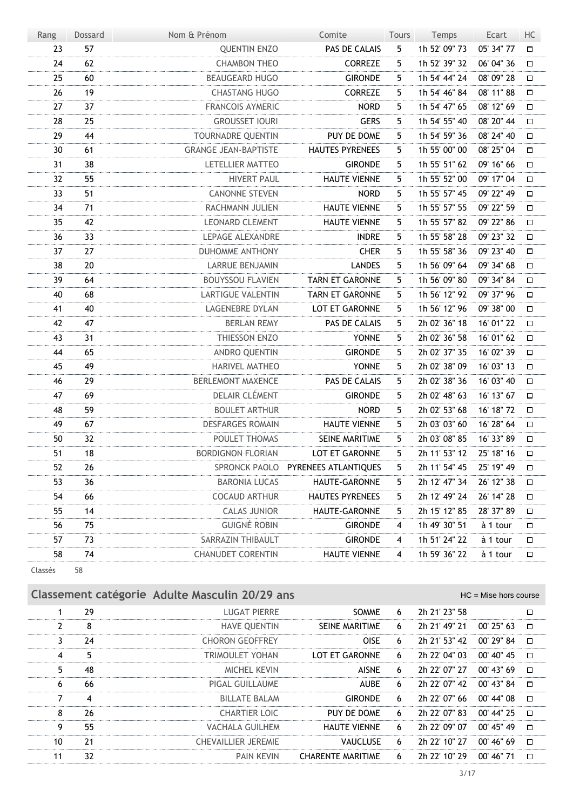| Rang | Dossard | Nom & Prénom                | Comite                             | <b>Tours</b> | Temps         | Ecart      | HC     |
|------|---------|-----------------------------|------------------------------------|--------------|---------------|------------|--------|
| 23   | 57      | <b>QUENTIN ENZO</b>         | PAS DE CALAIS                      | 5            | 1h 52' 09" 73 | 05' 34" 77 | $\Box$ |
| 24   | 62      | <b>CHAMBON THEO</b>         | <b>CORREZE</b>                     | 5            | 1h 52' 39" 32 | 06' 04" 36 | □      |
| 25   | 60      | <b>BEAUGEARD HUGO</b>       | <b>GIRONDE</b>                     | 5            | 1h 54' 44" 24 | 08' 09" 28 | □      |
| 26   | 19      | <b>CHASTANG HUGO</b>        | <b>CORREZE</b>                     | 5.           | 1h 54' 46" 84 | 08' 11" 88 | □      |
| 27   | 37      | <b>FRANCOIS AYMERIC</b>     | <b>NORD</b>                        | 5            | 1h 54' 47" 65 | 08' 12" 69 | □      |
| 28   | 25      | <b>GROUSSET IOURI</b>       | <b>GERS</b>                        | 5            | 1h 54' 55" 40 | 08' 20" 44 | $\Box$ |
| 29   | 44      | TOURNADRE QUENTIN           | PUY DE DOME                        | 5            | 1h 54' 59" 36 | 08' 24" 40 | О      |
| 30   | 61      | <b>GRANGE JEAN-BAPTISTE</b> | <b>HAUTES PYRENEES</b>             | 5            | 1h 55' 00" 00 | 08' 25" 04 | $\Box$ |
| 31   | 38      | LETELLIER MATTEO            | <b>GIRONDE</b>                     | 5            | 1h 55' 51" 62 | 09' 16" 66 | П      |
| 32   | 55      | <b>HIVERT PAUL</b>          | <b>HAUTE VIENNE</b>                | 5            | 1h 55' 52" 00 | 09' 17" 04 | $\Box$ |
| 33   | 51      | <b>CANONNE STEVEN</b>       | <b>NORD</b>                        | 5            | 1h 55' 57" 45 | 09' 22" 49 | □      |
| 34   | 71      | RACHMANN JULIEN             | <b>HAUTE VIENNE</b>                | 5            | 1h 55' 57" 55 | 09' 22" 59 | О      |
| 35   | 42      | <b>LEONARD CLEMENT</b>      | <b>HAUTE VIENNE</b>                | 5            | 1h 55' 57" 82 | 09' 22" 86 | о      |
| 36   | 33      | LEPAGE ALEXANDRE            | <b>INDRE</b>                       | 5            | 1h 55' 58" 28 | 09' 23" 32 | $\Box$ |
| 37   | 27      | <b>DUHOMME ANTHONY</b>      | <b>CHER</b>                        | 5            | 1h 55' 58" 36 | 09' 23" 40 | □      |
| 38   | 20      | <b>LARRUE BENJAMIN</b>      | <b>LANDES</b>                      | 5.           | 1h 56' 09" 64 | 09' 34" 68 | $\Box$ |
| 39   | 64      | <b>BOUYSSOU FLAVIEN</b>     | <b>TARN ET GARONNE</b>             | 5            | 1h 56' 09" 80 | 09' 34" 84 | о      |
| 40   | 68      | <b>LARTIGUE VALENTIN</b>    | <b>TARN ET GARONNE</b>             | 5            | 1h 56' 12" 92 | 09' 37" 96 | $\Box$ |
| 41   | 40      | <b>LAGENEBRE DYLAN</b>      | LOT ET GARONNE                     | 5            | 1h 56' 12" 96 | 09' 38" 00 | □      |
| 42   | 47      | <b>BERLAN REMY</b>          | PAS DE CALAIS                      | 5            | 2h 02' 36" 18 | 16' 01" 22 | $\Box$ |
| 43   | 31      | THIESSON ENZO               | <b>YONNE</b>                       | 5            | 2h 02' 36" 58 | 16' 01" 62 | о      |
| 44   | 65      | ANDRO QUENTIN               | <b>GIRONDE</b>                     | 5            | 2h 02' 37" 35 | 16' 02" 39 | $\Box$ |
| 45   | 49      | <b>HARIVEL MATHEO</b>       | <b>YONNE</b>                       | 5            | 2h 02' 38" 09 | 16' 03" 13 | П      |
| 46   | 29      | <b>BERLEMONT MAXENCE</b>    | PAS DE CALAIS                      | 5.           | 2h 02' 38" 36 | 16' 03" 40 | $\Box$ |
| 47   | 69      | DELAIR CLÉMENT              | <b>GIRONDE</b>                     | 5            | 2h 02' 48" 63 | 16' 13" 67 | П      |
| 48   | 59      | <b>BOULET ARTHUR</b>        | <b>NORD</b>                        | 5            | 2h 02' 53" 68 | 16' 18" 72 | П      |
| 49   | 67      | <b>DESFARGES ROMAIN</b>     | <b>HAUTE VIENNE</b>                | 5            | 2h 03' 03" 60 | 16' 28" 64 | П      |
| 50   | 32      | POULET THOMAS               | SEINE MARITIME                     | 5.           | 2h 03' 08" 85 | 16' 33" 89 | П      |
| 51   | 18      | <b>BORDIGNON FLORIAN</b>    | LOT ET GARONNE                     | 5            | 2h 11' 53" 12 | 25' 18" 16 | П      |
| 52   | 26      |                             | SPRONCK PAOLO PYRENEES ATLANTIQUES | 5            | 2h 11' 54" 45 | 25' 19" 49 | $\Box$ |
| 53   | 36      | <b>BARONIA LUCAS</b>        | HAUTE-GARONNE                      | 5            | 2h 12' 47" 34 | 26' 12" 38 | Д      |
| 54   | 66      | <b>COCAUD ARTHUR</b>        | <b>HAUTES PYRENEES</b>             | 5            | 2h 12' 49" 24 | 26' 14" 28 | □      |
| 55   | 14      | CALAS JUNIOR                | HAUTE-GARONNE                      | 5            | 2h 15' 12" 85 | 28' 37" 89 | $\Box$ |
| 56   | 75      | <b>GUIGNÉ ROBIN</b>         | <b>GIRONDE</b>                     | 4            | 1h 49' 30" 51 | à 1 tour   | $\Box$ |
| 57   | 73      | SARRAZIN THIBAULT           | <b>GIRONDE</b>                     | 4            | 1h 51' 24" 22 | à 1 tour   | 口      |
| 58   | 74      | <b>CHANUDET CORENTIN</b>    | <b>HAUTE VIENNE</b>                | 4            | 1h 59' 36" 22 | à 1 tour   | $\Box$ |
|      |         |                             |                                    |              |               |            |        |

Classés 58

|    |    | Classement catégorie Adulte Masculin 20/29 ans |                          |   |               | $HC =$ Mise hors course |        |
|----|----|------------------------------------------------|--------------------------|---|---------------|-------------------------|--------|
|    | 29 | <b>LUGAT PIERRE</b>                            | SOMME                    | 6 | 2h 21' 23" 58 |                         | $\Box$ |
| 2  | 8  | <b>HAVE QUENTIN</b>                            | SEINE MARITIME           | 6 | 2h 21' 49" 21 | $00'$ 25" 63            | $\Box$ |
| 3  | 24 | <b>CHORON GEOFFREY</b>                         | <b>OISE</b>              | 6 | 2h 21' 53" 42 | 00' 29" 84              | $\Box$ |
| 4  | 5  | <b>TRIMOULET YOHAN</b>                         | <b>LOT ET GARONNE</b>    | 6 | 2h 22' 04" 03 | $00'$ 40" 45            | $\Box$ |
| 5  | 48 | <b>MICHEL KEVIN</b>                            | <b>AISNE</b>             | 6 | 2h 22' 07" 27 | $00'$ 43" 69            | $\Box$ |
| 6  | 66 | PIGAL GUILLAUME                                | <b>AUBE</b>              | 6 | 2h 22' 07" 42 | 00' 43" 84              | $\Box$ |
| 7  | 4  | <b>BILLATE BALAM</b>                           | <b>GIRONDE</b>           | 6 | 2h 22' 07" 66 | $00'$ 44" $08$          | $\Box$ |
| 8  | 26 | <b>CHARTIER LOIC</b>                           | PUY DE DOME              | 6 | 2h 22' 07" 83 | $00'$ 44" 25            | $\Box$ |
| 9  | 55 | <b>VACHALA GUILHEM</b>                         | <b>HAUTE VIENNE</b>      | 6 | 2h 22' 09" 07 | $00'$ 45" 49            | $\Box$ |
| 10 | 21 | <b>CHEVAILLIER JEREMIE</b>                     | <b>VAUCLUSE</b>          | 6 | 2h 22' 10" 27 | 00' 46'' 69             | $\Box$ |
| 11 | 32 | <b>PAIN KEVIN</b>                              | <b>CHARENTE MARITIME</b> | 6 | 2h 22' 10" 29 | $00'$ 46" 71            | $\Box$ |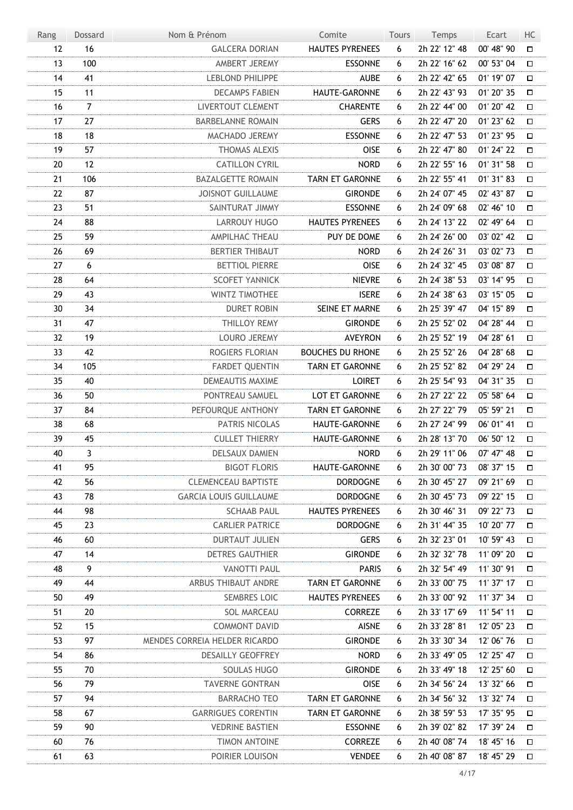| Rang | Dossard        | Nom & Prénom                  | Comite                  | Tours | Temps         | Ecart      | HC     |
|------|----------------|-------------------------------|-------------------------|-------|---------------|------------|--------|
| 12   | 16             | <b>GALCERA DORIAN</b>         | <b>HAUTES PYRENEES</b>  | 6     | 2h 22' 12" 48 | 00' 48" 90 | $\Box$ |
| 13   | 100            | AMBERT JEREMY                 | <b>ESSONNE</b>          | 6     | 2h 22' 16" 62 | 00' 53" 04 | □      |
| 14   | 41             | <b>LEBLOND PHILIPPE</b>       | <b>AUBE</b>             | 6     | 2h 22' 42" 65 | 01' 19" 07 | О      |
| 15   | 11             | <b>DECAMPS FABIEN</b>         | HAUTE-GARONNE           | 6     | 2h 22' 43" 93 | 01' 20" 35 | □      |
| 16   | $\overline{7}$ | LIVERTOUT CLEMENT             | <b>CHARENTE</b>         | 6     | 2h 22' 44" 00 | 01' 20" 42 | □      |
| 17   | 27             | <b>BARBELANNE ROMAIN</b>      | <b>GERS</b>             | 6     | 2h 22' 47" 20 | 01' 23" 62 | □      |
| 18   | 18             | MACHADO JEREMY                | <b>ESSONNE</b>          | 6     | 2h 22' 47" 53 | 01' 23" 95 | $\Box$ |
| 19   | 57             | <b>THOMAS ALEXIS</b>          | <b>OISE</b>             | 6     | 2h 22' 47" 80 | 01' 24" 22 | □      |
| 20   | 12             | <b>CATILLON CYRIL</b>         | <b>NORD</b>             | 6     | 2h 22' 55" 16 | 01' 31" 58 | $\Box$ |
| 21   | 106            | <b>BAZALGETTE ROMAIN</b>      | <b>TARN ET GARONNE</b>  | 6     | 2h 22' 55" 41 | 01' 31" 83 | □      |
| 22   | 87             | <b>JOISNOT GUILLAUME</b>      | <b>GIRONDE</b>          | 6     | 2h 24' 07" 45 | 02' 43" 87 | □      |
| 23   | 51             | SAINTURAT JIMMY               | <b>ESSONNE</b>          | 6     | 2h 24' 09" 68 | 02' 46" 10 | $\Box$ |
| 24   | 88             | <b>LARROUY HUGO</b>           | <b>HAUTES PYRENEES</b>  | 6     | 2h 24' 13" 22 | 02' 49" 64 | $\Box$ |
| 25   | 59             | AMPILHAC THEAU                | PUY DE DOME             | 6     | 2h 24' 26" 00 | 03' 02" 42 | □      |
| 26   | 69             | <b>BERTIER THIBAUT</b>        | <b>NORD</b>             | 6     | 2h 24' 26" 31 | 03' 02" 73 | $\Box$ |
| 27   | 6              | <b>BETTIOL PIERRE</b>         | OISE                    | 6     | 2h 24' 32" 45 | 03' 08" 87 | □      |
| 28   | 64             | <b>SCOFET YANNICK</b>         | <b>NIEVRE</b>           | 6     | 2h 24' 38" 53 | 03' 14" 95 | $\Box$ |
| 29   | 43             | <b>WINTZ TIMOTHEE</b>         | <b>ISERE</b>            | 6     | 2h 24' 38" 63 | 03' 15" 05 | $\Box$ |
| 30   | 34             | <b>DURET ROBIN</b>            | SEINE ET MARNE          | 6     | 2h 25' 39" 47 | 04' 15" 89 | $\Box$ |
| 31   | 47             | THILLOY REMY                  | <b>GIRONDE</b>          | 6     | 2h 25' 52" 02 | 04' 28" 44 | $\Box$ |
| 32   | 19             | LOURO JEREMY                  | <b>AVEYRON</b>          | 6     | 2h 25' 52" 19 | 04' 28" 61 | □      |
| 33   | 42             | ROGIERS FLORIAN               | <b>BOUCHES DU RHONE</b> | 6     | 2h 25' 52" 26 | 04' 28" 68 | $\Box$ |
| 34   | 105            | <b>FARDET QUENTIN</b>         | <b>TARN ET GARONNE</b>  | 6     | 2h 25' 52" 82 | 04' 29" 24 | □      |
| 35   | 40             | DEMEAUTIS MAXIME              | <b>LOIRET</b>           | 6     | 2h 25' 54" 93 | 04' 31" 35 | □      |
| 36   | 50             | PONTREAU SAMUEL               | LOT ET GARONNE          | 6     | 2h 27' 22" 22 | 05' 58" 64 | □      |
| 37   | 84             | PEFOURQUE ANTHONY             | <b>TARN ET GARONNE</b>  | 6     | 2h 27' 22" 79 | 05' 59" 21 | $\Box$ |
| 38   | 68             | PATRIS NICOLAS                | HAUTE-GARONNE           | 6     | 2h 27' 24" 99 | 06' 01" 41 | $\Box$ |
| 39   | 45             | <b>CULLET THIERRY</b>         | HAUTE-GARONNE           | 6     | 2h 28' 13" 70 | 06' 50" 12 | $\Box$ |
| 40   | 3              | DELSAUX DAMIEN                | <b>NORD</b>             | 6     | 2h 29' 11" 06 | 07' 47" 48 | $\Box$ |
| 41   | 95             | <b>BIGOT FLORIS</b>           | HAUTE-GARONNE           | 6     | 2h 30' 00" 73 | 08' 37" 15 | □      |
| 42   | 56             | <b>CLEMENCEAU BAPTISTE</b>    | <b>DORDOGNE</b>         | 6     | 2h 30' 45" 27 | 09' 21" 69 | □      |
| 43   | 78             | <b>GARCIA LOUIS GUILLAUME</b> | <b>DORDOGNE</b>         | 6     | 2h 30' 45" 73 | 09' 22" 15 | □      |
| 44   | 98             | <b>SCHAAB PAUL</b>            | <b>HAUTES PYRENEES</b>  | 6     | 2h 30' 46" 31 | 09' 22" 73 | П      |
| 45   | 23             | <b>CARLIER PATRICE</b>        | DORDOGNE                | 6     | 2h 31' 44" 35 | 10' 20" 77 | П      |
| 46   | 60             | <b>DURTAUT JULIEN</b>         | <b>GERS</b>             | 6     | 2h 32' 23" 01 | 10' 59" 43 | П      |
| 47   | 14             | <b>DETRES GAUTHIER</b>        | <b>GIRONDE</b>          | 6     | 2h 32' 32" 78 | 11' 09" 20 | $\Box$ |
| 48   | 9              | <b>VANOTTI PAUL</b>           | <b>PARIS</b>            | 6     | 2h 32' 54" 49 | 11' 30" 91 | П      |
| 49   | 44             | ARBUS THIBAUT ANDRE           | <b>TARN ET GARONNE</b>  | 6     | 2h 33' 00" 75 | 11' 37" 17 | $\Box$ |
| 50   | 49             | <b>SEMBRES LOIC</b>           | <b>HAUTES PYRENEES</b>  | 6     | 2h 33' 00" 92 | 11' 37" 34 | □      |
| 51   | 20             | <b>SOL MARCEAU</b>            | <b>CORREZE</b>          | 6     | 2h 33' 17" 69 | 11' 54" 11 | □      |
| 52   | 15             | <b>COMMONT DAVID</b>          | <b>AISNE</b>            | 6     | 2h 33' 28" 81 | 12' 05" 23 | □      |
| 53   | 97             | MENDES CORREIA HELDER RICARDO | <b>GIRONDE</b>          | 6     | 2h 33' 30" 34 | 12' 06" 76 | □      |
| 54   | 86             | <b>DESAILLY GEOFFREY</b>      | <b>NORD</b>             | 6     | 2h 33' 49" 05 | 12' 25" 47 | □      |
| 55   | 70             | SOULAS HUGO                   | <b>GIRONDE</b>          | 6     | 2h 33' 49" 18 | 12' 25" 60 | □      |
| 56   | 79             | <b>TAVERNE GONTRAN</b>        | <b>OISE</b>             | 6     | 2h 34' 56" 24 | 13' 32" 66 | □      |
| 57   | 94             | <b>BARRACHO TEO</b>           | <b>TARN ET GARONNE</b>  | 6     | 2h 34' 56" 32 | 13' 32" 74 | $\Box$ |
| 58   | 67             | <b>GARRIGUES CORENTIN</b>     | TARN ET GARONNE         | 6     | 2h 38' 59" 53 | 17' 35" 95 | □      |
| 59   | 90             | <b>VEDRINE BASTIEN</b>        | <b>ESSONNE</b>          | 6     | 2h 39' 02" 82 | 17' 39" 24 | □      |
| 60   | 76             | <b>TIMON ANTOINE</b>          | <b>CORREZE</b>          | 6     | 2h 40' 08" 74 | 18' 45" 16 | □      |
| 61   | 63             | POIRIER LOUISON               | <b>VENDEE</b>           | 6     | 2h 40' 08" 87 | 18' 45" 29 | □      |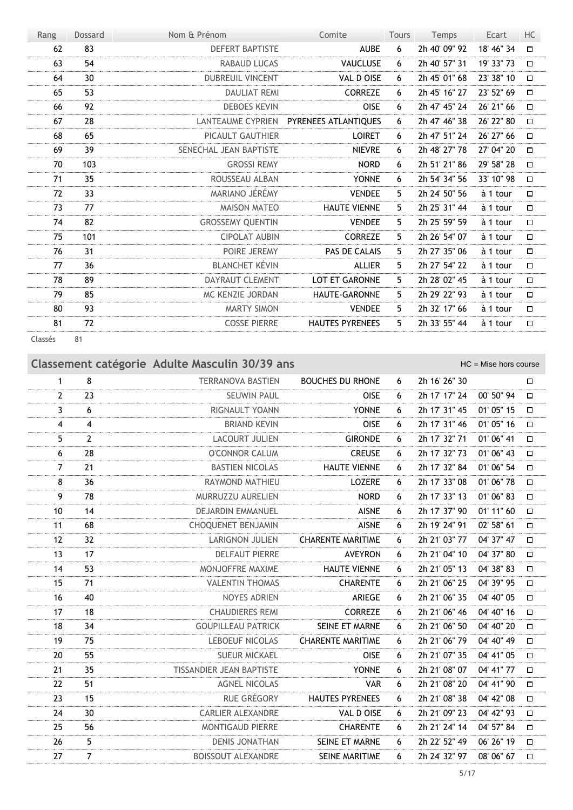| Rang    | Dossard | Nom & Prénom            | Comite                 | <b>Tours</b> | Temps         | Ecart      | HC     |
|---------|---------|-------------------------|------------------------|--------------|---------------|------------|--------|
| 62      | 83      | <b>DEFERT BAPTISTE</b>  | <b>AUBE</b>            | 6            | 2h 40' 09" 92 | 18' 46" 34 | $\Box$ |
| 63      | 54      | <b>RABAUD LUCAS</b>     | VAUCLUSE               | 6            | 2h 40' 57" 31 | 19' 33" 73 | $\Box$ |
| 64      | 30      | <b>DUBREUIL VINCENT</b> | VAL D OISE             | 6            | 2h 45' 01" 68 | 23' 38" 10 | $\Box$ |
| 65      | 53      | <b>DAULIAT REMI</b>     | <b>CORREZE</b>         | 6            | 2h 45' 16" 27 | 23' 52" 69 | $\Box$ |
| 66      | 92      | <b>DEBOES KEVIN</b>     | <b>OISE</b>            | 6            | 2h 47' 45" 24 | 26' 21" 66 | $\Box$ |
| 67      | 28      | LANTEAUME CYPRIEN       | PYRENEES ATLANTIOUES   | 6            | 2h 47' 46" 38 | 26' 22" 80 | $\Box$ |
| 68      | 65      | <b>PICAULT GAUTHIER</b> | <b>LOIRET</b>          | 6            | 2h 47' 51" 24 | 26' 27" 66 | $\Box$ |
| 69      | 39      | SENECHAL JEAN BAPTISTE  | <b>NIEVRE</b>          | 6            | 2h 48' 27" 78 | 27' 04" 20 | $\Box$ |
| 70      | 103     | <b>GROSSI REMY</b>      | <b>NORD</b>            | 6            | 2h 51' 21" 86 | 29' 58" 28 | $\Box$ |
| 71      | 35      | ROUSSEAU ALBAN          | <b>YONNE</b>           | 6            | 2h 54' 34" 56 | 33' 10" 98 | $\Box$ |
| 72      | 33      | MARIANO JÉRÉMY          | <b>VENDEE</b>          | 5.           | 2h 24' 50" 56 | à 1 tour   | $\Box$ |
| 73      | 77      | <b>MAISON MATEO</b>     | <b>HAUTE VIENNE</b>    | 5.           | 2h 25' 31" 44 | à 1 tour   | $\Box$ |
| 74      | 82      | <b>GROSSEMY QUENTIN</b> | <b>VENDEE</b>          | 5.           | 2h 25' 59" 59 | à 1 tour   | $\Box$ |
| 75      | 101     | <b>CIPOLAT AUBIN</b>    | <b>CORREZE</b>         | 5.           | 2h 26' 54" 07 | à 1 tour   | $\Box$ |
| 76      | 31      | POIRE JEREMY            | PAS DE CALAIS          | 5.           | 2h 27' 35" 06 | à 1 tour   | $\Box$ |
| 77      | 36      | <b>BLANCHET KÉVIN</b>   | <b>ALLIER</b>          | 5            | 2h 27' 54" 22 | à 1 tour   | $\Box$ |
| 78      | 89      | DAYRAUT CLEMENT         | LOT ET GARONNE         | 5            | 2h 28' 02" 45 | à 1 tour   | $\Box$ |
| 79      | 85      | MC KENZIE JORDAN        | <b>HAUTE-GARONNE</b>   | 5.           | 2h 29' 22" 93 | à 1 tour   | $\Box$ |
| 80      | 93      | <b>MARTY SIMON</b>      | <b>VENDEE</b>          | 5.           | 2h 32' 17" 66 | à 1 tour   | $\Box$ |
| 81      | 72      | <b>COSSE PIERRE</b>     | <b>HAUTES PYRENEES</b> | 5            | 2h 33' 55" 44 | à 1 tour   | $\Box$ |
| Classés | 81      |                         |                        |              |               |            |        |

×

|                |                | Classement catégorie Adulte Masculin 30/39 ans |                          |   |               | $HC =$ Mise hors course |        |
|----------------|----------------|------------------------------------------------|--------------------------|---|---------------|-------------------------|--------|
| $\mathbf{1}$   | 8              | <b>TERRANOVA BASTIEN</b>                       | <b>BOUCHES DU RHONE</b>  | 6 | 2h 16' 26" 30 |                         | □      |
| $\overline{2}$ | 23             | <b>SEUWIN PAUL</b>                             | <b>OISE</b>              | 6 | 2h 17' 17" 24 | 00' 50" 94              | $\Box$ |
| 3              | 6              | RIGNAULT YOANN                                 | <b>YONNE</b>             | 6 | 2h 17' 31" 45 | 01' 05" 15              | $\Box$ |
| 4              | $\overline{4}$ | <b>BRIAND KEVIN</b>                            | OISE                     | 6 | 2h 17' 31" 46 | 01' 05" 16              | $\Box$ |
| 5              | $\overline{2}$ | <b>LACOURT JULIEN</b>                          | <b>GIRONDE</b>           | 6 | 2h 17' 32" 71 | 01' 06" 41              | $\Box$ |
| 6              | 28             | <b>O'CONNOR CALUM</b>                          | <b>CREUSE</b>            | 6 | 2h 17' 32" 73 | 01' 06" 43              | $\Box$ |
| $\overline{7}$ | 21             | <b>BASTIEN NICOLAS</b>                         | <b>HAUTE VIENNE</b>      | 6 | 2h 17' 32" 84 | 01' 06" 54              | $\Box$ |
| 8              | 36             | RAYMOND MATHIEU                                | <b>LOZERE</b>            | 6 | 2h 17' 33" 08 | 01' 06" 78              | $\Box$ |
| 9              | 78             | MURRUZZU AURELIEN                              | <b>NORD</b>              | 6 | 2h 17' 33" 13 | 01' 06" 83              | $\Box$ |
| 10             | 14             | <b>DEJARDIN EMMANUEL</b>                       | <b>AISNE</b>             | 6 | 2h 17' 37" 90 | 01' 11" 60              | $\Box$ |
| 11             | 68             | <b>CHOQUENET BENJAMIN</b>                      | <b>AISNE</b>             | 6 | 2h 19' 24" 91 | 02' 58" 61              | $\Box$ |
| 12             | 32             | LARIGNON JULIEN                                | <b>CHARENTE MARITIME</b> | 6 | 2h 21' 03" 77 | 04' 37" 47              | $\Box$ |
| 13             | 17             | <b>DELFAUT PIERRE</b>                          | <b>AVEYRON</b>           | 6 | 2h 21' 04" 10 | 04' 37" 80              | $\Box$ |
| 14             | 53             | MONJOFFRE MAXIME                               | <b>HAUTE VIENNE</b>      | 6 | 2h 21' 05" 13 | 04' 38" 83              | □      |
| 15             | 71             | <b>VALENTIN THOMAS</b>                         | <b>CHARENTE</b>          | 6 | 2h 21' 06" 25 | 04' 39" 95              | $\Box$ |
| 16             | 40             | <b>NOYES ADRIEN</b>                            | ARIEGE                   | 6 | 2h 21' 06" 35 | 04' 40" 05              | $\Box$ |
| 17             | 18             | <b>CHAUDIERES REMI</b>                         | <b>CORREZE</b>           | 6 | 2h 21' 06" 46 | 04' 40" 16              | $\Box$ |
| 18             | 34             | <b>GOUPILLEAU PATRICK</b>                      | SEINE ET MARNE           | 6 | 2h 21' 06" 50 | 04' 40" 20              | $\Box$ |
| 19             | 75             | <b>LEBOEUF NICOLAS</b>                         | <b>CHARENTE MARITIME</b> | 6 | 2h 21' 06" 79 | 04' 40" 49              | $\Box$ |
| 20             | 55             | <b>SUEUR MICKAEL</b>                           | <b>OISE</b>              | 6 | 2h 21' 07" 35 | 04' 41" 05              | $\Box$ |
| 21             | 35             | TISSANDIER JEAN BAPTISTE                       | <b>YONNE</b>             | 6 | 2h 21' 08" 07 | 04' 41" 77              | $\Box$ |
| 22             | 51             | <b>AGNEL NICOLAS</b>                           | <b>VAR</b>               | 6 | 2h 21' 08" 20 | 04' 41" 90              | $\Box$ |
| 23             | 15             | <b>RUE GRÉGORY</b>                             | <b>HAUTES PYRENEES</b>   | 6 | 2h 21' 08" 38 | 04' 42" 08              | $\Box$ |
| 24             | 30             | <b>CARLIER ALEXANDRE</b>                       | VAL D OISE               | 6 | 2h 21' 09" 23 | 04' 42" 93              | $\Box$ |
| 25             | 56             | <b>MONTIGAUD PIERRE</b>                        | <b>CHARENTE</b>          | 6 | 2h 21' 24" 14 | 04' 57" 84              | $\Box$ |
| 26             | 5              | <b>DENIS JONATHAN</b>                          | SEINE ET MARNE           | 6 | 2h 22' 52" 49 | 06' 26" 19              | $\Box$ |
| 27             | $\overline{7}$ | <b>BOISSOUT ALEXANDRE</b>                      | SEINE MARITIME           | 6 | 2h 24' 32" 97 | 08' 06" 67              | $\Box$ |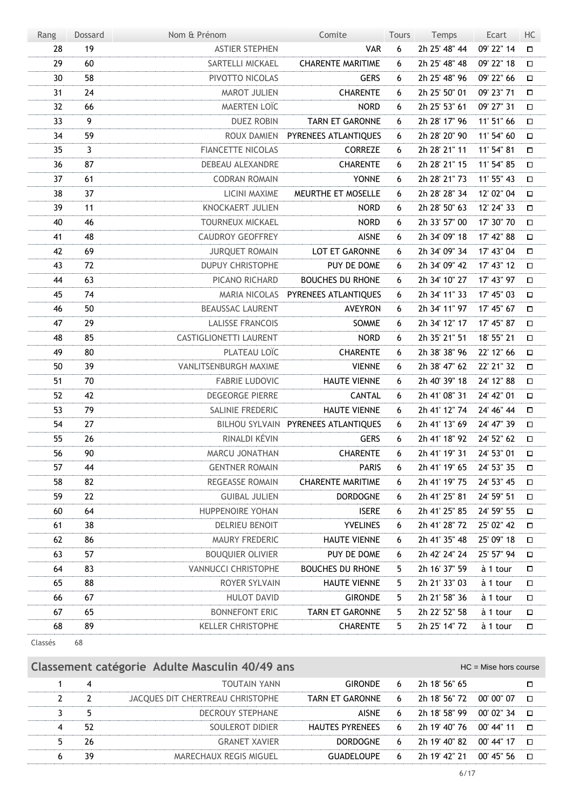| Rang    | <b>Dossard</b> | Nom & Prénom             | Comite                              | Tours | Temps         | Ecart      | HC     |
|---------|----------------|--------------------------|-------------------------------------|-------|---------------|------------|--------|
| 28      | 19             | <b>ASTIER STEPHEN</b>    | <b>VAR</b>                          | 6     | 2h 25' 48" 44 | 09' 22" 14 | □      |
| 29      | 60             | SARTELLI MICKAEL         | <b>CHARENTE MARITIME</b>            | 6     | 2h 25' 48" 48 | 09' 22" 18 | $\Box$ |
| 30      | 58             | PIVOTTO NICOLAS          | <b>GERS</b>                         | 6     | 2h 25' 48" 96 | 09' 22" 66 | □      |
| 31      | 24             | <b>MAROT JULIEN</b>      | <b>CHARENTE</b>                     | 6     | 2h 25' 50" 01 | 09' 23" 71 | $\Box$ |
| 32      | 66             | <b>MAERTEN LOÏC</b>      | <b>NORD</b>                         | 6     | 2h 25' 53" 61 | 09' 27" 31 | □      |
| 33      | 9              | <b>DUEZ ROBIN</b>        | TARN ET GARONNE                     | 6     | 2h 28' 17" 96 | 11' 51" 66 | $\Box$ |
| 34      | 59             | ROUX DAMIEN              | PYRENEES ATLANTIQUES                | 6     | 2h 28' 20" 90 | 11' 54" 60 | □      |
| 35      | 3              | <b>FIANCETTE NICOLAS</b> | <b>CORREZE</b>                      | 6     | 2h 28' 21" 11 | 11' 54" 81 | $\Box$ |
| 36      | 87             | DEBEAU ALEXANDRE         | <b>CHARENTE</b>                     | 6     | 2h 28' 21" 15 | 11' 54" 85 | □      |
| 37      | 61             | <b>CODRAN ROMAIN</b>     | <b>YONNE</b>                        | 6     | 2h 28' 21" 73 | 11' 55" 43 | $\Box$ |
| 38      | 37             | LICINI MAXIME            | MEURTHE ET MOSELLE                  | 6     | 2h 28' 28" 34 | 12' 02" 04 | □      |
| 39      | 11             | KNOCKAERT JULIEN         | <b>NORD</b>                         | 6     | 2h 28' 50" 63 | 12' 24" 33 | $\Box$ |
| 40      | 46             | <b>TOURNEUX MICKAEL</b>  | <b>NORD</b>                         | 6     | 2h 33' 57" 00 | 17' 30" 70 | □      |
| 41      | 48             | <b>CAUDROY GEOFFREY</b>  | <b>AISNE</b>                        | 6     | 2h 34' 09" 18 | 17' 42" 88 | $\Box$ |
| 42      | 69             | <b>JURQUET ROMAIN</b>    | LOT ET GARONNE                      | 6     | 2h 34' 09" 34 | 17' 43" 04 | □      |
| 43      | 72             | <b>DUPUY CHRISTOPHE</b>  | PUY DE DOME                         | 6     | 2h 34' 09" 42 | 17' 43" 12 | $\Box$ |
| 44      | 63             | PICANO RICHARD           | <b>BOUCHES DU RHONE</b>             | 6     | 2h 34' 10" 27 | 17' 43" 97 | $\Box$ |
| 45      | 74             |                          | MARIA NICOLAS PYRENEES ATLANTIQUES  | 6     | 2h 34' 11" 33 | 17' 45" 03 | $\Box$ |
| 46      | 50             | <b>BEAUSSAC LAURENT</b>  | <b>AVEYRON</b>                      | 6     | 2h 34' 11" 97 | 17' 45" 67 | $\Box$ |
| 47      | 29             | <b>LALISSE FRANCOIS</b>  | SOMME                               | 6     | 2h 34' 12" 17 | 17' 45" 87 | $\Box$ |
| 48      | 85             | CASTIGLIONETTI LAURENT   | <b>NORD</b>                         | 6     | 2h 35' 21" 51 | 18' 55" 21 | □      |
| 49      | 80             | PLATEAU LOÏC             | <b>CHARENTE</b>                     | 6     | 2h 38' 38" 96 | 22' 12" 66 | $\Box$ |
| 50      | 39             | VANLITSENBURGH MAXIME    | <b>VIENNE</b>                       | 6     | 2h 38' 47" 62 | 22' 21" 32 | □      |
| 51      | 70             | <b>FABRIE LUDOVIC</b>    | <b>HAUTE VIENNE</b>                 | 6     | 2h 40' 39" 18 | 24' 12" 88 | $\Box$ |
| 52      | 42             | <b>DEGEORGE PIERRE</b>   | <b>CANTAL</b>                       | 6     | 2h 41' 08" 31 | 24' 42" 01 | □      |
| 53      | 79             | SALINIE FREDERIC         | <b>HAUTE VIENNE</b>                 | 6     | 2h 41' 12" 74 | 24' 46" 44 | $\Box$ |
| 54      | 27             |                          | BILHOU SYLVAIN PYRENEES ATLANTIQUES | 6     | 2h 41' 13" 69 | 24' 47" 39 | $\Box$ |
| 55      | 26             | RINALDI KÉVIN            | <b>GERS</b>                         | 6     | 2h 41' 18" 92 | 24' 52" 62 | $\Box$ |
| 56      | 90             | MARCU JONATHAN           | <b>CHARENTE</b>                     | 6     | 2h 41' 19" 31 | 24' 53" 01 | $\Box$ |
| 57      | 44             | <b>GENTNER ROMAIN</b>    | <b>PARIS</b>                        | 6     | 2h 41' 19" 65 | 24' 53" 35 | $\Box$ |
| 58      | 82             | REGEASSE ROMAIN          | <b>CHARENTE MARITIME</b>            | 6     | 2h 41' 19" 75 | 24' 53" 45 | □      |
| 59      | 22             | <b>GUIBAL JULIEN</b>     | <b>DORDOGNE</b>                     | 6     | 2h 41' 25" 81 | 24' 59" 51 | □      |
| 60      | 64             | HUPPENOIRE YOHAN         | <b>ISERE</b>                        | 6     | 2h 41' 25" 85 | 24' 59" 55 | □      |
| 61      | 38             | DELRIEU BENOIT           | <b>YVELINES</b>                     | 6     | 2h 41' 28" 72 | 25' 02" 42 | □      |
| 62      | 86             | MAURY FREDERIC           | <b>HAUTE VIENNE</b>                 | 6     | 2h 41' 35" 48 | 25' 09" 18 | □      |
| 63      | 57             | <b>BOUQUIER OLIVIER</b>  | PUY DE DOME                         | 6     | 2h 42' 24" 24 | 25' 57" 94 | □      |
| 64      | 83             | VANNUCCI CHRISTOPHE      | <b>BOUCHES DU RHONE</b>             | 5     | 2h 16' 37" 59 | à 1 tour   | □      |
| 65      | 88             | ROYER SYLVAIN            | <b>HAUTE VIENNE</b>                 | 5     | 2h 21' 33" 03 | à 1 tour   | □      |
| 66      | 67             | <b>HULOT DAVID</b>       | <b>GIRONDE</b>                      | 5     | 2h 21' 58" 36 | à 1 tour   | □      |
| 67      | 65             | <b>BONNEFONT ERIC</b>    | TARN ET GARONNE                     | 5     | 2h 22' 52" 58 | à 1 tour   | 口      |
| 68      | 89             | <b>KELLER CHRISTOPHE</b> | <b>CHARENTE</b>                     | 5     | 2h 25' 14" 72 | à 1 tour   | 口      |
| Classés | 68             |                          |                                     |       |               |            |        |

| Classement catégorie Adulte Masculin 40/49 ans<br>$HC =$ Mise hors course |    |                                  |                                            |    |                                              |  |              |  |  |
|---------------------------------------------------------------------------|----|----------------------------------|--------------------------------------------|----|----------------------------------------------|--|--------------|--|--|
|                                                                           |    | <b>TOUTAIN YANN</b>              | GIRONDE                                    | 6  | 2h 18' 56" 65                                |  |              |  |  |
|                                                                           |    | JACQUES DIT CHERTREAU CHRISTOPHE | TARN ET GARONNE 6 2h 18' 56" 72 00' 00" 07 |    |                                              |  | $\Box$       |  |  |
|                                                                           |    | <b>DECROUY STEPHANE</b>          | AISNE                                      | -6 | 2h 18' 58" 99   00' 02" 34                   |  | $\mathbf{r}$ |  |  |
|                                                                           | 52 | SOULEROT DIDIER                  | HAUTES PYRENEES 6 2h 19' 40" 76 00' 44" 11 |    |                                              |  | $\Box$       |  |  |
|                                                                           |    | <b>GRANET XAVIER</b>             | DORDOGNE                                   |    |                                              |  |              |  |  |
|                                                                           | 39 | MARECHAUX REGIS MIGUEL           |                                            |    | GUADELOUPE 6 2h 19' 42" 21 00' 45" 56 $\Box$ |  |              |  |  |
|                                                                           |    |                                  |                                            |    |                                              |  |              |  |  |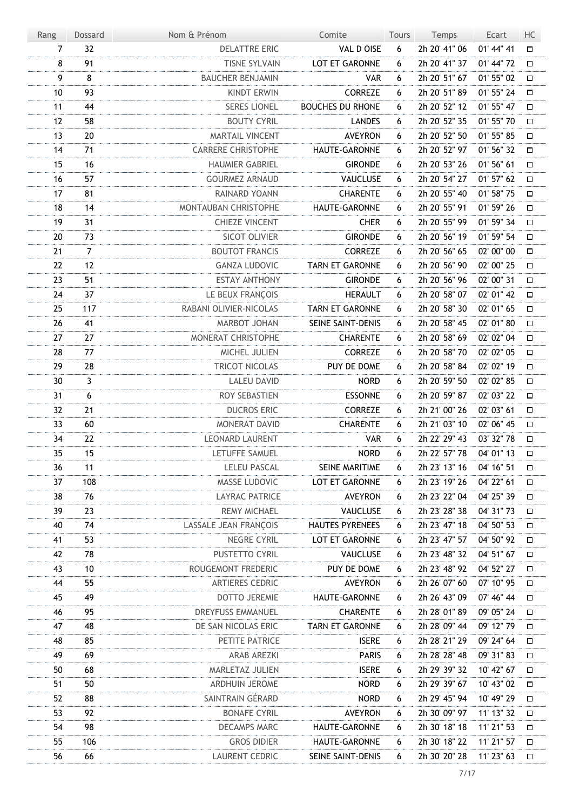| Rang           | Dossard        | Nom & Prénom                 | Comite                  | Tours | Temps         | Ecart      | HC     |
|----------------|----------------|------------------------------|-------------------------|-------|---------------|------------|--------|
| $\overline{7}$ | 32             | <b>DELATTRE ERIC</b>         | VAL D OISE              | 6     | 2h 20' 41" 06 | 01' 44" 41 | □      |
| 8              | 91             | <b>TISNE SYLVAIN</b>         | LOT ET GARONNE          | 6     | 2h 20' 41" 37 | 01' 44" 72 | □      |
| 9              | 8              | <b>BAUCHER BENJAMIN</b>      | <b>VAR</b>              | 6     | 2h 20' 51" 67 | 01' 55" 02 | 口      |
| $10\,$         | 93             | <b>KINDT ERWIN</b>           | <b>CORREZE</b>          | 6     | 2h 20' 51" 89 | 01' 55" 24 | $\Box$ |
| 11             | 44             | <b>SERES LIONEL</b>          | <b>BOUCHES DU RHONE</b> | 6     | 2h 20' 52" 12 | 01' 55" 47 | $\Box$ |
| 12             | 58             | <b>BOUTY CYRIL</b>           | <b>LANDES</b>           | 6     | 2h 20' 52" 35 | 01' 55" 70 | $\Box$ |
| 13             | 20             | <b>MARTAIL VINCENT</b>       | <b>AVEYRON</b>          | 6     | 2h 20' 52" 50 | 01' 55" 85 | $\Box$ |
| 14             | 71             | <b>CARRERE CHRISTOPHE</b>    | HAUTE-GARONNE           | 6     | 2h 20' 52" 97 | 01' 56" 32 | $\Box$ |
| 15             | 16             | <b>HAUMIER GABRIEL</b>       | <b>GIRONDE</b>          | 6     | 2h 20' 53" 26 | 01' 56" 61 | $\Box$ |
| 16             | 57             | <b>GOURMEZ ARNAUD</b>        | VAUCLUSE                | 6     | 2h 20' 54" 27 | 01' 57" 62 | $\Box$ |
| 17             | 81             | RAINARD YOANN                | <b>CHARENTE</b>         | 6     | 2h 20' 55" 40 | 01' 58" 75 | $\Box$ |
| 18             | 14             | MONTAUBAN CHRISTOPHE         | HAUTE-GARONNE           | 6     | 2h 20' 55" 91 | 01' 59" 26 | $\Box$ |
| 19             | 31             | <b>CHIEZE VINCENT</b>        | <b>CHER</b>             | 6     | 2h 20' 55" 99 | 01' 59" 34 | $\Box$ |
| 20             | 73             | SICOT OLIVIER                | <b>GIRONDE</b>          | 6     | 2h 20' 56" 19 | 01' 59" 54 | $\Box$ |
| 21             | $\overline{7}$ | <b>BOUTOT FRANCIS</b>        | <b>CORREZE</b>          | 6     | 2h 20' 56" 65 | 02' 00" 00 | $\Box$ |
| 22             | 12             | <b>GANZA LUDOVIC</b>         | <b>TARN ET GARONNE</b>  | 6     | 2h 20' 56" 90 | 02' 00" 25 | $\Box$ |
| 23             | 51             | <b>ESTAY ANTHONY</b>         | <b>GIRONDE</b>          | 6     | 2h 20' 56" 96 | 02' 00" 31 | $\Box$ |
| 24             | 37             | LE BEUX FRANÇOIS             | <b>HERAULT</b>          | 6     | 2h 20' 58" 07 | 02' 01" 42 | $\Box$ |
| 25             | 117            | RABANI OLIVIER-NICOLAS       | <b>TARN ET GARONNE</b>  | 6     | 2h 20' 58" 30 | 02' 01" 65 | $\Box$ |
| 26             | 41             | MARBOT JOHAN                 | SEINE SAINT-DENIS       | 6     | 2h 20' 58" 45 | 02' 01" 80 | $\Box$ |
| 27             | 27             | MONERAT CHRISTOPHE           | <b>CHARENTE</b>         | 6     | 2h 20' 58" 69 | 02' 02" 04 | $\Box$ |
| 28             | 77             | MICHEL JULIEN                | CORREZE                 | 6     | 2h 20' 58" 70 | 02' 02" 05 | $\Box$ |
| 29             | 28             | TRICOT NICOLAS               | PUY DE DOME             | 6     | 2h 20' 58" 84 | 02' 02" 19 | $\Box$ |
| 30             | $\mathbf{3}$   | <b>LALEU DAVID</b>           | <b>NORD</b>             | 6     | 2h 20' 59" 50 | 02' 02" 85 | $\Box$ |
| 31             | 6              | ROY SEBASTIEN                | <b>ESSONNE</b>          | 6     | 2h 20' 59" 87 | 02' 03" 22 | $\Box$ |
| 32             | 21             | <b>DUCROS ERIC</b>           | <b>CORREZE</b>          | 6     | 2h 21' 00" 26 | 02' 03" 61 | П      |
| 33             | 60             | MONERAT DAVID                | <b>CHARENTE</b>         | 6     | 2h 21' 03" 10 | 02' 06" 45 | $\Box$ |
| 34             | 22             | LEONARD LAURENT              | <b>VAR</b>              | 6     | 2h 22' 29" 43 | 03' 32" 78 | $\Box$ |
| 35             | 15             | LETUFFE SAMUEL               | <b>NORD</b>             | 6     | 2h 22' 57" 78 | 04' 01" 13 | $\Box$ |
| 36             | 11             | <b>LELEU PASCAL</b>          | SEINE MARITIME          | 6     | 2h 23' 13" 16 | 04' 16" 51 | Д      |
| 37             | 108            | MASSE LUDOVIC                | LOT ET GARONNE          | 6     | 2h 23' 19" 26 | 04' 22" 61 | Д      |
| 38             | 76             | <b>LAYRAC PATRICE</b>        | <b>AVEYRON</b>          | 6     | 2h 23' 22" 04 | 04' 25" 39 | □      |
| 39             | 23             | <b>REMY MICHAEL</b>          | <b>VAUCLUSE</b>         | 6     | 2h 23' 28" 38 | 04' 31" 73 | $\Box$ |
| 40             | 74             | <b>LASSALE JEAN FRANÇOIS</b> | <b>HAUTES PYRENEES</b>  | 6     | 2h 23' 47" 18 | 04' 50" 53 | Д      |
| 41             | 53             | NEGRE CYRIL                  | LOT ET GARONNE          | 6     | 2h 23' 47" 57 | 04' 50" 92 | Д      |
| 42             | 78             | PUSTETTO CYRIL               | VAUCLUSE                | 6     | 2h 23' 48" 32 | 04' 51" 67 | □      |
| 43             | 10             | ROUGEMONT FREDERIC           | PUY DE DOME             | 6     | 2h 23' 48" 92 | 04' 52" 27 | $\Box$ |
| 44             | 55             | <b>ARTIERES CEDRIC</b>       | <b>AVEYRON</b>          | 6     | 2h 26' 07" 60 | 07' 10" 95 | $\Box$ |
| 45             | 49             | <b>DOTTO JEREMIE</b>         | HAUTE-GARONNE           | 6     | 2h 26' 43" 09 | 07' 46" 44 | □      |
| 46             | 95             | DREYFUSS EMMANUEL            | <b>CHARENTE</b>         | 6     | 2h 28' 01" 89 | 09' 05" 24 | □      |
| 47             | 48             | DE SAN NICOLAS ERIC          | <b>TARN ET GARONNE</b>  | 6     | 2h 28' 09" 44 | 09' 12" 79 | □      |
| 48             | 85             | PETITE PATRICE               | <b>ISERE</b>            | 6     | 2h 28' 21" 29 | 09' 24" 64 | 口      |
| 49             | 69             | <b>ARAB AREZKI</b>           | <b>PARIS</b>            | 6     | 2h 28' 28" 48 | 09' 31" 83 | 口      |
| 50             | 68             | MARLETAZ JULIEN              | <b>ISERE</b>            | 6     | 2h 29' 39" 32 | 10' 42" 67 | 口      |
| 51             | 50             | ARDHUIN JEROME               | <b>NORD</b>             | 6     | 2h 29' 39" 67 | 10' 43" 02 | $\Box$ |
| 52             | 88             | SAINTRAIN GÉRARD             | <b>NORD</b>             | 6     | 2h 29' 45" 94 | 10' 49" 29 | 口      |
| 53             | 92             | <b>BONAFE CYRIL</b>          | <b>AVEYRON</b>          | 6     | 2h 30' 09" 97 | 11' 13" 32 | 口      |
| 54             | 98             | <b>DECAMPS MARC</b>          | HAUTE-GARONNE           | 6     | 2h 30' 18" 18 | 11' 21" 53 | 口      |
| 55             | 106            | <b>GROS DIDIER</b>           | HAUTE-GARONNE           | 6     | 2h 30' 18" 22 | 11' 21" 57 | 口      |
| 56             | 66             | LAURENT CEDRIC               | SEINE SAINT-DENIS       | 6     | 2h 30' 20" 28 | 11' 23" 63 | 口      |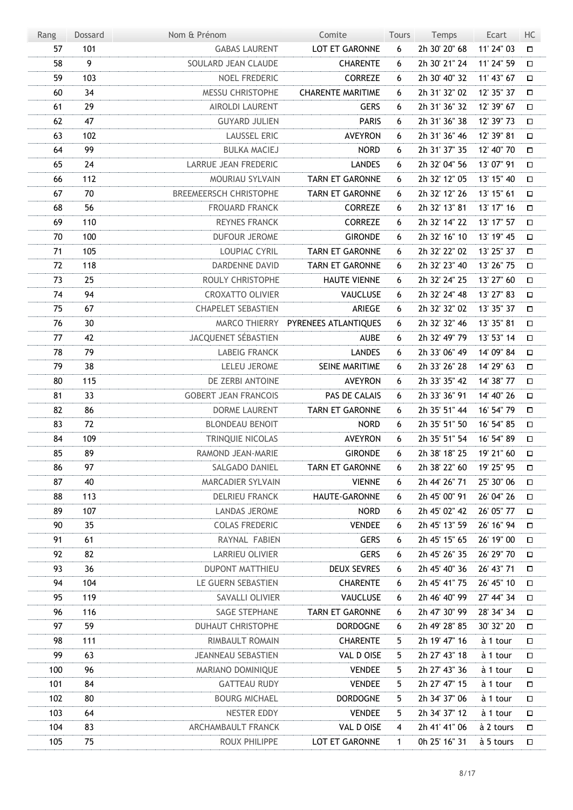| LOT ET GARONNE<br>2h 30' 20" 68<br>57<br>101<br><b>GABAS LAURENT</b><br>6<br>11' 24" 03<br>$\Box$<br>9<br>58<br>SOULARD JEAN CLAUDE<br><b>CHARENTE</b><br>2h 30' 21" 24<br>11' 24" 59<br>6<br>$\Box$<br>103<br>59<br>NOEL FREDERIC<br><b>CORREZE</b><br>2h 30' 40" 32<br>11' 43" 67<br>6<br>$\Box$<br>34<br>MESSU CHRISTOPHE<br><b>CHARENTE MARITIME</b><br>2h 31' 32" 02<br>60<br>12' 35" 37<br>6<br>$\Box$<br>29<br><b>GERS</b><br>2h 31' 36" 32<br>61<br><b>AIROLDI LAURENT</b><br>12' 39" 67<br>6<br>$\Box$<br>47<br>62<br><b>GUYARD JULIEN</b><br><b>PARIS</b><br>2h 31' 36" 38<br>12' 39" 73<br>6<br>$\Box$<br>102<br><b>LAUSSEL ERIC</b><br><b>AVEYRON</b><br>2h 31' 36" 46<br>63<br>12' 39" 81<br>6<br>О<br>99<br>64<br><b>NORD</b><br><b>BULKA MACIEJ</b><br>2h 31' 37" 35<br>12' 40" 70<br>6<br>$\Box$<br>24<br>LARRUE JEAN FREDERIC<br><b>LANDES</b><br>2h 32' 04" 56<br>13' 07" 91<br>65<br>6<br>$\Box$<br>112<br>TARN ET GARONNE<br>66<br>MOURIAU SYLVAIN<br>2h 32' 12" 05<br>13' 15" 40<br>6<br>$\Box$<br>70<br><b>BREEMEERSCH CHRISTOPHE</b><br>2h 32' 12" 26<br>67<br><b>TARN ET GARONNE</b><br>13' 15" 61<br>6<br>О<br>56<br>68<br><b>FROUARD FRANCK</b><br><b>CORREZE</b><br>2h 32' 13" 81<br>13' 17" 16<br>6<br>$\Box$<br>69<br>110<br><b>REYNES FRANCK</b><br><b>CORREZE</b><br>2h 32' 14" 22<br>13' 17" 57<br>6<br>$\Box$<br>100<br>70<br><b>DUFOUR JEROME</b><br><b>GIRONDE</b><br>2h 32' 16" 10<br>13' 19" 45<br>6<br>$\Box$<br>105<br><b>TARN ET GARONNE</b><br>2h 32' 22" 02<br>13' 25" 37<br>71<br>LOUPIAC CYRIL<br>6<br>О<br>118<br>72<br><b>DARDENNE DAVID</b><br><b>TARN ET GARONNE</b><br>2h 32' 23" 40<br>13' 26" 75<br>6<br>$\Box$<br>73<br>25<br>ROULY CHRISTOPHE<br>2h 32' 24" 25<br>13' 27" 60<br><b>HAUTE VIENNE</b><br>6<br>$\Box$<br>94<br>74<br><b>CROXATTO OLIVIER</b><br>VAUCLUSE<br>2h 32' 24" 48<br>13' 27" 83<br>6<br>$\Box$<br>67<br><b>CHAPELET SEBASTIEN</b><br>ARIEGE<br>2h 32' 32" 02<br>13' 35" 37<br>75<br>6<br>$\Box$<br>30<br>2h 32' 32" 46<br>76<br>MARCO THIERRY PYRENEES ATLANTIQUES<br>13' 35" 81<br>6<br>$\Box$<br>JACQUENET SÉBASTIEN<br>42<br><b>AUBE</b><br>2h 32' 49" 79<br>77<br>13' 53" 14<br>6<br>$\Box$<br>79<br>78<br><b>LABEIG FRANCK</b><br><b>LANDES</b><br>2h 33' 06" 49<br>14' 09" 84<br>6<br>$\Box$<br>38<br>SEINE MARITIME<br>2h 33' 26" 28<br>79<br><b>LELEU JEROME</b><br>14' 29" 63<br>6<br>П<br>80<br>115<br>DE ZERBI ANTOINE<br><b>AVEYRON</b><br>2h 33' 35" 42<br>14' 38" 77<br>6<br>□<br>33<br>PAS DE CALAIS<br>81<br><b>GOBERT JEAN FRANCOIS</b><br>2h 33' 36" 91<br>14' 40" 26<br>6<br>П<br>86<br>82<br>DORME LAURENT<br>TARN ET GARONNE<br>2h 35' 51" 44<br>16' 54" 79<br>6<br>П<br>83<br>72<br><b>NORD</b><br>2h 35' 51" 50<br><b>BLONDEAU BENOIT</b><br>16' 54" 85<br>6<br>$\Box$<br>84<br>109<br>TRINQUIE NICOLAS<br><b>AVEYRON</b><br>2h 35' 51" 54<br>16' 54" 89<br>6<br>$\Box$<br>85<br>89<br>RAMOND JEAN-MARIE<br><b>GIRONDE</b><br>6<br>2h 38' 18" 25<br>19' 21" 60<br>П<br>86<br>97<br>SALGADO DANIEL<br>TARN ET GARONNE<br>2h 38' 22" 60<br>19' 25" 95<br>6<br>$\Box$<br>87<br>40<br><b>MARCADIER SYLVAIN</b><br><b>VIENNE</b><br>2h 44' 26" 71<br>25' 30" 06<br>6<br>口<br>88<br>113<br>HAUTE-GARONNE<br>2h 45' 00" 91<br><b>DELRIEU FRANCK</b><br>26' 04" 26<br>6<br>□<br>89<br>107<br>LANDAS JEROME<br><b>NORD</b><br>2h 45' 02" 42<br>26' 05" 77<br>6<br>$\Box$<br>90<br>35<br><b>VENDEE</b><br>26' 16" 94<br><b>COLAS FREDERIC</b><br>6<br>2h 45' 13" 59<br>□<br>91<br>61<br>RAYNAL FABIEN<br><b>GERS</b><br>2h 45' 15" 65<br>26' 19" 00<br>6<br>口<br>92<br>82<br>LARRIEU OLIVIER<br><b>GERS</b><br>26' 29" 70<br>2h 45' 26" 35<br>6<br>□<br>93<br>36<br><b>DUPONT MATTHIEU</b><br><b>DEUX SEVRES</b><br>2h 45' 40" 36<br>26' 43" 71<br>6<br>$\Box$<br>94<br>104<br>LE GUERN SEBASTIEN<br>26' 45" 10<br><b>CHARENTE</b><br>2h 45' 41" 75<br>6<br>$\Box$<br>95<br>119<br>SAVALLI OLIVIER<br>VAUCLUSE<br>2h 46' 40" 99<br>27' 44" 34<br>6<br>口<br>96<br>116<br>SAGE STEPHANE<br>TARN ET GARONNE<br>2h 47' 30" 99<br>28' 34" 34<br>6<br>$\Box$<br>59<br>97<br><b>DUHAUT CHRISTOPHE</b><br><b>DORDOGNE</b><br>2h 49' 28" 85<br>30' 32" 20<br>6<br>口<br>98<br>111<br>RIMBAULT ROMAIN<br><b>CHARENTE</b><br>5<br>2h 19' 47" 16<br>à 1 tour<br>口<br>99<br>63<br><b>JEANNEAU SEBASTIEN</b><br>VAL D OISE<br>2h 27' 43" 18<br>à 1 tour<br>5<br>口<br>100<br>96<br>MARIANO DOMINIQUE<br><b>VENDEE</b><br>5<br>2h 27' 43" 36<br>à 1 tour<br>□<br>101<br>84<br><b>GATTEAU RUDY</b><br><b>VENDEE</b><br>2h 27' 47" 15<br>à 1 tour<br>5.<br>口<br>102<br>80<br><b>BOURG MICHAEL</b><br><b>DORDOGNE</b><br>5<br>2h 34' 37" 06<br>à 1 tour<br>口<br>103<br>64<br>NESTER EDDY<br><b>VENDEE</b><br>2h 34' 37" 12<br>5<br>à 1 tour<br>$\Box$<br>104<br>83<br>ARCHAMBAULT FRANCK<br>VAL D OISE<br>2h 41' 41" 06<br>à 2 tours<br>4<br>口<br>105<br>75<br>ROUX PHILIPPE<br>LOT ET GARONNE<br>0h 25' 16" 31<br>à 5 tours<br>$\mathbf{1}$<br>$\Box$ | Rang | Dossard | Nom & Prénom | Comite | Tours | Temps | Ecart | HC |
|---------------------------------------------------------------------------------------------------------------------------------------------------------------------------------------------------------------------------------------------------------------------------------------------------------------------------------------------------------------------------------------------------------------------------------------------------------------------------------------------------------------------------------------------------------------------------------------------------------------------------------------------------------------------------------------------------------------------------------------------------------------------------------------------------------------------------------------------------------------------------------------------------------------------------------------------------------------------------------------------------------------------------------------------------------------------------------------------------------------------------------------------------------------------------------------------------------------------------------------------------------------------------------------------------------------------------------------------------------------------------------------------------------------------------------------------------------------------------------------------------------------------------------------------------------------------------------------------------------------------------------------------------------------------------------------------------------------------------------------------------------------------------------------------------------------------------------------------------------------------------------------------------------------------------------------------------------------------------------------------------------------------------------------------------------------------------------------------------------------------------------------------------------------------------------------------------------------------------------------------------------------------------------------------------------------------------------------------------------------------------------------------------------------------------------------------------------------------------------------------------------------------------------------------------------------------------------------------------------------------------------------------------------------------------------------------------------------------------------------------------------------------------------------------------------------------------------------------------------------------------------------------------------------------------------------------------------------------------------------------------------------------------------------------------------------------------------------------------------------------------------------------------------------------------------------------------------------------------------------------------------------------------------------------------------------------------------------------------------------------------------------------------------------------------------------------------------------------------------------------------------------------------------------------------------------------------------------------------------------------------------------------------------------------------------------------------------------------------------------------------------------------------------------------------------------------------------------------------------------------------------------------------------------------------------------------------------------------------------------------------------------------------------------------------------------------------------------------------------------------------------------------------------------------------------------------------------------------------------------------------------------------------------------------------------------------------------------------------------------------------------------------------------------------------------------------------------------------------------------------------------------------------------------------------------------------------------------------------------------------------------------------------------------------------------------------------------------------------------------------------------------------------------------------------------------------------------------------------------------------------------------------------------------------------|------|---------|--------------|--------|-------|-------|-------|----|
|                                                                                                                                                                                                                                                                                                                                                                                                                                                                                                                                                                                                                                                                                                                                                                                                                                                                                                                                                                                                                                                                                                                                                                                                                                                                                                                                                                                                                                                                                                                                                                                                                                                                                                                                                                                                                                                                                                                                                                                                                                                                                                                                                                                                                                                                                                                                                                                                                                                                                                                                                                                                                                                                                                                                                                                                                                                                                                                                                                                                                                                                                                                                                                                                                                                                                                                                                                                                                                                                                                                                                                                                                                                                                                                                                                                                                                                                                                                                                                                                                                                                                                                                                                                                                                                                                                                                                                                                                                                                                                                                                                                                                                                                                                                                                                                                                                                                                                                           |      |         |              |        |       |       |       |    |
|                                                                                                                                                                                                                                                                                                                                                                                                                                                                                                                                                                                                                                                                                                                                                                                                                                                                                                                                                                                                                                                                                                                                                                                                                                                                                                                                                                                                                                                                                                                                                                                                                                                                                                                                                                                                                                                                                                                                                                                                                                                                                                                                                                                                                                                                                                                                                                                                                                                                                                                                                                                                                                                                                                                                                                                                                                                                                                                                                                                                                                                                                                                                                                                                                                                                                                                                                                                                                                                                                                                                                                                                                                                                                                                                                                                                                                                                                                                                                                                                                                                                                                                                                                                                                                                                                                                                                                                                                                                                                                                                                                                                                                                                                                                                                                                                                                                                                                                           |      |         |              |        |       |       |       |    |
|                                                                                                                                                                                                                                                                                                                                                                                                                                                                                                                                                                                                                                                                                                                                                                                                                                                                                                                                                                                                                                                                                                                                                                                                                                                                                                                                                                                                                                                                                                                                                                                                                                                                                                                                                                                                                                                                                                                                                                                                                                                                                                                                                                                                                                                                                                                                                                                                                                                                                                                                                                                                                                                                                                                                                                                                                                                                                                                                                                                                                                                                                                                                                                                                                                                                                                                                                                                                                                                                                                                                                                                                                                                                                                                                                                                                                                                                                                                                                                                                                                                                                                                                                                                                                                                                                                                                                                                                                                                                                                                                                                                                                                                                                                                                                                                                                                                                                                                           |      |         |              |        |       |       |       |    |
|                                                                                                                                                                                                                                                                                                                                                                                                                                                                                                                                                                                                                                                                                                                                                                                                                                                                                                                                                                                                                                                                                                                                                                                                                                                                                                                                                                                                                                                                                                                                                                                                                                                                                                                                                                                                                                                                                                                                                                                                                                                                                                                                                                                                                                                                                                                                                                                                                                                                                                                                                                                                                                                                                                                                                                                                                                                                                                                                                                                                                                                                                                                                                                                                                                                                                                                                                                                                                                                                                                                                                                                                                                                                                                                                                                                                                                                                                                                                                                                                                                                                                                                                                                                                                                                                                                                                                                                                                                                                                                                                                                                                                                                                                                                                                                                                                                                                                                                           |      |         |              |        |       |       |       |    |
|                                                                                                                                                                                                                                                                                                                                                                                                                                                                                                                                                                                                                                                                                                                                                                                                                                                                                                                                                                                                                                                                                                                                                                                                                                                                                                                                                                                                                                                                                                                                                                                                                                                                                                                                                                                                                                                                                                                                                                                                                                                                                                                                                                                                                                                                                                                                                                                                                                                                                                                                                                                                                                                                                                                                                                                                                                                                                                                                                                                                                                                                                                                                                                                                                                                                                                                                                                                                                                                                                                                                                                                                                                                                                                                                                                                                                                                                                                                                                                                                                                                                                                                                                                                                                                                                                                                                                                                                                                                                                                                                                                                                                                                                                                                                                                                                                                                                                                                           |      |         |              |        |       |       |       |    |
|                                                                                                                                                                                                                                                                                                                                                                                                                                                                                                                                                                                                                                                                                                                                                                                                                                                                                                                                                                                                                                                                                                                                                                                                                                                                                                                                                                                                                                                                                                                                                                                                                                                                                                                                                                                                                                                                                                                                                                                                                                                                                                                                                                                                                                                                                                                                                                                                                                                                                                                                                                                                                                                                                                                                                                                                                                                                                                                                                                                                                                                                                                                                                                                                                                                                                                                                                                                                                                                                                                                                                                                                                                                                                                                                                                                                                                                                                                                                                                                                                                                                                                                                                                                                                                                                                                                                                                                                                                                                                                                                                                                                                                                                                                                                                                                                                                                                                                                           |      |         |              |        |       |       |       |    |
|                                                                                                                                                                                                                                                                                                                                                                                                                                                                                                                                                                                                                                                                                                                                                                                                                                                                                                                                                                                                                                                                                                                                                                                                                                                                                                                                                                                                                                                                                                                                                                                                                                                                                                                                                                                                                                                                                                                                                                                                                                                                                                                                                                                                                                                                                                                                                                                                                                                                                                                                                                                                                                                                                                                                                                                                                                                                                                                                                                                                                                                                                                                                                                                                                                                                                                                                                                                                                                                                                                                                                                                                                                                                                                                                                                                                                                                                                                                                                                                                                                                                                                                                                                                                                                                                                                                                                                                                                                                                                                                                                                                                                                                                                                                                                                                                                                                                                                                           |      |         |              |        |       |       |       |    |
|                                                                                                                                                                                                                                                                                                                                                                                                                                                                                                                                                                                                                                                                                                                                                                                                                                                                                                                                                                                                                                                                                                                                                                                                                                                                                                                                                                                                                                                                                                                                                                                                                                                                                                                                                                                                                                                                                                                                                                                                                                                                                                                                                                                                                                                                                                                                                                                                                                                                                                                                                                                                                                                                                                                                                                                                                                                                                                                                                                                                                                                                                                                                                                                                                                                                                                                                                                                                                                                                                                                                                                                                                                                                                                                                                                                                                                                                                                                                                                                                                                                                                                                                                                                                                                                                                                                                                                                                                                                                                                                                                                                                                                                                                                                                                                                                                                                                                                                           |      |         |              |        |       |       |       |    |
|                                                                                                                                                                                                                                                                                                                                                                                                                                                                                                                                                                                                                                                                                                                                                                                                                                                                                                                                                                                                                                                                                                                                                                                                                                                                                                                                                                                                                                                                                                                                                                                                                                                                                                                                                                                                                                                                                                                                                                                                                                                                                                                                                                                                                                                                                                                                                                                                                                                                                                                                                                                                                                                                                                                                                                                                                                                                                                                                                                                                                                                                                                                                                                                                                                                                                                                                                                                                                                                                                                                                                                                                                                                                                                                                                                                                                                                                                                                                                                                                                                                                                                                                                                                                                                                                                                                                                                                                                                                                                                                                                                                                                                                                                                                                                                                                                                                                                                                           |      |         |              |        |       |       |       |    |
|                                                                                                                                                                                                                                                                                                                                                                                                                                                                                                                                                                                                                                                                                                                                                                                                                                                                                                                                                                                                                                                                                                                                                                                                                                                                                                                                                                                                                                                                                                                                                                                                                                                                                                                                                                                                                                                                                                                                                                                                                                                                                                                                                                                                                                                                                                                                                                                                                                                                                                                                                                                                                                                                                                                                                                                                                                                                                                                                                                                                                                                                                                                                                                                                                                                                                                                                                                                                                                                                                                                                                                                                                                                                                                                                                                                                                                                                                                                                                                                                                                                                                                                                                                                                                                                                                                                                                                                                                                                                                                                                                                                                                                                                                                                                                                                                                                                                                                                           |      |         |              |        |       |       |       |    |
|                                                                                                                                                                                                                                                                                                                                                                                                                                                                                                                                                                                                                                                                                                                                                                                                                                                                                                                                                                                                                                                                                                                                                                                                                                                                                                                                                                                                                                                                                                                                                                                                                                                                                                                                                                                                                                                                                                                                                                                                                                                                                                                                                                                                                                                                                                                                                                                                                                                                                                                                                                                                                                                                                                                                                                                                                                                                                                                                                                                                                                                                                                                                                                                                                                                                                                                                                                                                                                                                                                                                                                                                                                                                                                                                                                                                                                                                                                                                                                                                                                                                                                                                                                                                                                                                                                                                                                                                                                                                                                                                                                                                                                                                                                                                                                                                                                                                                                                           |      |         |              |        |       |       |       |    |
|                                                                                                                                                                                                                                                                                                                                                                                                                                                                                                                                                                                                                                                                                                                                                                                                                                                                                                                                                                                                                                                                                                                                                                                                                                                                                                                                                                                                                                                                                                                                                                                                                                                                                                                                                                                                                                                                                                                                                                                                                                                                                                                                                                                                                                                                                                                                                                                                                                                                                                                                                                                                                                                                                                                                                                                                                                                                                                                                                                                                                                                                                                                                                                                                                                                                                                                                                                                                                                                                                                                                                                                                                                                                                                                                                                                                                                                                                                                                                                                                                                                                                                                                                                                                                                                                                                                                                                                                                                                                                                                                                                                                                                                                                                                                                                                                                                                                                                                           |      |         |              |        |       |       |       |    |
|                                                                                                                                                                                                                                                                                                                                                                                                                                                                                                                                                                                                                                                                                                                                                                                                                                                                                                                                                                                                                                                                                                                                                                                                                                                                                                                                                                                                                                                                                                                                                                                                                                                                                                                                                                                                                                                                                                                                                                                                                                                                                                                                                                                                                                                                                                                                                                                                                                                                                                                                                                                                                                                                                                                                                                                                                                                                                                                                                                                                                                                                                                                                                                                                                                                                                                                                                                                                                                                                                                                                                                                                                                                                                                                                                                                                                                                                                                                                                                                                                                                                                                                                                                                                                                                                                                                                                                                                                                                                                                                                                                                                                                                                                                                                                                                                                                                                                                                           |      |         |              |        |       |       |       |    |
|                                                                                                                                                                                                                                                                                                                                                                                                                                                                                                                                                                                                                                                                                                                                                                                                                                                                                                                                                                                                                                                                                                                                                                                                                                                                                                                                                                                                                                                                                                                                                                                                                                                                                                                                                                                                                                                                                                                                                                                                                                                                                                                                                                                                                                                                                                                                                                                                                                                                                                                                                                                                                                                                                                                                                                                                                                                                                                                                                                                                                                                                                                                                                                                                                                                                                                                                                                                                                                                                                                                                                                                                                                                                                                                                                                                                                                                                                                                                                                                                                                                                                                                                                                                                                                                                                                                                                                                                                                                                                                                                                                                                                                                                                                                                                                                                                                                                                                                           |      |         |              |        |       |       |       |    |
|                                                                                                                                                                                                                                                                                                                                                                                                                                                                                                                                                                                                                                                                                                                                                                                                                                                                                                                                                                                                                                                                                                                                                                                                                                                                                                                                                                                                                                                                                                                                                                                                                                                                                                                                                                                                                                                                                                                                                                                                                                                                                                                                                                                                                                                                                                                                                                                                                                                                                                                                                                                                                                                                                                                                                                                                                                                                                                                                                                                                                                                                                                                                                                                                                                                                                                                                                                                                                                                                                                                                                                                                                                                                                                                                                                                                                                                                                                                                                                                                                                                                                                                                                                                                                                                                                                                                                                                                                                                                                                                                                                                                                                                                                                                                                                                                                                                                                                                           |      |         |              |        |       |       |       |    |
|                                                                                                                                                                                                                                                                                                                                                                                                                                                                                                                                                                                                                                                                                                                                                                                                                                                                                                                                                                                                                                                                                                                                                                                                                                                                                                                                                                                                                                                                                                                                                                                                                                                                                                                                                                                                                                                                                                                                                                                                                                                                                                                                                                                                                                                                                                                                                                                                                                                                                                                                                                                                                                                                                                                                                                                                                                                                                                                                                                                                                                                                                                                                                                                                                                                                                                                                                                                                                                                                                                                                                                                                                                                                                                                                                                                                                                                                                                                                                                                                                                                                                                                                                                                                                                                                                                                                                                                                                                                                                                                                                                                                                                                                                                                                                                                                                                                                                                                           |      |         |              |        |       |       |       |    |
|                                                                                                                                                                                                                                                                                                                                                                                                                                                                                                                                                                                                                                                                                                                                                                                                                                                                                                                                                                                                                                                                                                                                                                                                                                                                                                                                                                                                                                                                                                                                                                                                                                                                                                                                                                                                                                                                                                                                                                                                                                                                                                                                                                                                                                                                                                                                                                                                                                                                                                                                                                                                                                                                                                                                                                                                                                                                                                                                                                                                                                                                                                                                                                                                                                                                                                                                                                                                                                                                                                                                                                                                                                                                                                                                                                                                                                                                                                                                                                                                                                                                                                                                                                                                                                                                                                                                                                                                                                                                                                                                                                                                                                                                                                                                                                                                                                                                                                                           |      |         |              |        |       |       |       |    |
|                                                                                                                                                                                                                                                                                                                                                                                                                                                                                                                                                                                                                                                                                                                                                                                                                                                                                                                                                                                                                                                                                                                                                                                                                                                                                                                                                                                                                                                                                                                                                                                                                                                                                                                                                                                                                                                                                                                                                                                                                                                                                                                                                                                                                                                                                                                                                                                                                                                                                                                                                                                                                                                                                                                                                                                                                                                                                                                                                                                                                                                                                                                                                                                                                                                                                                                                                                                                                                                                                                                                                                                                                                                                                                                                                                                                                                                                                                                                                                                                                                                                                                                                                                                                                                                                                                                                                                                                                                                                                                                                                                                                                                                                                                                                                                                                                                                                                                                           |      |         |              |        |       |       |       |    |
|                                                                                                                                                                                                                                                                                                                                                                                                                                                                                                                                                                                                                                                                                                                                                                                                                                                                                                                                                                                                                                                                                                                                                                                                                                                                                                                                                                                                                                                                                                                                                                                                                                                                                                                                                                                                                                                                                                                                                                                                                                                                                                                                                                                                                                                                                                                                                                                                                                                                                                                                                                                                                                                                                                                                                                                                                                                                                                                                                                                                                                                                                                                                                                                                                                                                                                                                                                                                                                                                                                                                                                                                                                                                                                                                                                                                                                                                                                                                                                                                                                                                                                                                                                                                                                                                                                                                                                                                                                                                                                                                                                                                                                                                                                                                                                                                                                                                                                                           |      |         |              |        |       |       |       |    |
|                                                                                                                                                                                                                                                                                                                                                                                                                                                                                                                                                                                                                                                                                                                                                                                                                                                                                                                                                                                                                                                                                                                                                                                                                                                                                                                                                                                                                                                                                                                                                                                                                                                                                                                                                                                                                                                                                                                                                                                                                                                                                                                                                                                                                                                                                                                                                                                                                                                                                                                                                                                                                                                                                                                                                                                                                                                                                                                                                                                                                                                                                                                                                                                                                                                                                                                                                                                                                                                                                                                                                                                                                                                                                                                                                                                                                                                                                                                                                                                                                                                                                                                                                                                                                                                                                                                                                                                                                                                                                                                                                                                                                                                                                                                                                                                                                                                                                                                           |      |         |              |        |       |       |       |    |
|                                                                                                                                                                                                                                                                                                                                                                                                                                                                                                                                                                                                                                                                                                                                                                                                                                                                                                                                                                                                                                                                                                                                                                                                                                                                                                                                                                                                                                                                                                                                                                                                                                                                                                                                                                                                                                                                                                                                                                                                                                                                                                                                                                                                                                                                                                                                                                                                                                                                                                                                                                                                                                                                                                                                                                                                                                                                                                                                                                                                                                                                                                                                                                                                                                                                                                                                                                                                                                                                                                                                                                                                                                                                                                                                                                                                                                                                                                                                                                                                                                                                                                                                                                                                                                                                                                                                                                                                                                                                                                                                                                                                                                                                                                                                                                                                                                                                                                                           |      |         |              |        |       |       |       |    |
|                                                                                                                                                                                                                                                                                                                                                                                                                                                                                                                                                                                                                                                                                                                                                                                                                                                                                                                                                                                                                                                                                                                                                                                                                                                                                                                                                                                                                                                                                                                                                                                                                                                                                                                                                                                                                                                                                                                                                                                                                                                                                                                                                                                                                                                                                                                                                                                                                                                                                                                                                                                                                                                                                                                                                                                                                                                                                                                                                                                                                                                                                                                                                                                                                                                                                                                                                                                                                                                                                                                                                                                                                                                                                                                                                                                                                                                                                                                                                                                                                                                                                                                                                                                                                                                                                                                                                                                                                                                                                                                                                                                                                                                                                                                                                                                                                                                                                                                           |      |         |              |        |       |       |       |    |
|                                                                                                                                                                                                                                                                                                                                                                                                                                                                                                                                                                                                                                                                                                                                                                                                                                                                                                                                                                                                                                                                                                                                                                                                                                                                                                                                                                                                                                                                                                                                                                                                                                                                                                                                                                                                                                                                                                                                                                                                                                                                                                                                                                                                                                                                                                                                                                                                                                                                                                                                                                                                                                                                                                                                                                                                                                                                                                                                                                                                                                                                                                                                                                                                                                                                                                                                                                                                                                                                                                                                                                                                                                                                                                                                                                                                                                                                                                                                                                                                                                                                                                                                                                                                                                                                                                                                                                                                                                                                                                                                                                                                                                                                                                                                                                                                                                                                                                                           |      |         |              |        |       |       |       |    |
|                                                                                                                                                                                                                                                                                                                                                                                                                                                                                                                                                                                                                                                                                                                                                                                                                                                                                                                                                                                                                                                                                                                                                                                                                                                                                                                                                                                                                                                                                                                                                                                                                                                                                                                                                                                                                                                                                                                                                                                                                                                                                                                                                                                                                                                                                                                                                                                                                                                                                                                                                                                                                                                                                                                                                                                                                                                                                                                                                                                                                                                                                                                                                                                                                                                                                                                                                                                                                                                                                                                                                                                                                                                                                                                                                                                                                                                                                                                                                                                                                                                                                                                                                                                                                                                                                                                                                                                                                                                                                                                                                                                                                                                                                                                                                                                                                                                                                                                           |      |         |              |        |       |       |       |    |
|                                                                                                                                                                                                                                                                                                                                                                                                                                                                                                                                                                                                                                                                                                                                                                                                                                                                                                                                                                                                                                                                                                                                                                                                                                                                                                                                                                                                                                                                                                                                                                                                                                                                                                                                                                                                                                                                                                                                                                                                                                                                                                                                                                                                                                                                                                                                                                                                                                                                                                                                                                                                                                                                                                                                                                                                                                                                                                                                                                                                                                                                                                                                                                                                                                                                                                                                                                                                                                                                                                                                                                                                                                                                                                                                                                                                                                                                                                                                                                                                                                                                                                                                                                                                                                                                                                                                                                                                                                                                                                                                                                                                                                                                                                                                                                                                                                                                                                                           |      |         |              |        |       |       |       |    |
|                                                                                                                                                                                                                                                                                                                                                                                                                                                                                                                                                                                                                                                                                                                                                                                                                                                                                                                                                                                                                                                                                                                                                                                                                                                                                                                                                                                                                                                                                                                                                                                                                                                                                                                                                                                                                                                                                                                                                                                                                                                                                                                                                                                                                                                                                                                                                                                                                                                                                                                                                                                                                                                                                                                                                                                                                                                                                                                                                                                                                                                                                                                                                                                                                                                                                                                                                                                                                                                                                                                                                                                                                                                                                                                                                                                                                                                                                                                                                                                                                                                                                                                                                                                                                                                                                                                                                                                                                                                                                                                                                                                                                                                                                                                                                                                                                                                                                                                           |      |         |              |        |       |       |       |    |
|                                                                                                                                                                                                                                                                                                                                                                                                                                                                                                                                                                                                                                                                                                                                                                                                                                                                                                                                                                                                                                                                                                                                                                                                                                                                                                                                                                                                                                                                                                                                                                                                                                                                                                                                                                                                                                                                                                                                                                                                                                                                                                                                                                                                                                                                                                                                                                                                                                                                                                                                                                                                                                                                                                                                                                                                                                                                                                                                                                                                                                                                                                                                                                                                                                                                                                                                                                                                                                                                                                                                                                                                                                                                                                                                                                                                                                                                                                                                                                                                                                                                                                                                                                                                                                                                                                                                                                                                                                                                                                                                                                                                                                                                                                                                                                                                                                                                                                                           |      |         |              |        |       |       |       |    |
|                                                                                                                                                                                                                                                                                                                                                                                                                                                                                                                                                                                                                                                                                                                                                                                                                                                                                                                                                                                                                                                                                                                                                                                                                                                                                                                                                                                                                                                                                                                                                                                                                                                                                                                                                                                                                                                                                                                                                                                                                                                                                                                                                                                                                                                                                                                                                                                                                                                                                                                                                                                                                                                                                                                                                                                                                                                                                                                                                                                                                                                                                                                                                                                                                                                                                                                                                                                                                                                                                                                                                                                                                                                                                                                                                                                                                                                                                                                                                                                                                                                                                                                                                                                                                                                                                                                                                                                                                                                                                                                                                                                                                                                                                                                                                                                                                                                                                                                           |      |         |              |        |       |       |       |    |
|                                                                                                                                                                                                                                                                                                                                                                                                                                                                                                                                                                                                                                                                                                                                                                                                                                                                                                                                                                                                                                                                                                                                                                                                                                                                                                                                                                                                                                                                                                                                                                                                                                                                                                                                                                                                                                                                                                                                                                                                                                                                                                                                                                                                                                                                                                                                                                                                                                                                                                                                                                                                                                                                                                                                                                                                                                                                                                                                                                                                                                                                                                                                                                                                                                                                                                                                                                                                                                                                                                                                                                                                                                                                                                                                                                                                                                                                                                                                                                                                                                                                                                                                                                                                                                                                                                                                                                                                                                                                                                                                                                                                                                                                                                                                                                                                                                                                                                                           |      |         |              |        |       |       |       |    |
|                                                                                                                                                                                                                                                                                                                                                                                                                                                                                                                                                                                                                                                                                                                                                                                                                                                                                                                                                                                                                                                                                                                                                                                                                                                                                                                                                                                                                                                                                                                                                                                                                                                                                                                                                                                                                                                                                                                                                                                                                                                                                                                                                                                                                                                                                                                                                                                                                                                                                                                                                                                                                                                                                                                                                                                                                                                                                                                                                                                                                                                                                                                                                                                                                                                                                                                                                                                                                                                                                                                                                                                                                                                                                                                                                                                                                                                                                                                                                                                                                                                                                                                                                                                                                                                                                                                                                                                                                                                                                                                                                                                                                                                                                                                                                                                                                                                                                                                           |      |         |              |        |       |       |       |    |
|                                                                                                                                                                                                                                                                                                                                                                                                                                                                                                                                                                                                                                                                                                                                                                                                                                                                                                                                                                                                                                                                                                                                                                                                                                                                                                                                                                                                                                                                                                                                                                                                                                                                                                                                                                                                                                                                                                                                                                                                                                                                                                                                                                                                                                                                                                                                                                                                                                                                                                                                                                                                                                                                                                                                                                                                                                                                                                                                                                                                                                                                                                                                                                                                                                                                                                                                                                                                                                                                                                                                                                                                                                                                                                                                                                                                                                                                                                                                                                                                                                                                                                                                                                                                                                                                                                                                                                                                                                                                                                                                                                                                                                                                                                                                                                                                                                                                                                                           |      |         |              |        |       |       |       |    |
|                                                                                                                                                                                                                                                                                                                                                                                                                                                                                                                                                                                                                                                                                                                                                                                                                                                                                                                                                                                                                                                                                                                                                                                                                                                                                                                                                                                                                                                                                                                                                                                                                                                                                                                                                                                                                                                                                                                                                                                                                                                                                                                                                                                                                                                                                                                                                                                                                                                                                                                                                                                                                                                                                                                                                                                                                                                                                                                                                                                                                                                                                                                                                                                                                                                                                                                                                                                                                                                                                                                                                                                                                                                                                                                                                                                                                                                                                                                                                                                                                                                                                                                                                                                                                                                                                                                                                                                                                                                                                                                                                                                                                                                                                                                                                                                                                                                                                                                           |      |         |              |        |       |       |       |    |
|                                                                                                                                                                                                                                                                                                                                                                                                                                                                                                                                                                                                                                                                                                                                                                                                                                                                                                                                                                                                                                                                                                                                                                                                                                                                                                                                                                                                                                                                                                                                                                                                                                                                                                                                                                                                                                                                                                                                                                                                                                                                                                                                                                                                                                                                                                                                                                                                                                                                                                                                                                                                                                                                                                                                                                                                                                                                                                                                                                                                                                                                                                                                                                                                                                                                                                                                                                                                                                                                                                                                                                                                                                                                                                                                                                                                                                                                                                                                                                                                                                                                                                                                                                                                                                                                                                                                                                                                                                                                                                                                                                                                                                                                                                                                                                                                                                                                                                                           |      |         |              |        |       |       |       |    |
|                                                                                                                                                                                                                                                                                                                                                                                                                                                                                                                                                                                                                                                                                                                                                                                                                                                                                                                                                                                                                                                                                                                                                                                                                                                                                                                                                                                                                                                                                                                                                                                                                                                                                                                                                                                                                                                                                                                                                                                                                                                                                                                                                                                                                                                                                                                                                                                                                                                                                                                                                                                                                                                                                                                                                                                                                                                                                                                                                                                                                                                                                                                                                                                                                                                                                                                                                                                                                                                                                                                                                                                                                                                                                                                                                                                                                                                                                                                                                                                                                                                                                                                                                                                                                                                                                                                                                                                                                                                                                                                                                                                                                                                                                                                                                                                                                                                                                                                           |      |         |              |        |       |       |       |    |
|                                                                                                                                                                                                                                                                                                                                                                                                                                                                                                                                                                                                                                                                                                                                                                                                                                                                                                                                                                                                                                                                                                                                                                                                                                                                                                                                                                                                                                                                                                                                                                                                                                                                                                                                                                                                                                                                                                                                                                                                                                                                                                                                                                                                                                                                                                                                                                                                                                                                                                                                                                                                                                                                                                                                                                                                                                                                                                                                                                                                                                                                                                                                                                                                                                                                                                                                                                                                                                                                                                                                                                                                                                                                                                                                                                                                                                                                                                                                                                                                                                                                                                                                                                                                                                                                                                                                                                                                                                                                                                                                                                                                                                                                                                                                                                                                                                                                                                                           |      |         |              |        |       |       |       |    |
|                                                                                                                                                                                                                                                                                                                                                                                                                                                                                                                                                                                                                                                                                                                                                                                                                                                                                                                                                                                                                                                                                                                                                                                                                                                                                                                                                                                                                                                                                                                                                                                                                                                                                                                                                                                                                                                                                                                                                                                                                                                                                                                                                                                                                                                                                                                                                                                                                                                                                                                                                                                                                                                                                                                                                                                                                                                                                                                                                                                                                                                                                                                                                                                                                                                                                                                                                                                                                                                                                                                                                                                                                                                                                                                                                                                                                                                                                                                                                                                                                                                                                                                                                                                                                                                                                                                                                                                                                                                                                                                                                                                                                                                                                                                                                                                                                                                                                                                           |      |         |              |        |       |       |       |    |
|                                                                                                                                                                                                                                                                                                                                                                                                                                                                                                                                                                                                                                                                                                                                                                                                                                                                                                                                                                                                                                                                                                                                                                                                                                                                                                                                                                                                                                                                                                                                                                                                                                                                                                                                                                                                                                                                                                                                                                                                                                                                                                                                                                                                                                                                                                                                                                                                                                                                                                                                                                                                                                                                                                                                                                                                                                                                                                                                                                                                                                                                                                                                                                                                                                                                                                                                                                                                                                                                                                                                                                                                                                                                                                                                                                                                                                                                                                                                                                                                                                                                                                                                                                                                                                                                                                                                                                                                                                                                                                                                                                                                                                                                                                                                                                                                                                                                                                                           |      |         |              |        |       |       |       |    |
|                                                                                                                                                                                                                                                                                                                                                                                                                                                                                                                                                                                                                                                                                                                                                                                                                                                                                                                                                                                                                                                                                                                                                                                                                                                                                                                                                                                                                                                                                                                                                                                                                                                                                                                                                                                                                                                                                                                                                                                                                                                                                                                                                                                                                                                                                                                                                                                                                                                                                                                                                                                                                                                                                                                                                                                                                                                                                                                                                                                                                                                                                                                                                                                                                                                                                                                                                                                                                                                                                                                                                                                                                                                                                                                                                                                                                                                                                                                                                                                                                                                                                                                                                                                                                                                                                                                                                                                                                                                                                                                                                                                                                                                                                                                                                                                                                                                                                                                           |      |         |              |        |       |       |       |    |
|                                                                                                                                                                                                                                                                                                                                                                                                                                                                                                                                                                                                                                                                                                                                                                                                                                                                                                                                                                                                                                                                                                                                                                                                                                                                                                                                                                                                                                                                                                                                                                                                                                                                                                                                                                                                                                                                                                                                                                                                                                                                                                                                                                                                                                                                                                                                                                                                                                                                                                                                                                                                                                                                                                                                                                                                                                                                                                                                                                                                                                                                                                                                                                                                                                                                                                                                                                                                                                                                                                                                                                                                                                                                                                                                                                                                                                                                                                                                                                                                                                                                                                                                                                                                                                                                                                                                                                                                                                                                                                                                                                                                                                                                                                                                                                                                                                                                                                                           |      |         |              |        |       |       |       |    |
|                                                                                                                                                                                                                                                                                                                                                                                                                                                                                                                                                                                                                                                                                                                                                                                                                                                                                                                                                                                                                                                                                                                                                                                                                                                                                                                                                                                                                                                                                                                                                                                                                                                                                                                                                                                                                                                                                                                                                                                                                                                                                                                                                                                                                                                                                                                                                                                                                                                                                                                                                                                                                                                                                                                                                                                                                                                                                                                                                                                                                                                                                                                                                                                                                                                                                                                                                                                                                                                                                                                                                                                                                                                                                                                                                                                                                                                                                                                                                                                                                                                                                                                                                                                                                                                                                                                                                                                                                                                                                                                                                                                                                                                                                                                                                                                                                                                                                                                           |      |         |              |        |       |       |       |    |
|                                                                                                                                                                                                                                                                                                                                                                                                                                                                                                                                                                                                                                                                                                                                                                                                                                                                                                                                                                                                                                                                                                                                                                                                                                                                                                                                                                                                                                                                                                                                                                                                                                                                                                                                                                                                                                                                                                                                                                                                                                                                                                                                                                                                                                                                                                                                                                                                                                                                                                                                                                                                                                                                                                                                                                                                                                                                                                                                                                                                                                                                                                                                                                                                                                                                                                                                                                                                                                                                                                                                                                                                                                                                                                                                                                                                                                                                                                                                                                                                                                                                                                                                                                                                                                                                                                                                                                                                                                                                                                                                                                                                                                                                                                                                                                                                                                                                                                                           |      |         |              |        |       |       |       |    |
|                                                                                                                                                                                                                                                                                                                                                                                                                                                                                                                                                                                                                                                                                                                                                                                                                                                                                                                                                                                                                                                                                                                                                                                                                                                                                                                                                                                                                                                                                                                                                                                                                                                                                                                                                                                                                                                                                                                                                                                                                                                                                                                                                                                                                                                                                                                                                                                                                                                                                                                                                                                                                                                                                                                                                                                                                                                                                                                                                                                                                                                                                                                                                                                                                                                                                                                                                                                                                                                                                                                                                                                                                                                                                                                                                                                                                                                                                                                                                                                                                                                                                                                                                                                                                                                                                                                                                                                                                                                                                                                                                                                                                                                                                                                                                                                                                                                                                                                           |      |         |              |        |       |       |       |    |
|                                                                                                                                                                                                                                                                                                                                                                                                                                                                                                                                                                                                                                                                                                                                                                                                                                                                                                                                                                                                                                                                                                                                                                                                                                                                                                                                                                                                                                                                                                                                                                                                                                                                                                                                                                                                                                                                                                                                                                                                                                                                                                                                                                                                                                                                                                                                                                                                                                                                                                                                                                                                                                                                                                                                                                                                                                                                                                                                                                                                                                                                                                                                                                                                                                                                                                                                                                                                                                                                                                                                                                                                                                                                                                                                                                                                                                                                                                                                                                                                                                                                                                                                                                                                                                                                                                                                                                                                                                                                                                                                                                                                                                                                                                                                                                                                                                                                                                                           |      |         |              |        |       |       |       |    |
|                                                                                                                                                                                                                                                                                                                                                                                                                                                                                                                                                                                                                                                                                                                                                                                                                                                                                                                                                                                                                                                                                                                                                                                                                                                                                                                                                                                                                                                                                                                                                                                                                                                                                                                                                                                                                                                                                                                                                                                                                                                                                                                                                                                                                                                                                                                                                                                                                                                                                                                                                                                                                                                                                                                                                                                                                                                                                                                                                                                                                                                                                                                                                                                                                                                                                                                                                                                                                                                                                                                                                                                                                                                                                                                                                                                                                                                                                                                                                                                                                                                                                                                                                                                                                                                                                                                                                                                                                                                                                                                                                                                                                                                                                                                                                                                                                                                                                                                           |      |         |              |        |       |       |       |    |
|                                                                                                                                                                                                                                                                                                                                                                                                                                                                                                                                                                                                                                                                                                                                                                                                                                                                                                                                                                                                                                                                                                                                                                                                                                                                                                                                                                                                                                                                                                                                                                                                                                                                                                                                                                                                                                                                                                                                                                                                                                                                                                                                                                                                                                                                                                                                                                                                                                                                                                                                                                                                                                                                                                                                                                                                                                                                                                                                                                                                                                                                                                                                                                                                                                                                                                                                                                                                                                                                                                                                                                                                                                                                                                                                                                                                                                                                                                                                                                                                                                                                                                                                                                                                                                                                                                                                                                                                                                                                                                                                                                                                                                                                                                                                                                                                                                                                                                                           |      |         |              |        |       |       |       |    |
|                                                                                                                                                                                                                                                                                                                                                                                                                                                                                                                                                                                                                                                                                                                                                                                                                                                                                                                                                                                                                                                                                                                                                                                                                                                                                                                                                                                                                                                                                                                                                                                                                                                                                                                                                                                                                                                                                                                                                                                                                                                                                                                                                                                                                                                                                                                                                                                                                                                                                                                                                                                                                                                                                                                                                                                                                                                                                                                                                                                                                                                                                                                                                                                                                                                                                                                                                                                                                                                                                                                                                                                                                                                                                                                                                                                                                                                                                                                                                                                                                                                                                                                                                                                                                                                                                                                                                                                                                                                                                                                                                                                                                                                                                                                                                                                                                                                                                                                           |      |         |              |        |       |       |       |    |
|                                                                                                                                                                                                                                                                                                                                                                                                                                                                                                                                                                                                                                                                                                                                                                                                                                                                                                                                                                                                                                                                                                                                                                                                                                                                                                                                                                                                                                                                                                                                                                                                                                                                                                                                                                                                                                                                                                                                                                                                                                                                                                                                                                                                                                                                                                                                                                                                                                                                                                                                                                                                                                                                                                                                                                                                                                                                                                                                                                                                                                                                                                                                                                                                                                                                                                                                                                                                                                                                                                                                                                                                                                                                                                                                                                                                                                                                                                                                                                                                                                                                                                                                                                                                                                                                                                                                                                                                                                                                                                                                                                                                                                                                                                                                                                                                                                                                                                                           |      |         |              |        |       |       |       |    |
|                                                                                                                                                                                                                                                                                                                                                                                                                                                                                                                                                                                                                                                                                                                                                                                                                                                                                                                                                                                                                                                                                                                                                                                                                                                                                                                                                                                                                                                                                                                                                                                                                                                                                                                                                                                                                                                                                                                                                                                                                                                                                                                                                                                                                                                                                                                                                                                                                                                                                                                                                                                                                                                                                                                                                                                                                                                                                                                                                                                                                                                                                                                                                                                                                                                                                                                                                                                                                                                                                                                                                                                                                                                                                                                                                                                                                                                                                                                                                                                                                                                                                                                                                                                                                                                                                                                                                                                                                                                                                                                                                                                                                                                                                                                                                                                                                                                                                                                           |      |         |              |        |       |       |       |    |
|                                                                                                                                                                                                                                                                                                                                                                                                                                                                                                                                                                                                                                                                                                                                                                                                                                                                                                                                                                                                                                                                                                                                                                                                                                                                                                                                                                                                                                                                                                                                                                                                                                                                                                                                                                                                                                                                                                                                                                                                                                                                                                                                                                                                                                                                                                                                                                                                                                                                                                                                                                                                                                                                                                                                                                                                                                                                                                                                                                                                                                                                                                                                                                                                                                                                                                                                                                                                                                                                                                                                                                                                                                                                                                                                                                                                                                                                                                                                                                                                                                                                                                                                                                                                                                                                                                                                                                                                                                                                                                                                                                                                                                                                                                                                                                                                                                                                                                                           |      |         |              |        |       |       |       |    |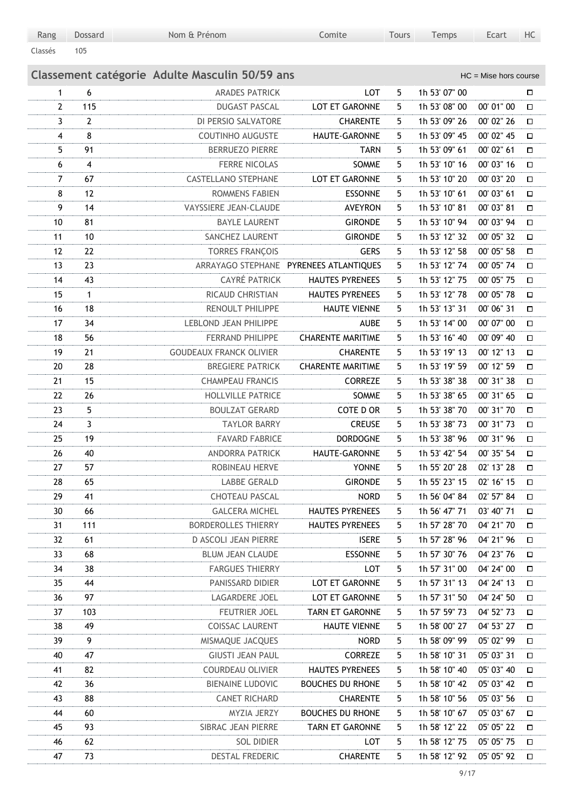| Rang    | Dossard | Nom & Prénom | Comite | <b>Tours</b> | Temps | Ecart | HC |
|---------|---------|--------------|--------|--------------|-------|-------|----|
| Classés | 105     |              |        |              |       |       |    |

|                |                         | Classement catégorie Adulte Masculin 50/59 ans |                                        |   |               | $HC =$ Mise hors course |        |
|----------------|-------------------------|------------------------------------------------|----------------------------------------|---|---------------|-------------------------|--------|
| $\mathbf{1}$   | 6                       | <b>ARADES PATRICK</b>                          | LOT                                    | 5 | 1h 53' 07" 00 |                         | □      |
| $\overline{2}$ | 115                     | <b>DUGAST PASCAL</b>                           | LOT ET GARONNE                         | 5 | 1h 53' 08" 00 | 00' 01" 00              | $\Box$ |
| 3              | $\overline{2}$          | DI PERSIO SALVATORE                            | <b>CHARENTE</b>                        | 5 | 1h 53' 09" 26 | 00' 02" 26              | □      |
| 4              | 8                       | <b>COUTINHO AUGUSTE</b>                        | HAUTE-GARONNE                          | 5 | 1h 53' 09" 45 | 00' 02" 45              | О      |
| 5              | 91                      | <b>BERRUEZO PIERRE</b>                         | <b>TARN</b>                            | 5 | 1h 53' 09" 61 | 00' 02" 61              | □      |
| 6              | $\overline{\mathbf{4}}$ | <b>FERRE NICOLAS</b>                           | SOMME                                  | 5 | 1h 53' 10" 16 | 00' 03" 16              | $\Box$ |
| $\overline{7}$ | 67                      | <b>CASTELLANO STEPHANE</b>                     | LOT ET GARONNE                         | 5 | 1h 53' 10" 20 | 00' 03" 20              | □      |
| 8              | 12                      | <b>ROMMENS FABIEN</b>                          | <b>ESSONNE</b>                         | 5 | 1h 53' 10" 61 | 00' 03" 61              | $\Box$ |
| 9              | 14                      | VAYSSIERE JEAN-CLAUDE                          | <b>AVEYRON</b>                         | 5 | 1h 53' 10" 81 | 00' 03" 81              | О      |
| 10             | 81                      | <b>BAYLE LAURENT</b>                           | <b>GIRONDE</b>                         | 5 | 1h 53' 10" 94 | 00' 03" 94              | О      |
| 11             | 10                      | SANCHEZ LAURENT                                | <b>GIRONDE</b>                         | 5 | 1h 53' 12" 32 | 00' 05" 32              | □      |
| 12             | 22                      | <b>TORRES FRANÇOIS</b>                         | <b>GERS</b>                            | 5 | 1h 53' 12" 58 | 00' 05" 58              | о      |
| 13             | 23                      |                                                | ARRAYAGO STEPHANE PYRENEES ATLANTIQUES | 5 | 1h 53' 12" 74 | 00' 05" 74              | □      |
| 14             | 43                      | <b>CAYRÉ PATRICK</b>                           | <b>HAUTES PYRENEES</b>                 | 5 | 1h 53' 12" 75 | 00' 05" 75              | О      |
| 15             | 1                       | RICAUD CHRISTIAN                               | <b>HAUTES PYRENEES</b>                 | 5 | 1h 53' 12" 78 | 00' 05" 78              | □      |
| 16             | 18                      | RENOULT PHILIPPE                               | <b>HAUTE VIENNE</b>                    | 5 | 1h 53' 13" 31 | 00' 06" 31              | $\Box$ |
| 17             | 34                      | LEBLOND JEAN PHILIPPE                          | <b>AUBE</b>                            | 5 | 1h 53' 14" 00 | 00' 07" 00              | $\Box$ |
| 18             | 56                      | <b>FERRAND PHILIPPE</b>                        | <b>CHARENTE MARITIME</b>               | 5 | 1h 53' 16" 40 | 00' 09" 40              | $\Box$ |
| 19             | 21                      | <b>GOUDEAUX FRANCK OLIVIER</b>                 | <b>CHARENTE</b>                        | 5 | 1h 53' 19" 13 | 00' 12" 13              | $\Box$ |
| 20             | 28                      | <b>BREGIERE PATRICK</b>                        | <b>CHARENTE MARITIME</b>               | 5 | 1h 53' 19" 59 | 00' 12" 59              | $\Box$ |
| 21             | 15                      | <b>CHAMPEAU FRANCIS</b>                        | <b>CORREZE</b>                         | 5 | 1h 53' 38" 38 | 00' 31" 38              | □      |
| 22             | 26                      | <b>HOLLVILLE PATRICE</b>                       | SOMME                                  | 5 | 1h 53' 38" 65 | 00' 31" 65              | □      |
| 23             | 5                       | <b>BOULZAT GERARD</b>                          | COTE D OR                              | 5 | 1h 53' 38" 70 | 00' 31" 70              | $\Box$ |
| 24             | $\overline{3}$          | <b>TAYLOR BARRY</b>                            | <b>CREUSE</b>                          | 5 | 1h 53' 38" 73 | 00' 31" 73              | $\Box$ |
| 25             | 19                      | <b>FAVARD FABRICE</b>                          | <b>DORDOGNE</b>                        | 5 | 1h 53' 38" 96 | 00' 31" 96              | $\Box$ |
| 26             | 40                      | <b>ANDORRA PATRICK</b>                         | HAUTE-GARONNE                          | 5 | 1h 53' 42" 54 | 00' 35" 54              | $\Box$ |
| 27             | 57                      | ROBINEAU HERVE                                 | <b>YONNE</b>                           | 5 | 1h 55' 20" 28 | 02' 13" 28              | П      |
| 28             | 65                      | <b>LABBE GERALD</b>                            | <b>GIRONDE</b>                         | 5 | 1h 55' 23" 15 | 02' 16" 15              | $\Box$ |
| 29             | 41                      | <b>CHOTEAU PASCAL</b>                          | <b>NORD</b>                            | 5 | 1h 56' 04" 84 | 02' 57" 84              | П      |
| 30             | 66                      | <b>GALCERA MICHEL</b>                          | <b>HAUTES PYRENEES</b>                 | 5 | 1h 56' 47" 71 | 03' 40" 71              | $\Box$ |
| 31             | 111                     | <b>BORDEROLLES THIERRY</b>                     | <b>HAUTES PYRENEES</b>                 | 5 | 1h 57' 28" 70 | 04' 21" 70              | Д      |
| 32             | 61                      | D ASCOLI JEAN PIERRE                           | <b>ISERE</b>                           | 5 | 1h 57' 28" 96 | 04' 21" 96              | $\Box$ |
| 33             | 68                      | <b>BLUM JEAN CLAUDE</b>                        | <b>ESSONNE</b>                         | 5 | 1h 57' 30" 76 | 04' 23" 76              | Д      |
| 34             | 38                      | <b>FARGUES THIERRY</b>                         | LOT                                    | 5 | 1h 57' 31" 00 | 04' 24" 00              | □      |
| 35             | 44                      | PANISSARD DIDIER                               | LOT ET GARONNE                         | 5 | 1h 57' 31" 13 | 04' 24" 13              | □      |
| 36             | 97                      | LAGARDERE JOEL                                 | LOT ET GARONNE                         | 5 | 1h 57' 31" 50 | 04' 24" 50              | □      |
| 37             | 103                     | FEUTRIER JOEL                                  | <b>TARN ET GARONNE</b>                 | 5 | 1h 57' 59" 73 | 04' 52" 73              | □      |
| 38             | 49                      | <b>COISSAC LAURENT</b>                         | <b>HAUTE VIENNE</b>                    | 5 | 1h 58' 00" 27 | 04' 53" 27              | □      |
| 39             | 9                       | MISMAQUE JACQUES                               | <b>NORD</b>                            | 5 | 1h 58' 09" 99 | 05' 02" 99              | □      |
| 40             | 47                      | <b>GIUSTI JEAN PAUL</b>                        | <b>CORREZE</b>                         | 5 | 1h 58' 10" 31 | 05' 03" 31              | 口      |
| 41             | 82                      | <b>COURDEAU OLIVIER</b>                        | <b>HAUTES PYRENEES</b>                 | 5 | 1h 58' 10" 40 | 05' 03" 40              | 口      |
| 42             | 36                      | <b>BIENAINE LUDOVIC</b>                        | <b>BOUCHES DU RHONE</b>                | 5 | 1h 58' 10" 42 | 05' 03" 42              | 口      |
| 43             | 88                      | <b>CANET RICHARD</b>                           | <b>CHARENTE</b>                        | 5 | 1h 58' 10" 56 | 05' 03" 56              | 口      |
| 44             | 60                      | MYZIA JERZY                                    | <b>BOUCHES DU RHONE</b>                | 5 | 1h 58' 10" 67 | 05' 03" 67              | 口      |
| 45             | 93                      | SIBRAC JEAN PIERRE                             | TARN ET GARONNE                        | 5 | 1h 58' 12" 22 | 05' 05" 22              | 口      |
| 46             | 62                      | <b>SOL DIDIER</b>                              | LOT                                    | 5 | 1h 58' 12" 75 | 05' 05" 75              | □      |
| 47             | 73                      | DESTAL FREDERIC                                | <b>CHARENTE</b>                        | 5 | 1h 58' 12" 92 | 05' 05" 92              | □      |
|                |                         |                                                |                                        |   |               |                         |        |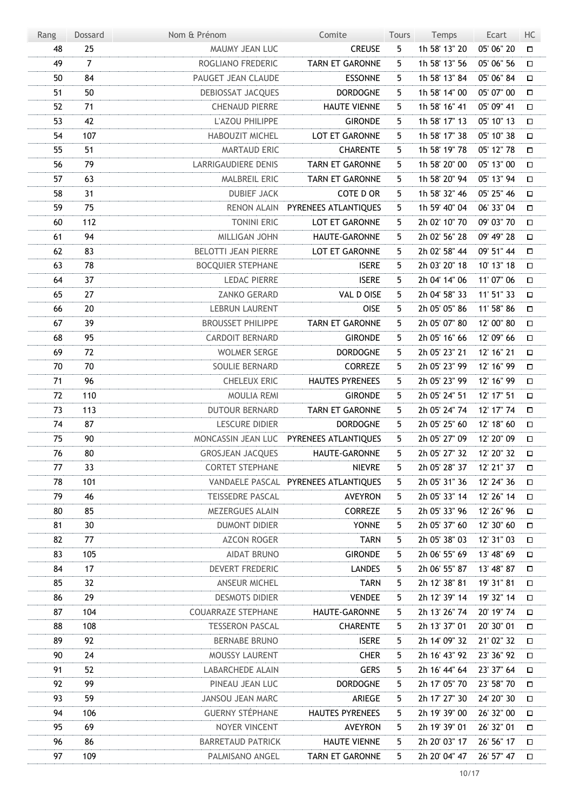| Rang | Dossard        | Nom & Prénom               | Comite                                  | <b>Tours</b> | Temps         | Ecart      | HC     |
|------|----------------|----------------------------|-----------------------------------------|--------------|---------------|------------|--------|
| 48   | 25             | MAUMY JEAN LUC             | <b>CREUSE</b>                           | 5            | 1h 58' 13" 20 | 05' 06" 20 | $\Box$ |
| 49   | $\overline{7}$ | ROGLIANO FREDERIC          | <b>TARN ET GARONNE</b>                  | 5            | 1h 58' 13" 56 | 05' 06" 56 | $\Box$ |
| 50   | 84             | PAUGET JEAN CLAUDE         | <b>ESSONNE</b>                          | 5            | 1h 58' 13" 84 | 05' 06" 84 | $\Box$ |
| 51   | 50             | DEBIOSSAT JACQUES          | <b>DORDOGNE</b>                         | 5            | 1h 58' 14" 00 | 05' 07" 00 | $\Box$ |
| 52   | 71             | <b>CHENAUD PIERRE</b>      | <b>HAUTE VIENNE</b>                     | 5            | 1h 58' 16" 41 | 05' 09" 41 | $\Box$ |
| 53   | 42             | L'AZOU PHILIPPE            | <b>GIRONDE</b>                          | 5            | 1h 58' 17" 13 | 05' 10" 13 | $\Box$ |
| 54   | 107            | <b>HABOUZIT MICHEL</b>     | LOT ET GARONNE                          | 5            | 1h 58' 17" 38 | 05' 10" 38 | $\Box$ |
| 55   | 51             | MARTAUD ERIC               | <b>CHARENTE</b>                         | 5            | 1h 58' 19" 78 | 05' 12" 78 | $\Box$ |
| 56   | 79             | <b>LARRIGAUDIERE DENIS</b> | <b>TARN ET GARONNE</b>                  | 5            | 1h 58' 20" 00 | 05' 13" 00 | $\Box$ |
| 57   | 63             | MALBREIL ERIC              | TARN ET GARONNE                         | 5            | 1h 58' 20" 94 | 05' 13" 94 | $\Box$ |
| 58   | 31             | <b>DUBIEF JACK</b>         | COTE D OR                               | 5            | 1h 58' 32" 46 | 05' 25" 46 | $\Box$ |
| 59   | 75             | <b>RENON ALAIN</b>         | PYRENEES ATLANTIQUES                    | 5            | 1h 59' 40" 04 | 06' 33" 04 | $\Box$ |
| 60   | 112            | <b>TONINI ERIC</b>         | LOT ET GARONNE                          | 5            | 2h 02' 10" 70 | 09' 03" 70 | $\Box$ |
| 61   | 94             | MILLIGAN JOHN              | HAUTE-GARONNE                           | 5            | 2h 02' 56" 28 | 09' 49" 28 | $\Box$ |
| 62   | 83             | <b>BELOTTI JEAN PIERRE</b> | LOT ET GARONNE                          | 5            | 2h 02' 58" 44 | 09' 51" 44 | $\Box$ |
| 63   | 78             | <b>BOCQUIER STEPHANE</b>   | <b>ISERE</b>                            | 5            | 2h 03' 20" 18 | 10' 13" 18 | $\Box$ |
| 64   | 37             | <b>LEDAC PIERRE</b>        | <b>ISERE</b>                            | 5            | 2h 04' 14" 06 | 11' 07" 06 | $\Box$ |
| 65   | 27             | <b>ZANKO GERARD</b>        | VAL D OISE                              | 5            | 2h 04' 58" 33 | 11' 51" 33 | $\Box$ |
| 66   | 20             | <b>LEBRUN LAURENT</b>      | <b>OISE</b>                             | 5            | 2h 05' 05" 86 | 11' 58" 86 | $\Box$ |
| 67   | 39             | <b>BROUSSET PHILIPPE</b>   | <b>TARN ET GARONNE</b>                  | 5            | 2h 05' 07" 80 | 12' 00" 80 | $\Box$ |
| 68   | 95             | <b>CARDOIT BERNARD</b>     | <b>GIRONDE</b>                          | 5            | 2h 05' 16" 66 | 12' 09" 66 | $\Box$ |
| 69   | 72             | <b>WOLMER SERGE</b>        | <b>DORDOGNE</b>                         | 5            | 2h 05' 23" 21 | 12' 16" 21 | $\Box$ |
| 70   | 70             | SOULIE BERNARD             | <b>CORREZE</b>                          | 5            | 2h 05' 23" 99 | 12' 16" 99 | П      |
| 71   | 96             | <b>CHELEUX ERIC</b>        | <b>HAUTES PYRENEES</b>                  | 5            | 2h 05' 23" 99 | 12' 16" 99 | $\Box$ |
| 72   | 110            | <b>MOULIA REMI</b>         | <b>GIRONDE</b>                          | 5            | 2h 05' 24" 51 | 12' 17" 51 | $\Box$ |
| 73   | 113            | <b>DUTOUR BERNARD</b>      | <b>TARN ET GARONNE</b>                  | 5            | 2h 05' 24" 74 | 12' 17" 74 | $\Box$ |
| 74   | 87             | <b>LESCURE DIDIER</b>      | <b>DORDOGNE</b>                         | 5            | 2h 05' 25" 60 | 12' 18" 60 | $\Box$ |
| 75   | 90             |                            | MONCASSIN JEAN LUC PYRENEES ATLANTIQUES | 5            | 2h 05' 27" 09 | 12' 20" 09 | $\Box$ |
| 76   | 80             | <b>GROSJEAN JACQUES</b>    | HAUTE-GARONNE                           | 5            | 2h 05' 27" 32 | 12' 20" 32 | $\Box$ |
| 77   | 33             | <b>CORTET STEPHANE</b>     | <b>NIEVRE</b>                           | 5            | 2h 05' 28" 37 | 12' 21" 37 | □      |
| 78   | 101            |                            | VANDAELE PASCAL PYRENEES ATLANTIQUES    | 5.           | 2h 05' 31" 36 | 12' 24" 36 | Д      |
| 79   | 46             | <b>TEISSEDRE PASCAL</b>    | <b>AVEYRON</b>                          | 5            | 2h 05' 33" 14 | 12' 26" 14 | □      |
| 80   | 85             | MEZERGUES ALAIN            | <b>CORREZE</b>                          | 5.           | 2h 05' 33" 96 | 12' 26" 96 | □      |
| 81   | 30             | <b>DUMONT DIDIER</b>       | <b>YONNE</b>                            | 5            | 2h 05' 37" 60 | 12' 30" 60 | □      |
| 82   | 77             | <b>AZCON ROGER</b>         | <b>TARN</b>                             | 5.           | 2h 05' 38" 03 | 12' 31" 03 | Д      |
| 83   | 105            | <b>AIDAT BRUNO</b>         | <b>GIRONDE</b>                          | 5.           | 2h 06' 55" 69 | 13' 48" 69 | □      |
| 84   | 17             | DEVERT FREDERIC            | <b>LANDES</b>                           | 5.           | 2h 06' 55" 87 | 13' 48" 87 | □      |
| 85   | 32             | <b>ANSEUR MICHEL</b>       | <b>TARN</b>                             | 5            | 2h 12' 38" 81 | 19' 31" 81 | □      |
| 86   | 29             | <b>DESMOTS DIDIER</b>      | <b>VENDEE</b>                           | 5            | 2h 12' 39" 14 | 19' 32" 14 | 口      |
| 87   | 104            | <b>COUARRAZE STEPHANE</b>  | HAUTE-GARONNE                           | 5.           | 2h 13' 26" 74 | 20' 19" 74 | □      |
| 88   | 108            | <b>TESSERON PASCAL</b>     | <b>CHARENTE</b>                         | 5.           | 2h 13' 37" 01 | 20' 30" 01 | 口      |
| 89   | 92             | <b>BERNABE BRUNO</b>       | <b>ISERE</b>                            | 5            | 2h 14' 09" 32 | 21' 02" 32 | □      |
| 90   | 24             | MOUSSY LAURENT             | <b>CHER</b>                             | 5.           | 2h 16' 43" 92 | 23' 36" 92 | 口      |
| 91   | 52             | LABARCHEDE ALAIN           | <b>GERS</b>                             | 5.           | 2h 16' 44" 64 | 23' 37" 64 | □      |
| 92   | 99             | PINEAU JEAN LUC            | <b>DORDOGNE</b>                         | 5.           | 2h 17' 05" 70 | 23' 58" 70 | □      |
| 93   | 59             | <b>JANSOU JEAN MARC</b>    | ARIEGE                                  | 5            | 2h 17' 27" 30 | 24' 20" 30 | □      |
| 94   | 106            | <b>GUERNY STÉPHANE</b>     | <b>HAUTES PYRENEES</b>                  | 5.           | 2h 19' 39" 00 | 26' 32" 00 | 口      |
| 95   | 69             | NOYER VINCENT              | <b>AVEYRON</b>                          | 5.           | 2h 19' 39" 01 | 26' 32" 01 | □      |
| 96   | 86             | <b>BARRETAUD PATRICK</b>   | <b>HAUTE VIENNE</b>                     | 5.           | 2h 20' 03" 17 | 26' 56" 17 | 口      |
| 97   | 109            | PALMISANO ANGEL            | TARN ET GARONNE                         | 5.           | 2h 20' 04" 47 | 26' 57" 47 | □      |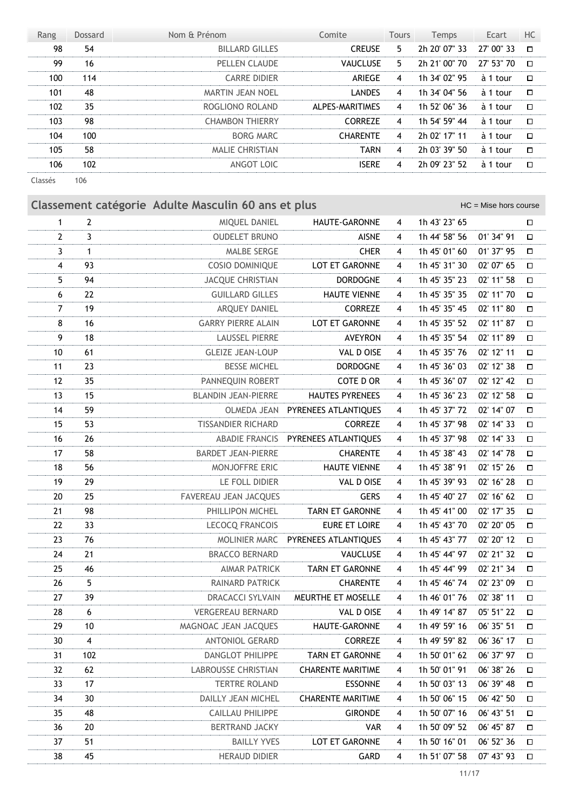| Rang    | <b>Dossard</b> | Nom & Prénom            | Comite          | <b>Tours</b>   | <b>Temps</b>  | Ecart      | HC     |
|---------|----------------|-------------------------|-----------------|----------------|---------------|------------|--------|
| 98      | 54             | <b>BILLARD GILLES</b>   | <b>CREUSE</b>   | 5.             | 2h 20' 07" 33 | 27' 00" 33 | $\Box$ |
| 99      | 16             | PELLEN CLAUDE           | <b>VAUCLUSE</b> | 5.             | 2h 21' 00" 70 | 27' 53" 70 | $\Box$ |
| 100     | 114            | <b>CARRE DIDIER</b>     | ARIEGE          | 4              | 1h 34' 02" 95 | à 1 tour   | $\Box$ |
| 101     | 48             | <b>MARTIN JEAN NOEL</b> | <b>LANDES</b>   | $\overline{4}$ | 1h 34' 04" 56 | à 1 tour   | $\Box$ |
| 102     | 35             | ROGLIONO ROLAND         | ALPES-MARITIMES | 4              | 1h 52' 06" 36 | à 1 tour   | $\Box$ |
| 103     | 98             | <b>CHAMBON THIERRY</b>  | <b>CORREZE</b>  | 4              | 1h 54' 59" 44 | à 1 tour   | $\Box$ |
| 104     | 100            | BORG MARC               | <b>CHARENTE</b> | 4              | 2h 02' 17" 11 | à 1 tour   | $\Box$ |
| 105     | 58             | MALIE CHRISTIAN         | <b>TARN</b>     | 4              | 2h 03' 39" 50 | à 1 tour   | $\Box$ |
| 106     | 102            | ANGOT LOIC              | <b>ISERE</b>    | 4              | 2h 09' 23" 52 | à 1 tour   | $\Box$ |
| Classés | 106            |                         |                 |                |               |            |        |

**Classement catégorie Adulte Masculin 60 ans et plus** Masculin 1999 and HC = Mise hors course 2 MIQUEL DANIEL HAUTE-GARONNE 4 1h 43' 23'' 65 3 OUDELET BRUNO AISNE 4 1h 44' 58'' 56 01' 34'' 91 1 MALBE SERGE CHER 4 1h 45' 01'' 60 01' 37'' 95 93 COSIO DOMINIQUE LOT ET GARONNE 4 1h 45' 31'' 30 02' 07'' 65 94 JACQUE CHRISTIAN DORDOGNE 4 1h 45' 35'' 23 02' 11'' 58 22 GUILLARD GILLES HAUTE VIENNE 4 1h 45' 35'' 35 02' 11'' 70 19 ARQUEY DANIEL CORREZE 4 1h 45' 35'' 45 02' 11'' 80 8 16 GARRY PIERRE ALAIN LOT ET GARONNE 4 1h 45' 35" 52 02' 11" 87 18 LAUSSEL PIERRE AVEYRON 4 1h 45' 35'' 54 02' 11'' 89 61 GLEIZE JEAN-LOUP VAL D OISE 4 1h 45' 35'' 76 02' 12'' 11 23 BESSE MICHEL DORDOGNE 4 1h 45' 36'' 03 02' 12'' 38 35 PANNEQUIN ROBERT COTE D OR 4 1h 45' 36'' 07 02' 12'' 42 15 BLANDIN JEAN-PIERRE HAUTES PYRENEES 4 1h 45' 36'' 23 02' 12'' 58 59 OLMEDA JEAN PYRENEES ATLANTIQUES 4 1h 45' 37'' 72 02' 14'' 07 53 TISSANDIER RICHARD CORREZE 4 1h 45' 37'' 98 02' 14'' 33 26 ABADIE FRANCIS PYRENEES ATLANTIQUES 4 1h 45' 37'' 98 02' 14'' 33 58 BARDET JEAN-PIERRE CHARENTE 4 1h 45' 38'' 43 02' 14'' 78 56 MONJOFFRE ERIC HAUTE VIENNE 4 1h 45' 38'' 91 02' 15'' 26 29 LE FOLL DIDIER VAL D OISE 4 1h 45' 39'' 93 02' 16'' 28 25 FAVEREAU JEAN JACQUES GERS 4 1h 45' 40'' 27 02' 16'' 62 21 98 PHILLIPON MICHEL TARN ET GARONNE 4 1h 45' 41" 00 02' 17" 35 33 LECOCQ FRANCOIS EURE ET LOIRE 4 1h 45' 43'' 70 02' 20'' 05 76 MOLINIER MARC PYRENEES ATLANTIQUES 4 1h 45' 43'' 77 02' 20'' 12 21 BRACCO BERNARD VAUCLUSE 4 1h 45' 44'' 97 02' 21'' 32 46 AIMAR PATRICK TARN ET GARONNE 4 1h 45' 44'' 99 02' 21'' 34 5 RAINARD PATRICK CHARENTE 4 1h 45' 46'' 74 02' 23'' 09 27 39 DRACACCI SYLVAIN MEURTHE ET MOSELLE 4 1h 46' 01" 76 02' 38" 11 6 VERGEREAU BERNARD VAL D OISE 4 1h 49' 14'' 87 05' 51'' 22 10 MAGNOAC JEAN JACQUES HAUTE-GARONNE 4 1h 49' 59'' 16 06' 35'' 51 4 ANTONIOL GERARD CORREZE 4 1h 49' 59'' 82 06' 36'' 17 102 DANGLOT PHILIPPE TARN ET GARONNE 4 1h 50' 01'' 62 06' 37'' 97 62 LABROUSSE CHRISTIAN CHARENTE MARITIME 4 1h 50' 01'' 91 06' 38'' 26

 17 TERTRE ROLAND ESSONNE 4 1h 50' 03'' 13 06' 39'' 48 30 DAILLY JEAN MICHEL CHARENTE MARITIME 4 1h 50' 06'' 15 06' 42'' 50 48 CAILLAU PHILIPPE GIRONDE 4 1h 50' 07'' 16 06' 43'' 51 20 BERTRAND JACKY VAR 4 1h 50' 09'' 52 06' 45'' 87 37 51 BAILLY YVES LOT ET GARONNE 4 1h 50' 16" 01 06' 52" 36 45 HERAUD DIDIER GARD 4 1h 51' 07'' 58 07' 43'' 93

11/17

 $\Box$  $\Box$  $\Box$  $\Box$  $\Box$  $\Box$  $\Box$  $\Box$  $\Box$  $\Box$  $\Box$  $\Box$  $\Box$  $\Box$  $\Box$  $\Box$  $\Box$  $\Box$  $\Box$  $\Box$  $\Box$  $\Box$  $\Box$  $\Box$  $\Box$  $\Box$  $\Box$  $\Box$  $\Box$  $\Box$  $\Box$  $\Box$  $\Box$  $\Box$  $\Box$  $\Box$  $\Box$  $\Box$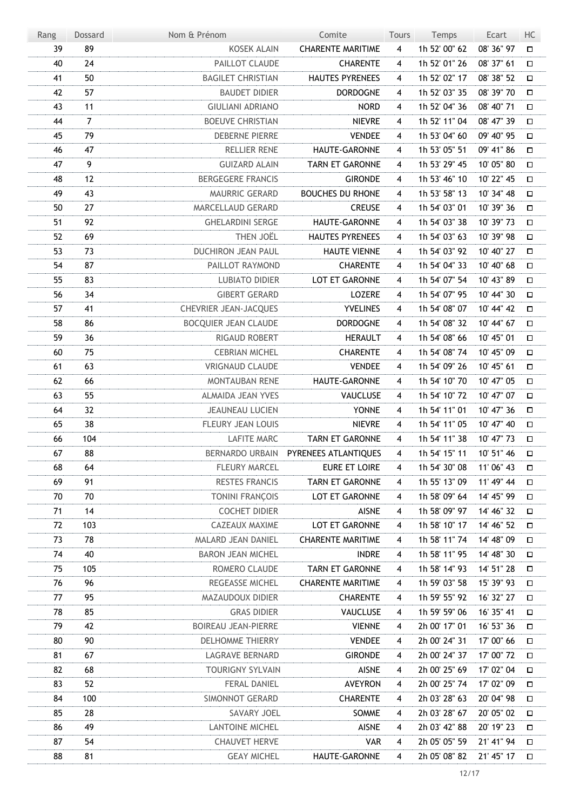| Rang | <b>Dossard</b> | Nom & Prénom                | Comite                               | Tours                   | Temps         | Ecart      | HC     |
|------|----------------|-----------------------------|--------------------------------------|-------------------------|---------------|------------|--------|
| 39   | 89             | <b>KOSEK ALAIN</b>          | <b>CHARENTE MARITIME</b>             | $\overline{4}$          | 1h 52' 00" 62 | 08' 36" 97 | 口      |
| 40   | 24             | PAILLOT CLAUDE              | <b>CHARENTE</b>                      | 4                       | 1h 52' 01" 26 | 08' 37" 61 | П      |
| 41   | 50             | <b>BAGILET CHRISTIAN</b>    | <b>HAUTES PYRENEES</b>               | 4                       | 1h 52' 02" 17 | 08' 38" 52 | $\Box$ |
| 42   | 57             | <b>BAUDET DIDIER</b>        | <b>DORDOGNE</b>                      | 4                       | 1h 52' 03" 35 | 08' 39" 70 | □      |
| 43   | 11             | <b>GIULIANI ADRIANO</b>     | <b>NORD</b>                          | $\overline{\mathbf{4}}$ | 1h 52' 04" 36 | 08' 40" 71 | $\Box$ |
| 44   | $\overline{7}$ | <b>BOEUVE CHRISTIAN</b>     | <b>NIEVRE</b>                        | 4                       | 1h 52' 11" 04 | 08' 47" 39 | О      |
| 45   | 79             | <b>DEBERNE PIERRE</b>       | <b>VENDEE</b>                        | 4                       | 1h 53' 04" 60 | 09' 40" 95 | $\Box$ |
| 46   | 47             | <b>RELLIER RENE</b>         | HAUTE-GARONNE                        | $\overline{\mathbf{4}}$ | 1h 53' 05" 51 | 09' 41" 86 | $\Box$ |
| 47   | 9              | <b>GUIZARD ALAIN</b>        | <b>TARN ET GARONNE</b>               | $\overline{\mathbf{4}}$ | 1h 53' 29" 45 | 10' 05" 80 | $\Box$ |
| 48   | 12             | <b>BERGEGERE FRANCIS</b>    | <b>GIRONDE</b>                       | 4                       | 1h 53' 46" 10 | 10' 22" 45 | О      |
| 49   | 43             | MAURRIC GERARD              | <b>BOUCHES DU RHONE</b>              | 4                       | 1h 53' 58" 13 | 10' 34" 48 | $\Box$ |
| 50   | 27             | MARCELLAUD GERARD           | <b>CREUSE</b>                        | 4                       | 1h 54' 03" 01 | 10' 39" 36 | $\Box$ |
| 51   | 92             | <b>GHELARDINI SERGE</b>     | HAUTE-GARONNE                        | 4                       | 1h 54' 03" 38 | 10' 39" 73 | $\Box$ |
| 52   | 69             | THEN JOËL                   | <b>HAUTES PYRENEES</b>               | 4                       | 1h 54' 03" 63 | 10' 39" 98 | $\Box$ |
| 53   | 73             | <b>DUCHIRON JEAN PAUL</b>   | <b>HAUTE VIENNE</b>                  | 4                       | 1h 54' 03" 92 | 10' 40" 27 | $\Box$ |
| 54   | 87             | PAILLOT RAYMOND             | <b>CHARENTE</b>                      | 4                       | 1h 54' 04" 33 | 10' 40" 68 | $\Box$ |
| 55   | 83             | <b>LUBIATO DIDIER</b>       | LOT ET GARONNE                       | $\overline{\mathbf{4}}$ | 1h 54' 07" 54 | 10' 43" 89 | $\Box$ |
| 56   | 34             | <b>GIBERT GERARD</b>        | LOZERE                               | 4                       | 1h 54' 07" 95 | 10' 44" 30 | $\Box$ |
| 57   | 41             | CHEVRIER JEAN-JACQUES       | <b>YVELINES</b>                      | 4                       | 1h 54' 08" 07 | 10' 44" 42 | $\Box$ |
| 58   | 86             | <b>BOCQUIER JEAN CLAUDE</b> | <b>DORDOGNE</b>                      | 4                       | 1h 54' 08" 32 | 10' 44" 67 | $\Box$ |
| 59   | 36             | <b>RIGAUD ROBERT</b>        | <b>HERAULT</b>                       | 4                       | 1h 54' 08" 66 | 10' 45" 01 | о      |
| 60   | 75             | <b>CEBRIAN MICHEL</b>       | <b>CHARENTE</b>                      | 4                       | 1h 54' 08" 74 | 10' 45" 09 | $\Box$ |
| 61   | 63             | <b>VRIGNAUD CLAUDE</b>      | <b>VENDEE</b>                        | 4                       | 1h 54' 09" 26 | 10' 45" 61 | П      |
| 62   | 66             | <b>MONTAUBAN RENE</b>       | HAUTE-GARONNE                        | 4                       | 1h 54' 10" 70 | 10' 47" 05 | $\Box$ |
| 63   | 55             | ALMAIDA JEAN YVES           | <b>VAUCLUSE</b>                      | 4                       | 1h 54' 10" 72 | 10' 47" 07 | $\Box$ |
| 64   | 32             | <b>JEAUNEAU LUCIEN</b>      | <b>YONNE</b>                         | 4                       | 1h 54' 11" 01 | 10' 47" 36 | $\Box$ |
| 65   | 38             | FLEURY JEAN LOUIS           | <b>NIEVRE</b>                        | 4                       | 1h 54' 11" 05 | 10' 47" 40 | $\Box$ |
| 66   | 104            | <b>LAFITE MARC</b>          | <b>TARN ET GARONNE</b>               | $\overline{4}$          | 1h 54' 11" 38 | 10' 47" 73 | $\Box$ |
| 67   | 88             |                             | BERNARDO URBAIN PYRENEES ATLANTIQUES | $\overline{4}$          | 1h 54' 15" 11 | 10' 51" 46 | $\Box$ |
| 68   | 64             | <b>FLEURY MARCEL</b>        | <b>EURE ET LOIRE</b>                 | 4                       | 1h 54' 30" 08 | 11' 06" 43 | Д      |
| 69   | 91             | <b>RESTES FRANCIS</b>       | TARN ET GARONNE                      | 4                       | 1h 55' 13" 09 | 11' 49" 44 | □      |
| 70   | 70             | <b>TONINI FRANÇOIS</b>      | LOT ET GARONNE                       | 4                       | 1h 58' 09" 64 | 14' 45" 99 | $\Box$ |
| 71   | 14             | <b>COCHET DIDIER</b>        | <b>AISNE</b>                         | 4                       | 1h 58' 09" 97 | 14' 46" 32 | □      |
| 72   | 103            | CAZEAUX MAXIME              | LOT ET GARONNE                       | 4                       | 1h 58' 10" 17 | 14' 46" 52 | □      |
| 73   | 78             | MALARD JEAN DANIEL          | <b>CHARENTE MARITIME</b>             | 4                       | 1h 58' 11" 74 | 14' 48" 09 | Д      |
| 74   | 40             | <b>BARON JEAN MICHEL</b>    | <b>INDRE</b>                         | 4                       | 1h 58' 11" 95 | 14' 48" 30 | $\Box$ |
| 75   | 105            | ROMERO CLAUDE               | <b>TARN ET GARONNE</b>               | 4                       | 1h 58' 14" 93 | 14' 51" 28 | 口      |
| 76   | 96             | REGEASSE MICHEL             | <b>CHARENTE MARITIME</b>             | 4                       | 1h 59' 03" 58 | 15' 39" 93 | □      |
| 77   | 95             | MAZAUDOUX DIDIER            | <b>CHARENTE</b>                      | 4                       | 1h 59' 55" 92 | 16' 32" 27 | 口      |
| 78   | 85             | <b>GRAS DIDIER</b>          | VAUCLUSE                             | 4                       | 1h 59' 59" 06 | 16' 35" 41 | □      |
| 79   | 42             | <b>BOIREAU JEAN-PIERRE</b>  | <b>VIENNE</b>                        | 4                       | 2h 00' 17" 01 | 16' 53" 36 | 口      |
| 80   | 90             | DELHOMME THIERRY            | <b>VENDEE</b>                        | 4                       | 2h 00' 24" 31 | 17' 00" 66 | $\Box$ |
| 81   | 67             | <b>LAGRAVE BERNARD</b>      | <b>GIRONDE</b>                       | 4                       | 2h 00' 24" 37 | 17' 00" 72 | 口      |
| 82   | 68             | <b>TOURIGNY SYLVAIN</b>     | <b>AISNE</b>                         | 4                       | 2h 00' 25" 69 | 17' 02" 04 | 口      |
| 83   | 52             | FERAL DANIEL                | <b>AVEYRON</b>                       | 4                       | 2h 00' 25" 74 | 17' 02" 09 | 口      |
| 84   | 100            | SIMONNOT GERARD             | <b>CHARENTE</b>                      | 4                       | 2h 03' 28" 63 | 20' 04" 98 | 口      |
| 85   | 28             | <b>SAVARY JOEL</b>          | SOMME                                | 4                       | 2h 03' 28" 67 | 20' 05" 02 | 口      |
| 86   | 49             | <b>LANTOINE MICHEL</b>      | <b>AISNE</b>                         | 4                       | 2h 03' 42" 88 | 20' 19" 23 | 口      |
| 87   | 54             | <b>CHAUVET HERVE</b>        | <b>VAR</b>                           | 4                       | 2h 05' 05" 59 | 21' 41" 94 | 口      |
| 88   | 81             | <b>GEAY MICHEL</b>          | HAUTE-GARONNE                        | 4                       | 2h 05' 08" 82 | 21' 45" 17 | □      |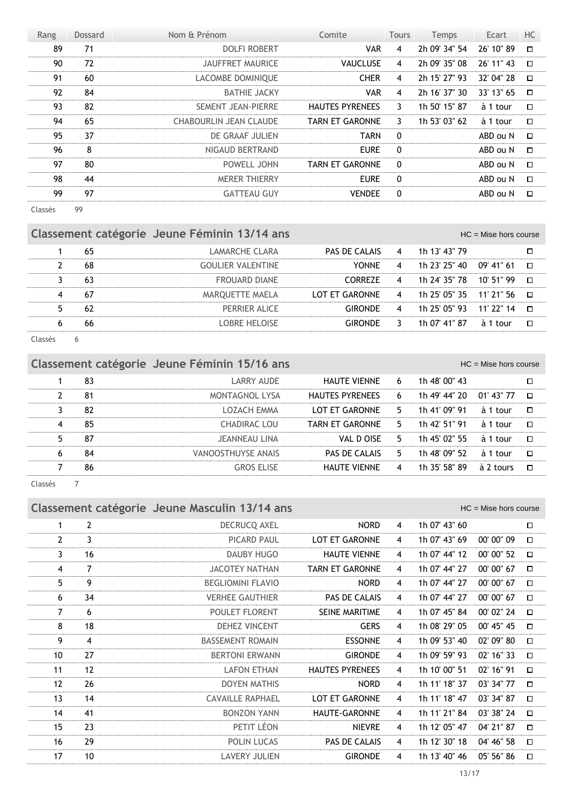| Rang | Dossard | Nom & Prénom                  | Comite                 | <b>Tours</b>   | Temps         | Ecart      | HC     |
|------|---------|-------------------------------|------------------------|----------------|---------------|------------|--------|
| 89   | 71      | <b>DOLFI ROBERT</b>           | <b>VAR</b>             | $\overline{4}$ | 2h 09' 34" 54 | 26' 10" 89 | $\Box$ |
| 90   | 72      | <b>JAUFFRET MAURICE</b>       | <b>VAUCLUSE</b>        | $\overline{4}$ | 2h 09' 35" 08 | 26' 11" 43 | $\Box$ |
| 91   | 60      | LACOMBE DOMINIQUE             | <b>CHER</b>            | $\overline{4}$ | 2h 15' 27" 93 | 32' 04" 28 | $\Box$ |
| 92   | 84      | <b>BATHIE JACKY</b>           | <b>VAR</b>             | $\overline{4}$ | 2h 16' 37" 30 | 33' 13" 65 | $\Box$ |
| 93   | 82      | <b>SEMENT JEAN-PIERRE</b>     | <b>HAUTES PYRENEES</b> | 3              | 1h 50' 15" 87 | à 1 tour   | $\Box$ |
| 94   | 65      | <b>CHABOURLIN JEAN CLAUDE</b> | <b>TARN ET GARONNE</b> | 3              | 1h 53' 03" 62 | à 1 tour   | $\Box$ |
| 95   | 37      | DE GRAAF JULIEN               | <b>TARN</b>            | $\mathbf{0}$   |               | ABD ou N   | $\Box$ |
| 96   | 8       | NIGAUD BERTRAND               | <b>EURE</b>            | $\Omega$       |               | ABD ou N   | $\Box$ |
| 97   | 80      | POWELL JOHN                   | <b>TARN ET GARONNE</b> | $\mathbf{0}$   |               | ABD ou N   | $\Box$ |
| 98   | 44      | <b>MERER THIERRY</b>          | <b>EURE</b>            | $\mathbf{0}$   |               | ABD ou N   | $\Box$ |
| 99   | 97      | <b>GATTEAU GUY</b>            | <b>VENDEE</b>          | $\mathbf{0}$   |               | ABD ou N   | $\Box$ |
|      |         |                               |                        |                |               |            |        |

Classés 99

# Classement catégorie Jeune Féminin 13/14 ans<br>
HC = Mise hors course

|  | LAMARCHE CLARA       | PAS DE CALAIS 4 1h 13' 43" 79             |   |                          |             |        |
|--|----------------------|-------------------------------------------|---|--------------------------|-------------|--------|
|  | GOULIER VALENTINE    | <b>YONNF</b>                              | 4 | 1h 23' 25" 40 09' 41" 61 |             | Л      |
|  | <b>FROUARD DIANE</b> | `ORRF7F                                   | 4 | 1h 24' 35" 78 10' 51" 99 |             | □□     |
|  | MAROUETTE MAELA      | LOT ET GARONNE 4 1h 25' 05" 35 11' 21" 56 |   |                          |             | $\Box$ |
|  | PERRIFR ALICE        | IRONDE                                    | 4 | 1h 25' 05" 93 11' 22" 14 |             | Л      |
|  | OBRE HELOISE         |                                           | 3 | 1h 07' 41" 87            | à 1<br>tour |        |
|  |                      |                                           |   |                          |             |        |

Classés 6

×

|                      |    | Classement catégorie Jeune Féminin 15/16 ans |                        |                |               | $HC =$ Mise hors course |        |
|----------------------|----|----------------------------------------------|------------------------|----------------|---------------|-------------------------|--------|
|                      | 83 | LARRY AUDE                                   | HAUTE VIENNE           | 6              | 1h 48' 00" 43 |                         |        |
|                      | 81 | <b>MONTAGNOL LYSA</b>                        | <b>HAUTES PYRENEES</b> | 6              | 1h 49' 44" 20 | 01' 43" 77              | $\Box$ |
|                      | 82 | LOZACH EMMA                                  | LOT ET GARONNE         | 5.             | 1h 41' 09" 91 | à 1 tour                | $\Box$ |
| 4                    | 85 | CHADIRAC LOU                                 | <b>TARN ET GARONNE</b> | 5.             | 1h 42' 51" 91 | à 1 tour                | $\Box$ |
| 5.                   | 87 | JEANNEAU LINA                                | VAL D OISE             | 5.             | 1h 45' 02" 55 | à 1 tour                | $\Box$ |
| 6                    | 84 | VANOOSTHUYSE ANAIS                           | PAS DE CALAIS          | 5.             | 1h 48' 09" 52 | $\lambda$ 1 tour        | $\Box$ |
|                      | 86 | <b>GROS ELISE</b>                            | <b>HAUTE VIENNE</b>    | $\overline{4}$ | 1h 35' 58" 89 | à 2 tours               | $\Box$ |
| $\sim$ $\sim$ $\sim$ |    |                                              |                        |                |               |                         |        |

Classés 7

| Classement catégorie Jeune Masculin 13/14 ans<br>$HC =$ Mise hors course |                |                          |                        |                |               |             |        |  |
|--------------------------------------------------------------------------|----------------|--------------------------|------------------------|----------------|---------------|-------------|--------|--|
| $\mathbf{1}$                                                             | $\overline{2}$ | DECRUCQ AXEL             | <b>NORD</b>            | $\overline{4}$ | 1h 07' 43" 60 |             | $\Box$ |  |
| $\mathbf{2}$                                                             | 3              | <b>PICARD PAUL</b>       | <b>LOT ET GARONNE</b>  | $\overline{4}$ | 1h 07' 43" 69 | 00' 00" 09  | $\Box$ |  |
| 3                                                                        | 16             | DAUBY HUGO               | <b>HAUTE VIENNE</b>    | $\overline{4}$ | 1h 07' 44" 12 | 00' 00" 52  | $\Box$ |  |
| 4                                                                        | 7              | <b>JACOTEY NATHAN</b>    | <b>TARN ET GARONNE</b> | $\overline{4}$ | 1h 07' 44" 27 | 00' 00" 67  | $\Box$ |  |
| 5                                                                        | 9              | <b>BEGLIOMINI FLAVIO</b> | <b>NORD</b>            | $\overline{4}$ | 1h 07' 44" 27 | 00' 00" 67  | $\Box$ |  |
| 6                                                                        | 34             | <b>VERHEE GAUTHIER</b>   | PAS DE CALAIS          | 4              | 1h 07' 44" 27 | 00' 00" 67  | $\Box$ |  |
| $\overline{7}$                                                           | 6              | <b>POULET FLORENT</b>    | SEINE MARITIME         | $\overline{4}$ | 1h 07' 45" 84 | 00' 02" 24  | □      |  |
| 8                                                                        | 18             | <b>DEHEZ VINCENT</b>     | <b>GERS</b>            | 4              | 1h 08' 29" 05 | 00' 45'' 45 | □      |  |
| 9                                                                        | 4              | <b>BASSEMENT ROMAIN</b>  | <b>ESSONNE</b>         | $\overline{4}$ | 1h 09' 53" 40 | 02' 09" 80  | $\Box$ |  |
| 10                                                                       | 27             | <b>BERTONI ERWANN</b>    | <b>GIRONDE</b>         | $\overline{4}$ | 1h 09' 59" 93 | 02' 16" 33  | $\Box$ |  |
| 11                                                                       | 12             | <b>LAFON ETHAN</b>       | <b>HAUTES PYRENEES</b> | $\overline{4}$ | 1h 10' 00" 51 | 02' 16" 91  | □      |  |
| 12                                                                       | 26             | <b>DOYEN MATHIS</b>      | <b>NORD</b>            | $\overline{4}$ | 1h 11' 18" 37 | 03' 34" 77  | $\Box$ |  |
| 13                                                                       | 14             | <b>CAVAILLE RAPHAEL</b>  | <b>LOT ET GARONNE</b>  | $\overline{4}$ | 1h 11' 18" 47 | 03' 34" 87  | $\Box$ |  |
| 14                                                                       | 41             | <b>BONZON YANN</b>       | <b>HAUTE-GARONNE</b>   | 4              | 1h 11' 21" 84 | 03' 38" 24  | $\Box$ |  |
| 15                                                                       | 23             | PETIT LÉON               | <b>NIEVRE</b>          | $\overline{4}$ | 1h 12' 05" 47 | 04' 21" 87  | $\Box$ |  |
| 16                                                                       | 29             | <b>POLIN LUCAS</b>       | PAS DE CALAIS          | 4              | 1h 12' 30" 18 | 04' 46" 58  | □      |  |
| 17                                                                       | 10             | <b>LAVERY JULIEN</b>     | <b>GIRONDE</b>         | 4              | 1h 13' 40" 46 | 05' 56" 86  | □      |  |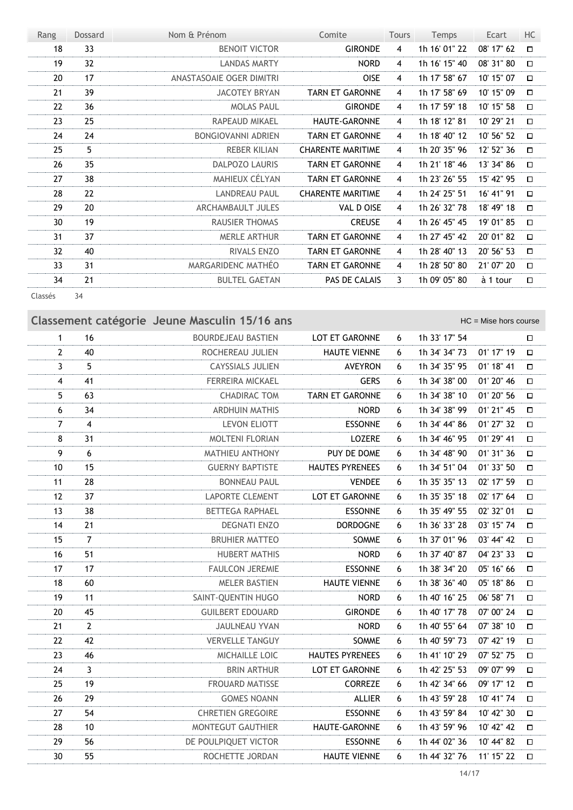| Rang    | Dossard | Nom & Prénom              | Comite                   | <b>Tours</b> | Temps         | Ecart      | HC     |
|---------|---------|---------------------------|--------------------------|--------------|---------------|------------|--------|
| 18      | 33      | <b>BENOIT VICTOR</b>      | <b>GIRONDE</b>           | 4            | 1h 16' 01" 22 | 08' 17" 62 | $\Box$ |
| 19      | 32      | <b>LANDAS MARTY</b>       | <b>NORD</b>              | 4            | 1h 16' 15" 40 | 08' 31" 80 | $\Box$ |
| 20      | 17      | ANASTASOAIE OGER DIMITRI  | <b>OISE</b>              | 4            | 1h 17' 58" 67 | 10' 15" 07 | $\Box$ |
| 21      | 39      | <b>JACOTEY BRYAN</b>      | <b>TARN ET GARONNE</b>   | 4            | 1h 17' 58" 69 | 10' 15" 09 | $\Box$ |
| 22      | 36      | <b>MOLAS PAUL</b>         | <b>GIRONDE</b>           | 4            | 1h 17' 59" 18 | 10' 15" 58 | $\Box$ |
| 23      | 25      | RAPEAUD MIKAEL            | <b>HAUTE-GARONNE</b>     | 4            | 1h 18' 12" 81 | 10' 29" 21 | $\Box$ |
| 24      | 24      | <b>BONGIOVANNI ADRIEN</b> | <b>TARN ET GARONNE</b>   | 4            | 1h 18' 40" 12 | 10' 56" 52 | $\Box$ |
| 25      | 5       | <b>REBER KILIAN</b>       | <b>CHARENTE MARITIME</b> | 4            | 1h 20' 35" 96 | 12' 52" 36 | $\Box$ |
| 26      | 35      | <b>DALPOZO LAURIS</b>     | <b>TARN ET GARONNE</b>   | 4            | 1h 21' 18" 46 | 13' 34" 86 | $\Box$ |
| 27      | 38      | MAHIEUX CÉLYAN            | <b>TARN ET GARONNE</b>   | 4            | 1h 23' 26" 55 | 15' 42" 95 | $\Box$ |
| 28      | 22      | <b>LANDREAU PAUL</b>      | <b>CHARENTE MARITIME</b> | 4            | 1h 24' 25" 51 | 16' 41" 91 | $\Box$ |
| 29      | 20      | ARCHAMBAULT JULES         | VAL D OISE               | 4            | 1h 26' 32" 78 | 18' 49" 18 | $\Box$ |
| 30      | 19      | <b>RAUSIER THOMAS</b>     | <b>CREUSE</b>            | 4            | 1h 26' 45" 45 | 19' 01" 85 | $\Box$ |
| 31      | 37      | <b>MERLE ARTHUR</b>       | <b>TARN ET GARONNE</b>   | 4            | 1h 27' 45" 42 | 20' 01" 82 | $\Box$ |
| 32      | 40      | <b>RIVALS ENZO</b>        | <b>TARN ET GARONNE</b>   | 4            | 1h 28' 40" 13 | 20' 56" 53 | $\Box$ |
| 33      | 31      | MARGARIDENC MATHÉO        | <b>TARN ET GARONNE</b>   | 4            | 1h 28' 50" 80 | 21' 07" 20 | $\Box$ |
| 34      | 21      | <b>BULTEL GAETAN</b>      | PAS DE CALAIS            | 3            | 1h 09' 05" 80 | à 1 tour   | $\Box$ |
| Classés | 34      |                           |                          |              |               |            |        |

**Classement catégorie** Jeune Masculin 15/16 ans **Classement Catégorie** Jeune Masculin 15/16 ans 1 16 BOURDEJEAU BASTIEN LOT ET GARONNE 6 1h 33' 17" 54  $\Box$ 2 40 ROCHEREAU JULIEN HAUTE VIENNE 6 1h 34' 34'' 73 01' 17'' 19  $\Box$ 3 5 CAYSSIALS JULIEN AVEYRON 6 1h 34' 35'' 95 01' 18'' 41  $\Box$ 4 41 FERREIRA MICKAEL GERS 6 1h 34' 38'' 00 01' 20'' 46  $\Box$ 5 63 CHADIRAC TOM TARN ET GARONNE 6 1h 34' 38'' 10 01' 20'' 56  $\Box$ 6 34 ARDHUIN MATHIS NORD 6 1h 34' 38'' 99 01' 21'' 45  $\Box$ 7 4 LEVON ELIOTT ESSONNE 6 1h 34' 44'' 86 01' 27'' 32  $\Box$ 8 31 MOLTENI FLORIAN LOZERE 6 1h 34' 46'' 95 01' 29'' 41  $\Box$ 9 6 MATHIEU ANTHONY PUY DE DOME 6 1h 34' 48'' 90 01' 31'' 36  $\Box$ 10 15 GUERNY BAPTISTE HAUTES PYRENEES 6 1h 34' 51'' 04 01' 33'' 50  $\Box$ 11 28 BONNEAU PAUL VENDEE 6 1h 35' 35'' 13 02' 17'' 59  $\Box$ 12 37 LAPORTE CLEMENT LOT ET GARONNE 6 1h 35' 35'' 18 02' 17'' 64  $\Box$ 13 38 BETTEGA RAPHAEL ESSONNE 6 1h 35' 49'' 55 02' 32'' 01  $\Box$ 14 21 DEGNATI ENZO DORDOGNE 6 1h 36' 33'' 28 03' 15'' 74  $\Box$ 15 7 BRUHIER MATTEO SOMME 6 1h 37' 01'' 96 03' 44'' 42  $\Box$ 16 51 HUBERT MATHIS NORD 6 1h 37' 40'' 87 04' 23'' 33  $\Box$ 17 17 FAULCON JEREMIE ESSONNE 6 1h 38' 34'' 20 05' 16'' 66  $\Box$ 18 60 MELER BASTIEN HAUTE VIENNE 6 1h 38' 36'' 40 05' 18'' 86  $\Box$ 19 11 SAINT-QUENTIN HUGO NORD 6 1h 40' 16'' 25 06' 58'' 71  $\Box$ 20 45 GUILBERT EDOUARD GIRONDE 6 1h 40' 17'' 78 07' 00'' 24  $\Box$ 21 2 38" 10  $\Box$ 22 42 VERVELLE TANGUY SOMME 6 1h 40' 59'' 73 07' 42'' 19  $\Box$ 23 46 MICHAILLE LOIC HAUTES PYRENEES 6 1h 41' 10'' 29 07' 52'' 75  $\Box$ 24 3 BRIN ARTHUR LOT ET GARONNE 6 1h 42' 25'' 53 09' 07'' 99  $\Box$ 25 19 FROUARD MATISSE CORREZE 6 1h 42' 34'' 66 09' 17'' 12  $\Box$ 26 29 GOMES NOANN ALLIER 6 1h 43' 59'' 28 10' 41'' 74  $\Box$ 27 54 CHRETIEN GREGOIRE ESSONNE 6 1h 43' 59'' 84 10' 42'' 30  $\Box$ 28 10 MONTEGUT GAUTHIER HAUTE-GARONNE 6 1h 43' 59'' 96 10' 42'' 42  $\Box$ 29 56 DE POULPIQUET VICTOR ESSONNE 6 1h 44' 02'' 36 10' 44'' 82  $\Box$ 30 55 ROCHETTE JORDAN HAUTE VIENNE 6 1h 44' 32'' 76 11' 15'' 22  $\Box$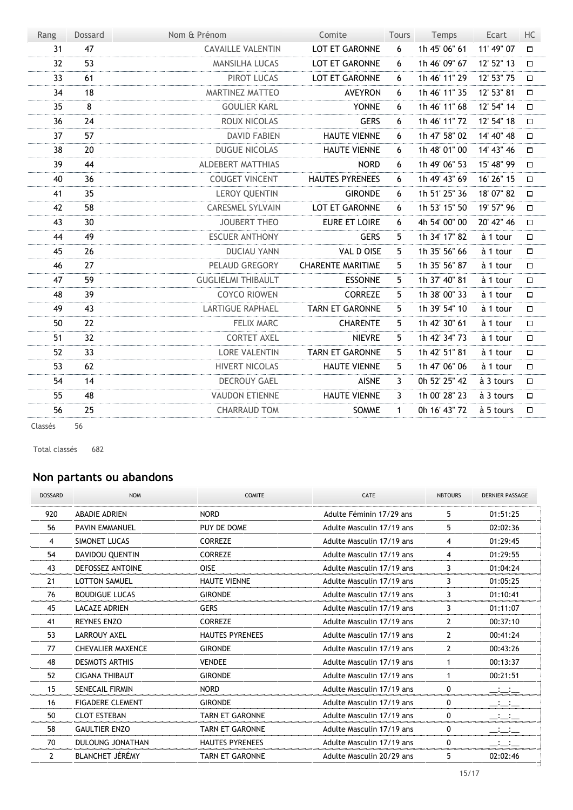| Rang            | <b>Dossard</b> | Nom & Prénom              | Comite                   | Tours        | Temps         | Ecart      | HC     |
|-----------------|----------------|---------------------------|--------------------------|--------------|---------------|------------|--------|
| 31              | 47             | <b>CAVAILLE VALENTIN</b>  | LOT ET GARONNE           | 6            | 1h 45' 06" 61 | 11' 49" 07 | $\Box$ |
| 32 <sup>2</sup> | 53             | <b>MANSILHA LUCAS</b>     | LOT ET GARONNE           | 6            | 1h 46' 09" 67 | 12' 52" 13 | $\Box$ |
| 33              | 61             | PIROT LUCAS               | LOT ET GARONNE           | 6            | 1h 46' 11" 29 | 12' 53" 75 | $\Box$ |
| 34              | 18             | MARTINEZ MATTEO           | <b>AVEYRON</b>           | 6            | 1h 46' 11" 35 | 12' 53" 81 | $\Box$ |
| 35              | 8              | <b>GOULIER KARL</b>       | <b>YONNE</b>             | 6            | 1h 46' 11" 68 | 12' 54" 14 | $\Box$ |
| 36              | 24             | ROUX NICOLAS              | <b>GERS</b>              | 6            | 1h 46' 11" 72 | 12' 54" 18 | □      |
| 37              | 57             | <b>DAVID FABIEN</b>       | <b>HAUTE VIENNE</b>      | 6            | 1h 47' 58" 02 | 14' 40" 48 | $\Box$ |
| 38              | 20             | <b>DUGUE NICOLAS</b>      | <b>HAUTE VIENNE</b>      | 6            | 1h 48' 01" 00 | 14' 43" 46 | $\Box$ |
| 39              | 44             | ALDEBERT MATTHIAS         | <b>NORD</b>              | 6            | 1h 49' 06" 53 | 15' 48" 99 | $\Box$ |
| 40              | 36             | <b>COUGET VINCENT</b>     | <b>HAUTES PYRENEES</b>   | 6            | 1h 49' 43" 69 | 16' 26" 15 | $\Box$ |
| 41              | 35             | <b>LEROY QUENTIN</b>      | <b>GIRONDE</b>           | 6            | 1h 51' 25" 36 | 18' 07" 82 | $\Box$ |
| 42              | 58             | <b>CARESMEL SYLVAIN</b>   | LOT ET GARONNE           | 6            | 1h 53' 15" 50 | 19' 57" 96 | $\Box$ |
| 43              | 30             | <b>JOUBERT THEO</b>       | <b>EURE ET LOIRE</b>     | 6            | 4h 54' 00" 00 | 20' 42" 46 | $\Box$ |
| 44              | 49             | <b>ESCUER ANTHONY</b>     | <b>GERS</b>              | 5            | 1h 34' 17" 82 | à 1 tour   | $\Box$ |
| 45              | 26             | <b>DUCIAU YANN</b>        | <b>VAL D OISE</b>        | 5            | 1h 35' 56" 66 | à 1 tour   | $\Box$ |
| 46              | 27             | PELAUD GREGORY            | <b>CHARENTE MARITIME</b> | 5            | 1h 35' 56" 87 | à 1 tour   | $\Box$ |
| 47              | 59             | <b>GUGLIELMI THIBAULT</b> | <b>ESSONNE</b>           | 5            | 1h 37' 40" 81 | à 1 tour   | $\Box$ |
| 48              | 39             | <b>COYCO RIOWEN</b>       | <b>CORREZE</b>           | 5            | 1h 38' 00" 33 | à 1 tour   | $\Box$ |
| 49              | 43             | <b>LARTIGUE RAPHAEL</b>   | <b>TARN ET GARONNE</b>   | 5            | 1h 39' 54" 10 | à 1 tour   | $\Box$ |
| 50              | 22             | <b>FELIX MARC</b>         | <b>CHARENTE</b>          | 5            | 1h 42' 30" 61 | à 1 tour   | $\Box$ |
| 51              | 32             | <b>CORTET AXEL</b>        | <b>NIEVRE</b>            | 5            | 1h 42' 34" 73 | à 1 tour   | $\Box$ |
| 52              | 33             | <b>LORE VALENTIN</b>      | <b>TARN ET GARONNE</b>   | 5            | 1h 42' 51" 81 | à 1 tour   | $\Box$ |
| 53              | 62             | <b>HIVERT NICOLAS</b>     | <b>HAUTE VIENNE</b>      | 5            | 1h 47' 06" 06 | à 1 tour   | $\Box$ |
| 54              | 14             | <b>DECROUY GAEL</b>       | <b>AISNE</b>             | 3            | 0h 52' 25" 42 | à 3 tours  | $\Box$ |
| 55              | 48             | <b>VAUDON ETIENNE</b>     | <b>HAUTE VIENNE</b>      | 3            | 1h 00' 28" 23 | à 3 tours  | $\Box$ |
| 56              | 25             | <b>CHARRAUD TOM</b>       | SOMME                    | $\mathbf{1}$ | 0h 16' 43" 72 | à 5 tours  | $\Box$ |
|                 |                |                           |                          |              |               |            |        |

Classés 56

Total classés 682

#### **Non partants ou abandons**

| <b>DOSSARD</b> | <b>NOM</b>               | <b>COMITE</b>          | CATE                      | <b>NBTOURS</b> | <b>DERNIER PASSAGE</b> |
|----------------|--------------------------|------------------------|---------------------------|----------------|------------------------|
| 920            | <b>ABADIE ADRIEN</b>     | <b>NORD</b>            | Adulte Féminin 17/29 ans  | 5              | 01:51:25               |
| 56             | <b>PAVIN EMMANUEL</b>    | PUY DE DOME            | Adulte Masculin 17/19 ans | 5.             | 02:02:36               |
| 4              | SIMONET LUCAS            | <b>CORREZE</b>         | Adulte Masculin 17/19 ans | 4              | 01:29:45               |
| 54             | <b>DAVIDOU QUENTIN</b>   | <b>CORREZE</b>         | Adulte Masculin 17/19 ans | 4              | 01:29:55               |
| 43             | <b>DEFOSSEZ ANTOINE</b>  | <b>OISE</b>            | Adulte Masculin 17/19 ans | 3              | 01:04:24               |
| 21             | <b>LOTTON SAMUEL</b>     | <b>HAUTE VIENNE</b>    | Adulte Masculin 17/19 ans | 3              | 01:05:25               |
| 76             | <b>BOUDIGUE LUCAS</b>    | <b>GIRONDE</b>         | Adulte Masculin 17/19 ans | 3              | 01:10:41               |
| 45             | LACAZE ADRIEN            | <b>GERS</b>            | Adulte Masculin 17/19 ans | 3              | 01:11:07               |
| 41             | <b>REYNES ENZO</b>       | <b>CORREZE</b>         | Adulte Masculin 17/19 ans | $\mathcal{P}$  | 00:37:10               |
| 53             | <b>LARROUY AXEL</b>      | <b>HAUTES PYRENEES</b> | Adulte Masculin 17/19 ans | $\overline{2}$ | 00:41:24               |
| 77             | <b>CHEVALIER MAXENCE</b> | <b>GIRONDE</b>         | Adulte Masculin 17/19 ans | $\mathbf{2}$   | 00:43:26               |
| 48             | <b>DESMOTS ARTHIS</b>    | <b>VENDEE</b>          | Adulte Masculin 17/19 ans | $\mathbf 1$    | 00:13:37               |
| 52             | <b>CIGANA THIBAUT</b>    | <b>GIRONDE</b>         | Adulte Masculin 17/19 ans | $\mathbf 1$    | 00:21:51               |
| 15             | <b>SENECAIL FIRMIN</b>   | <b>NORD</b>            | Adulte Masculin 17/19 ans | 0              |                        |
| 16             | <b>FIGADERE CLEMENT</b>  | <b>GIRONDE</b>         | Adulte Masculin 17/19 ans | 0              |                        |
| 50             | <b>CLOT ESTEBAN</b>      | <b>TARN ET GARONNE</b> | Adulte Masculin 17/19 ans | 0              |                        |
| 58             | <b>GAULTIER ENZO</b>     | <b>TARN ET GARONNE</b> | Adulte Masculin 17/19 ans | 0              |                        |
| 70             | <b>DULOUNG JONATHAN</b>  | <b>HAUTES PYRENEES</b> | Adulte Masculin 17/19 ans | 0              | للمنافسات              |
| $\mathcal{P}$  | <b>BLANCHET JÉRÉMY</b>   | <b>TARN ET GARONNE</b> | Adulte Masculin 20/29 ans | 5              | 02:02:46               |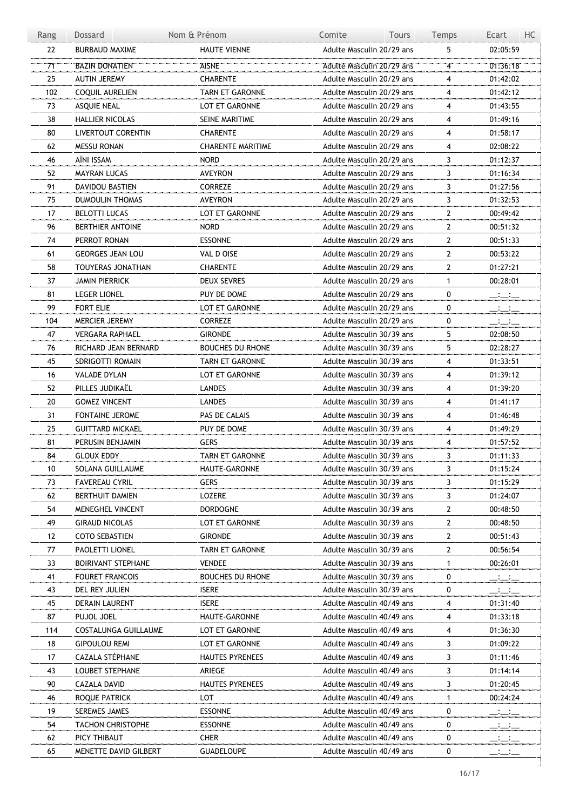| Rang | Dossard                 | Nom & Prénom             | Comite<br><b>Tours</b>    | Temps                   | Ecart<br>HC.                                                                                                                                                                                                                                                                                                        |
|------|-------------------------|--------------------------|---------------------------|-------------------------|---------------------------------------------------------------------------------------------------------------------------------------------------------------------------------------------------------------------------------------------------------------------------------------------------------------------|
| 22   | <b>BURBAUD MAXIME</b>   | <b>HAUTE VIENNE</b>      | Adulte Masculin 20/29 ans | 5                       | 02:05:59                                                                                                                                                                                                                                                                                                            |
| 71   | <b>BAZIN DONATIEN</b>   | <b>AISNE</b>             | Adulte Masculin 20/29 ans | $\overline{\mathbf{4}}$ | 01:36:18                                                                                                                                                                                                                                                                                                            |
| 25   | <b>AUTIN JEREMY</b>     | <b>CHARENTE</b>          | Adulte Masculin 20/29 ans | 4                       | 01:42:02                                                                                                                                                                                                                                                                                                            |
| 102  | COQUIL AURELIEN         | TARN ET GARONNE          | Adulte Masculin 20/29 ans | 4                       | 01:42:12                                                                                                                                                                                                                                                                                                            |
| 73   | ASQUIE NEAL             | LOT ET GARONNE           | Adulte Masculin 20/29 ans | 4                       | 01:43:55                                                                                                                                                                                                                                                                                                            |
| 38   | HALLIER NICOLAS         | SEINE MARITIME           | Adulte Masculin 20/29 ans | 4                       | 01:49:16                                                                                                                                                                                                                                                                                                            |
| 80   | LIVERTOUT CORENTIN      | <b>CHARENTE</b>          | Adulte Masculin 20/29 ans | 4                       | 01:58:17                                                                                                                                                                                                                                                                                                            |
| 62   | <b>MESSU RONAN</b>      | <b>CHARENTE MARITIME</b> | Adulte Masculin 20/29 ans | 4                       | 02:08:22                                                                                                                                                                                                                                                                                                            |
| 46   | AÏNI ISSAM              | <b>NORD</b>              | Adulte Masculin 20/29 ans | 3                       | 01:12:37                                                                                                                                                                                                                                                                                                            |
| 52   | <b>MAYRAN LUCAS</b>     | AVEYRON                  | Adulte Masculin 20/29 ans | 3                       | 01:16:34                                                                                                                                                                                                                                                                                                            |
| 91   | DAVIDOU BASTIEN         | <b>CORREZE</b>           | Adulte Masculin 20/29 ans | 3                       |                                                                                                                                                                                                                                                                                                                     |
| 75   | DUMOULIN THOMAS         | <b>AVEYRON</b>           | Adulte Masculin 20/29 ans | 3                       | 01:27:56<br>01:32:53                                                                                                                                                                                                                                                                                                |
| 17   |                         |                          |                           | $\overline{2}$          |                                                                                                                                                                                                                                                                                                                     |
|      | BELOTTI LUCAS           | LOT ET GARONNE           | Adulte Masculin 20/29 ans |                         | 00:49:42                                                                                                                                                                                                                                                                                                            |
| 96   | <b>BERTHIER ANTOINE</b> | <b>NORD</b>              | Adulte Masculin 20/29 ans | $\mathbf{2}$            | 00:51:32                                                                                                                                                                                                                                                                                                            |
| 74   | PERROT RONAN            | <b>ESSONNE</b>           | Adulte Masculin 20/29 ans | $\overline{2}$          | 00:51:33                                                                                                                                                                                                                                                                                                            |
| 61   | <b>GEORGES JEAN LOU</b> | VAL D OISE               | Adulte Masculin 20/29 ans | $\overline{2}$          | 00:53:22                                                                                                                                                                                                                                                                                                            |
| 58   | TOUYERAS JONATHAN       | CHARENTE                 | Adulte Masculin 20/29 ans | $\mathbf{2}$            | 01:27:21                                                                                                                                                                                                                                                                                                            |
| 37   | JAMIN PIERRICK          | DEUX SEVRES              | Adulte Masculin 20/29 ans | $\mathbf{1}$            | 00:28:01                                                                                                                                                                                                                                                                                                            |
| 81   | <b>LEGER LIONEL</b>     | PUY DE DOME              | Adulte Masculin 20/29 ans | 0                       | $-1$                                                                                                                                                                                                                                                                                                                |
| 99   | FORT ELIE               | LOT ET GARONNE           | Adulte Masculin 20/29 ans | 0                       | $\equiv$ $\equiv$                                                                                                                                                                                                                                                                                                   |
| 104  | MERCIER JEREMY          | <b>CORREZE</b>           | Adulte Masculin 20/29 ans | 0                       | $  -$                                                                                                                                                                                                                                                                                                               |
| 47   | <b>VERGARA RAPHAEL</b>  | <b>GIRONDE</b>           | Adulte Masculin 30/39 ans | 5                       | 02:08:50                                                                                                                                                                                                                                                                                                            |
| 76   | RICHARD JEAN BERNARD    | <b>BOUCHES DU RHONE</b>  | Adulte Masculin 30/39 ans | 5                       | 02:28:27                                                                                                                                                                                                                                                                                                            |
| 45   | SDRIGOTTI ROMAIN        | <b>TARN ET GARONNE</b>   | Adulte Masculin 30/39 ans | 4                       | 01:33:51                                                                                                                                                                                                                                                                                                            |
| 16   | VALADE DYLAN            | LOT ET GARONNE           | Adulte Masculin 30/39 ans | 4                       | 01:39:12                                                                                                                                                                                                                                                                                                            |
| 52   | PILLES JUDIKAËL         | LANDES                   | Adulte Masculin 30/39 ans | 4                       | 01:39:20                                                                                                                                                                                                                                                                                                            |
| 20   | <b>GOMEZ VINCENT</b>    | <b>LANDES</b>            | Adulte Masculin 30/39 ans | 4                       | 01:41:17                                                                                                                                                                                                                                                                                                            |
| 31   | <b>FONTAINE JEROME</b>  | PAS DE CALAIS            | Adulte Masculin 30/39 ans | 4                       | 01:46:48                                                                                                                                                                                                                                                                                                            |
| 25   | <b>GUITTARD MICKAEL</b> | PUY DE DOME              | Adulte Masculin 30/39 ans | 4                       | 01:49:29                                                                                                                                                                                                                                                                                                            |
| 81   | PERUSIN BENJAMIN        | <b>GERS</b>              | Adulte Masculin 30/39 ans | 4                       | 01:57:52                                                                                                                                                                                                                                                                                                            |
| 84   | <b>GLOUX EDDY</b>       | <b>TARN ET GARONNE</b>   | Adulte Masculin 30/39 ans | 3                       | 01:11:33                                                                                                                                                                                                                                                                                                            |
| 10   | SOLANA GUILLAUME        | HAUTE-GARONNE            | Adulte Masculin 30/39 ans | 3                       | 01:15:24                                                                                                                                                                                                                                                                                                            |
| 73   | <b>FAVEREAU CYRIL</b>   | GERS                     | Adulte Masculin 30/39 ans | 3                       | 01:15:29                                                                                                                                                                                                                                                                                                            |
| 62   | <b>BERTHUIT DAMIEN</b>  | LOZERE                   | Adulte Masculin 30/39 ans | 3                       | 01:24:07                                                                                                                                                                                                                                                                                                            |
| 54   | MENEGHEL VINCENT        | DORDOGNE                 | Adulte Masculin 30/39 ans | $\overline{2}$          | 00:48:50                                                                                                                                                                                                                                                                                                            |
| 49   | <b>GIRAUD NICOLAS</b>   | LOT ET GARONNE           | Adulte Masculin 30/39 ans | $\mathbf{2}$            | 00:48:50                                                                                                                                                                                                                                                                                                            |
| 12   | <b>COTO SEBASTIEN</b>   | <b>GIRONDE</b>           | Adulte Masculin 30/39 ans | $\overline{2}$          | 00:51:43                                                                                                                                                                                                                                                                                                            |
| 77   | PAOLETTI LIONEL         | TARN ET GARONNE          | Adulte Masculin 30/39 ans | 2                       | 00:56:54                                                                                                                                                                                                                                                                                                            |
| 33   | BOIRIVANT STEPHANE      | <b>VENDEE</b>            | Adulte Masculin 30/39 ans | $\mathbf{1}$            | 00:26:01                                                                                                                                                                                                                                                                                                            |
| 41   | <b>FOURET FRANCOIS</b>  | <b>BOUCHES DU RHONE</b>  | Adulte Masculin 30/39 ans | 0                       | $\equiv$ $\equiv$                                                                                                                                                                                                                                                                                                   |
| 43   | DEL REY JULIEN          | <b>ISERE</b>             | Adulte Masculin 30/39 ans | 0                       | للتخليف                                                                                                                                                                                                                                                                                                             |
| 45   | DERAIN LAURENT          | <b>ISERE</b>             | Adulte Masculin 40/49 ans | 4                       | 01:31:40                                                                                                                                                                                                                                                                                                            |
| 87   | PUJOL JOEL              | HAUTE-GARONNE            | Adulte Masculin 40/49 ans | 4                       | 01:33:18                                                                                                                                                                                                                                                                                                            |
| 114  | COSTALUNGA GUILLAUME    | LOT ET GARONNE           | Adulte Masculin 40/49 ans | 4                       | 01:36:30                                                                                                                                                                                                                                                                                                            |
| 18   | <b>GIPOULOU REMI</b>    | LOT ET GARONNE           | Adulte Masculin 40/49 ans | 3                       | 01:09:22                                                                                                                                                                                                                                                                                                            |
| 17   | CAZALA STÉPHANE         | HAUTES PYRENEES          | Adulte Masculin 40/49 ans | 3                       | 01:11:46                                                                                                                                                                                                                                                                                                            |
| 43   | LOUBET STEPHANE         | ARIEGE                   | Adulte Masculin 40/49 ans | 3                       | 01:14:14                                                                                                                                                                                                                                                                                                            |
| 90   | CAZALA DAVID            | <b>HAUTES PYRENEES</b>   | Adulte Masculin 40/49 ans | 3                       | 01:20:45                                                                                                                                                                                                                                                                                                            |
| 46   | ROQUE PATRICK           | LOT                      | Adulte Masculin 40/49 ans | $\mathbf{1}$            | 00:24:24                                                                                                                                                                                                                                                                                                            |
| 19   | SEREMES JAMES           | <b>ESSONNE</b>           | Adulte Masculin 40/49 ans | 0                       | $  -$                                                                                                                                                                                                                                                                                                               |
| 54   | TACHON CHRISTOPHE       | <b>ESSONNE</b>           | Adulte Masculin 40/49 ans | 0                       | $  -$                                                                                                                                                                                                                                                                                                               |
| 62   | PICY THIBAUT            | <b>CHER</b>              | Adulte Masculin 40/49 ans | 0                       | $\frac{1}{2}$ $\frac{1}{2}$ $\frac{1}{2}$ $\frac{1}{2}$ $\frac{1}{2}$ $\frac{1}{2}$ $\frac{1}{2}$ $\frac{1}{2}$ $\frac{1}{2}$ $\frac{1}{2}$ $\frac{1}{2}$ $\frac{1}{2}$ $\frac{1}{2}$ $\frac{1}{2}$ $\frac{1}{2}$ $\frac{1}{2}$ $\frac{1}{2}$ $\frac{1}{2}$ $\frac{1}{2}$ $\frac{1}{2}$ $\frac{1}{2}$ $\frac{1}{2}$ |
| 65   | MENETTE DAVID GILBERT   | <b>GUADELOUPE</b>        | Adulte Masculin 40/49 ans | 0                       | _:__:__                                                                                                                                                                                                                                                                                                             |
|      |                         |                          |                           |                         |                                                                                                                                                                                                                                                                                                                     |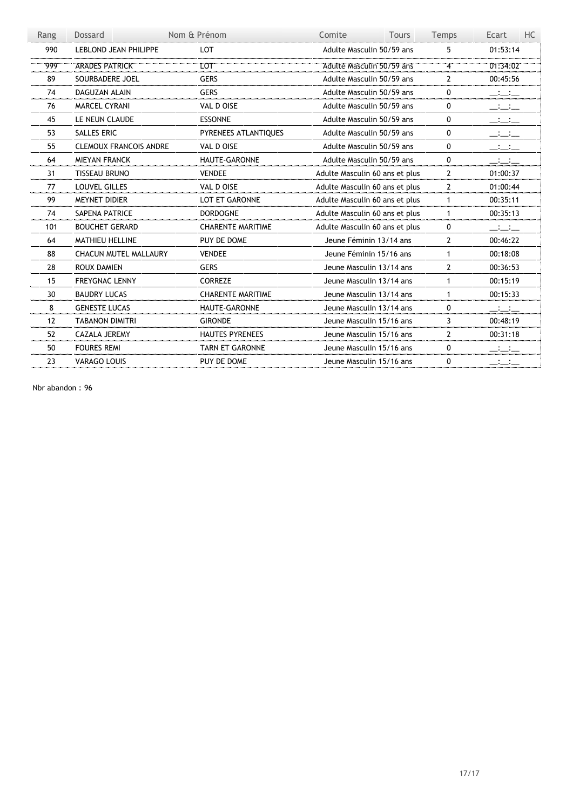| Rang | Dossard                       | Nom & Prénom             | Comite<br><b>Tours</b>         | Temps          | Ecart<br>HC.                             |
|------|-------------------------------|--------------------------|--------------------------------|----------------|------------------------------------------|
| 990  | <b>LEBLOND JEAN PHILIPPE</b>  | LOT                      | Adulte Masculin 50/59 ans      | 5              | 01:53:14                                 |
| '999 | <b>ARADES PATRICK</b>         | <b>LOT</b>               | Adulte Masculin 50/59 ans      | $\overline{4}$ | 01:34:02                                 |
| 89   | SOURBADERE JOEL               | <b>GERS</b>              | Adulte Masculin 50/59 ans      | $\overline{2}$ | 00:45:56                                 |
| 74   | <b>DAGUZAN ALAIN</b>          | <b>GERS</b>              | Adulte Masculin 50/59 ans      | 0              | $\equiv$ $\equiv$                        |
| 76   | <b>MARCEL CYRANI</b>          | VAL D OISE               | Adulte Masculin 50/59 ans      | 0              | $\frac{1}{2}$ . The set of $\frac{1}{2}$ |
| 45   | LE NEUN CLAUDE                | <b>ESSONNE</b>           | Adulte Masculin 50/59 ans      | 0              | $\equiv$ $\equiv$                        |
| 53   | SALLES ERIC                   | PYRENEES ATLANTIQUES     | Adulte Masculin 50/59 ans      | 0              | سنسنس                                    |
| 55   | <b>CLEMOUX FRANCOIS ANDRE</b> | VAL D OISE               | Adulte Masculin 50/59 ans      | 0              | $\equiv$ $\equiv$                        |
| 64   | <b>MIEYAN FRANCK</b>          | <b>HAUTE-GARONNE</b>     | Adulte Masculin 50/59 ans      | 0              | $\Box$ : $\Box$ : $\Box$                 |
| 31   | <b>TISSEAU BRUNO</b>          | <b>VENDEE</b>            | Adulte Masculin 60 ans et plus | $\overline{2}$ | 01:00:37                                 |
| 77   | <b>LOUVEL GILLES</b>          | VAL D OISE               | Adulte Masculin 60 ans et plus | $\overline{2}$ | 01:00:44                                 |
| 99   | <b>MEYNET DIDIER</b>          | <b>LOT ET GARONNE</b>    | Adulte Masculin 60 ans et plus | $\mathbf{1}$   | 00:35:11                                 |
| 74   | <b>SAPENA PATRICE</b>         | <b>DORDOGNE</b>          | Adulte Masculin 60 ans et plus | $\mathbf{1}$   | 00:35:13                                 |
| 101  | <b>BOUCHET GERARD</b>         | <b>CHARENTE MARITIME</b> | Adulte Masculin 60 ans et plus | 0              | سنستحس                                   |
| 64   | <b>MATHIEU HELLINE</b>        | PUY DE DOME              | Jeune Féminin 13/14 ans        | $\overline{2}$ | 00:46:22                                 |
| 88   | <b>CHACUN MUTEL MALLAURY</b>  | <b>VENDEE</b>            | Jeune Féminin 15/16 ans        | $\mathbf{1}$   | 00:18:08                                 |
| 28   | <b>ROUX DAMIEN</b>            | <b>GERS</b>              | Jeune Masculin 13/14 ans       | $\overline{2}$ | 00:36:53                                 |
| 15   | <b>FREYGNAC LENNY</b>         | <b>CORREZE</b>           | Jeune Masculin 13/14 ans       | $\mathbf{1}$   | 00:15:19                                 |
| 30   | <b>BAUDRY LUCAS</b>           | <b>CHARENTE MARITIME</b> | Jeune Masculin 13/14 ans       | $\mathbf{1}$   | 00:15:33                                 |
| 8    | <b>GENESTE LUCAS</b>          | HAUTE-GARONNE            | Jeune Masculin 13/14 ans       | 0              | $\Box$ : $\Box$ : $\Box$                 |
| 12   | <b>TABANON DIMITRI</b>        | <b>GIRONDE</b>           | Jeune Masculin 15/16 ans       | 3              | 00:48:19                                 |
| 52   | <b>CAZALA JEREMY</b>          | <b>HAUTES PYRENEES</b>   | Jeune Masculin 15/16 ans       | $\overline{2}$ | 00:31:18                                 |
| 50   | <b>FOURES REMI</b>            | <b>TARN ET GARONNE</b>   | Jeune Masculin 15/16 ans       | 0              | $\equiv$ $\equiv$                        |
| 23   | <b>VARAGO LOUIS</b>           | PUY DE DOME              | Jeune Masculin 15/16 ans       | 0              | _:_:_                                    |

Nbr abandon : 96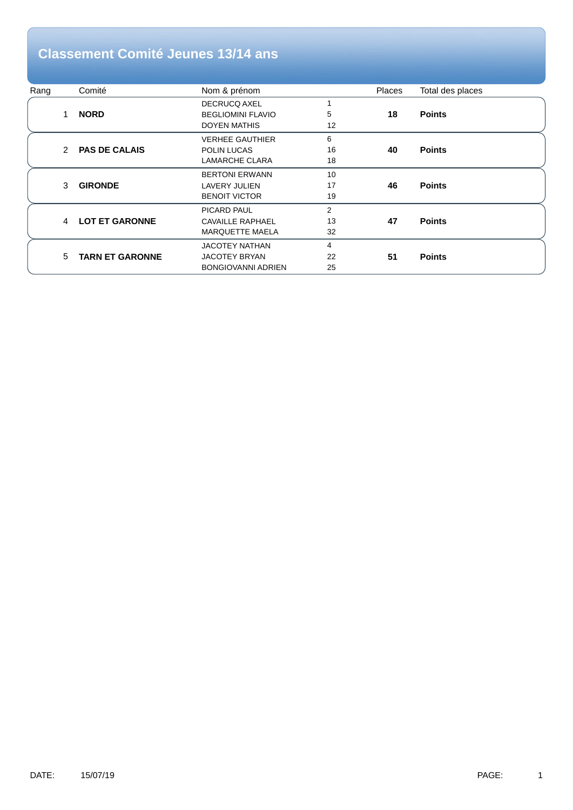## **Classement Comité Jeunes 13/14 ans**

| Rang |   | Comité                 | Nom & prénom              |                | <b>Places</b> | Total des places |
|------|---|------------------------|---------------------------|----------------|---------------|------------------|
|      |   |                        | <b>DECRUCQ AXEL</b>       |                |               |                  |
|      | 1 | <b>NORD</b>            | <b>BEGLIOMINI FLAVIO</b>  | 5              | 18            | <b>Points</b>    |
|      |   |                        | <b>DOYEN MATHIS</b>       | 12             |               |                  |
|      |   |                        | <b>VERHEE GAUTHIER</b>    | 6              |               |                  |
|      | 2 | <b>PAS DE CALAIS</b>   | POLIN LUCAS               | 16             | 40            | <b>Points</b>    |
|      |   |                        | <b>LAMARCHE CLARA</b>     | 18             |               |                  |
|      |   |                        | <b>BERTONI ERWANN</b>     | 10             |               |                  |
|      | 3 | <b>GIRONDE</b>         | <b>LAVERY JULIEN</b>      | 17             | 46            | <b>Points</b>    |
|      |   |                        | <b>BENOIT VICTOR</b>      | 19             |               |                  |
|      |   |                        | PICARD PAUL               | $\overline{2}$ |               |                  |
|      | 4 | <b>LOT ET GARONNE</b>  | <b>CAVAILLE RAPHAEL</b>   | 13             | 47            | <b>Points</b>    |
|      |   |                        | <b>MARQUETTE MAELA</b>    | 32             |               |                  |
|      |   |                        | <b>JACOTEY NATHAN</b>     | 4              |               |                  |
|      | 5 | <b>TARN ET GARONNE</b> | <b>JACOTEY BRYAN</b>      | 22             | 51            | <b>Points</b>    |
|      |   |                        | <b>BONGIOVANNI ADRIEN</b> | 25             |               |                  |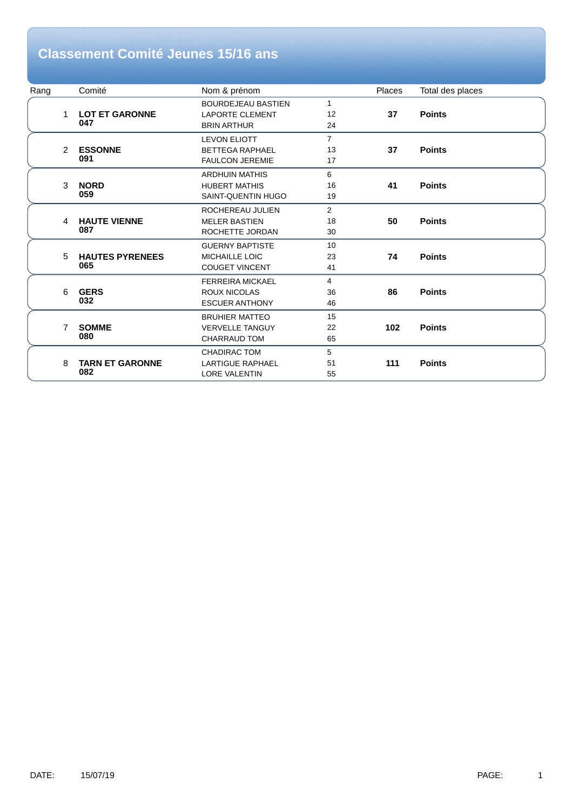## **Classement Comité Jeunes 15/16 ans**

| Rang |                | Comité                 | Nom & prénom              |                | Places | Total des places |
|------|----------------|------------------------|---------------------------|----------------|--------|------------------|
|      |                |                        | <b>BOURDEJEAU BASTIEN</b> | $\mathbf{1}$   |        |                  |
|      | 1              | <b>LOT ET GARONNE</b>  | <b>LAPORTE CLEMENT</b>    | 12             | 37     | <b>Points</b>    |
|      |                | 047                    | <b>BRIN ARTHUR</b>        | 24             |        |                  |
|      |                |                        | <b>LEVON ELIOTT</b>       | $\overline{7}$ |        |                  |
|      | 2              | <b>ESSONNE</b>         | <b>BETTEGA RAPHAEL</b>    | 13             | 37     | <b>Points</b>    |
|      |                | 091                    | <b>FAULCON JEREMIE</b>    | 17             |        |                  |
|      |                |                        | <b>ARDHUIN MATHIS</b>     | 6              |        |                  |
|      | 3              | <b>NORD</b>            | <b>HUBERT MATHIS</b>      | 16             | 41     | <b>Points</b>    |
|      |                | 059                    | SAINT-QUENTIN HUGO        | 19             |        |                  |
|      |                |                        | ROCHEREAU JULIEN          | $\overline{2}$ |        |                  |
|      | 4              | <b>HAUTE VIENNE</b>    | <b>MELER BASTIEN</b>      | 18             | 50     | <b>Points</b>    |
|      |                | 087                    | ROCHETTE JORDAN           | 30             |        |                  |
|      |                |                        | <b>GUERNY BAPTISTE</b>    | 10             |        |                  |
|      | 5              | <b>HAUTES PYRENEES</b> | <b>MICHAILLE LOIC</b>     | 23             | 74     | <b>Points</b>    |
|      |                | 065                    | <b>COUGET VINCENT</b>     | 41             |        |                  |
|      |                |                        | <b>FERREIRA MICKAEL</b>   | $\overline{4}$ |        |                  |
|      | 6              | <b>GERS</b>            | <b>ROUX NICOLAS</b>       | 36             | 86     | <b>Points</b>    |
|      |                | 032                    | <b>ESCUER ANTHONY</b>     | 46             |        |                  |
|      |                |                        | <b>BRUHIER MATTEO</b>     | 15             |        |                  |
|      | $\overline{7}$ | <b>SOMME</b>           | <b>VERVELLE TANGUY</b>    | 22             | 102    | <b>Points</b>    |
|      |                | 080                    | <b>CHARRAUD TOM</b>       | 65             |        |                  |
|      |                |                        | <b>CHADIRAC TOM</b>       | 5              |        |                  |
|      | 8              | <b>TARN ET GARONNE</b> | <b>LARTIGUE RAPHAEL</b>   | 51             | 111    | <b>Points</b>    |
|      |                | 082                    | <b>LORE VALENTIN</b>      | 55             |        |                  |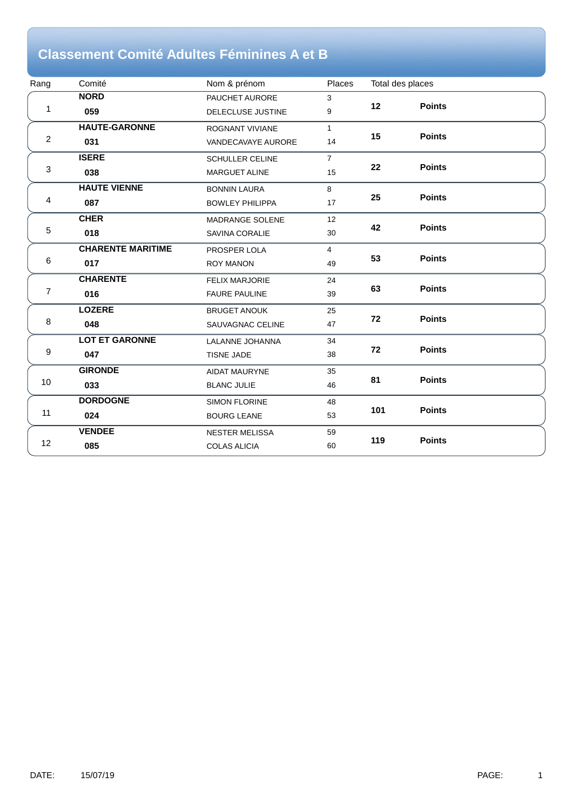## **Classement Comité Adultes Féminines A et B**

| Rang           | Comité                   | Nom & prénom             | Places         | Total des places |               |
|----------------|--------------------------|--------------------------|----------------|------------------|---------------|
|                | <b>NORD</b>              | PAUCHET AURORE           | 3              |                  |               |
| 1              | 059                      | <b>DELECLUSE JUSTINE</b> | 9              | 12               | <b>Points</b> |
|                | <b>HAUTE-GARONNE</b>     | <b>ROGNANT VIVIANE</b>   | $\mathbf{1}$   |                  |               |
| $\overline{2}$ | 031                      | VANDECAVAYE AURORE       | 14             | 15               | <b>Points</b> |
|                | <b>ISERE</b>             | <b>SCHULLER CELINE</b>   | $\overline{7}$ |                  |               |
| $\sqrt{3}$     | 038                      | <b>MARGUET ALINE</b>     | 15             | 22               | <b>Points</b> |
|                | <b>HAUTE VIENNE</b>      | <b>BONNIN LAURA</b>      | 8              |                  |               |
| 4              | 087                      | <b>BOWLEY PHILIPPA</b>   | 17             | 25               | <b>Points</b> |
|                | <b>CHER</b>              | <b>MADRANGE SOLENE</b>   | 12             | 42               |               |
| $\sqrt{5}$     | 018                      | SAVINA CORALIE           | 30             |                  | <b>Points</b> |
|                | <b>CHARENTE MARITIME</b> | PROSPER LOLA             | $\overline{4}$ |                  |               |
| 6              | 017                      | <b>ROY MANON</b>         | 49             | 53               | <b>Points</b> |
|                | <b>CHARENTE</b>          | <b>FELIX MARJORIE</b>    | 24             |                  |               |
| $\overline{7}$ | 016                      | <b>FAURE PAULINE</b>     | 39             | 63               | <b>Points</b> |
|                | <b>LOZERE</b>            | <b>BRUGET ANOUK</b>      | 25             |                  |               |
| 8              | 048                      | SAUVAGNAC CELINE         | 47             | 72               | <b>Points</b> |
|                | <b>LOT ET GARONNE</b>    | LALANNE JOHANNA          | 34             |                  |               |
| 9              | 047                      | TISNE JADE               | 38             | 72               | <b>Points</b> |
|                | <b>GIRONDE</b>           | <b>AIDAT MAURYNE</b>     | 35             |                  |               |
| 10             | 033                      | <b>BLANC JULIE</b>       | 46             | 81               | <b>Points</b> |
|                | <b>DORDOGNE</b>          | <b>SIMON FLORINE</b>     | 48             |                  |               |
| 11             | 024                      | <b>BOURG LEANE</b>       | 53             | 101              | <b>Points</b> |
|                | <b>VENDEE</b>            | NESTER MELISSA           | 59             |                  |               |
| 12             | 085                      | <b>COLAS ALICIA</b>      | 60             | 119              | <b>Points</b> |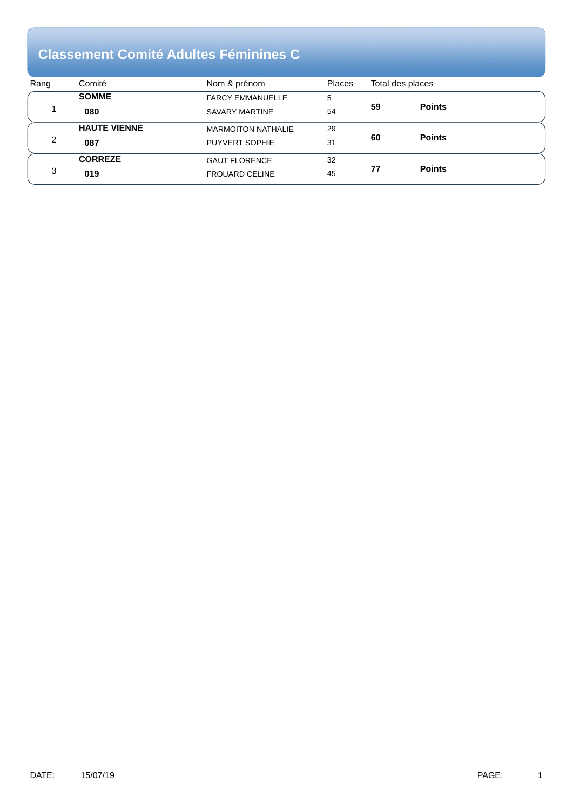#### **Classement Comité Adultes Féminines C**

| Rang | Comité              | Nom & prénom              | <b>Places</b> |    | Total des places |  |
|------|---------------------|---------------------------|---------------|----|------------------|--|
|      | <b>SOMME</b>        | <b>FARCY EMMANUELLE</b>   | 5             |    |                  |  |
|      | 080                 | SAVARY MARTINE            | 54            | 59 | <b>Points</b>    |  |
|      | <b>HAUTE VIENNE</b> | <b>MARMOITON NATHALIE</b> | 29            |    |                  |  |
| 2    | 087                 | PUYVERT SOPHIE            | 31            | 60 | <b>Points</b>    |  |
|      | <b>CORREZE</b>      | <b>GAUT FLORENCE</b>      | 32            |    |                  |  |
| 3    | 019                 | <b>FROUARD CELINE</b>     | 45            | 77 | <b>Points</b>    |  |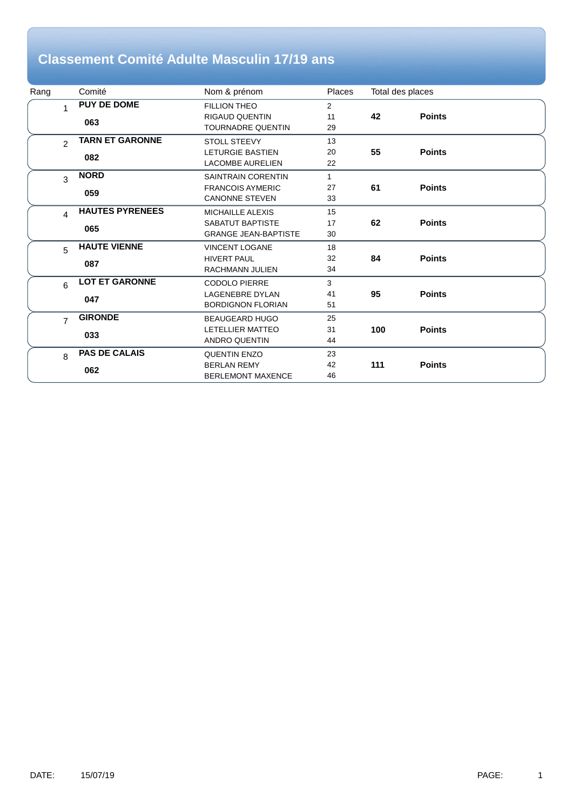#### **Classement Comité Adulte Masculin 17/19 ans**

| Rang |                | Comité                 | Nom & prénom                | <b>Places</b>  | Total des places |               |
|------|----------------|------------------------|-----------------------------|----------------|------------------|---------------|
|      | 1              | <b>PUY DE DOME</b>     | <b>FILLION THEO</b>         | $\overline{2}$ |                  |               |
|      |                | 063                    | <b>RIGAUD QUENTIN</b>       | 11             | 42               | <b>Points</b> |
|      |                |                        | <b>TOURNADRE QUENTIN</b>    | 29             |                  |               |
|      | $\mathfrak{p}$ | <b>TARN ET GARONNE</b> | <b>STOLL STEEVY</b>         | 13             |                  |               |
|      |                | 082                    | <b>LETURGIE BASTIEN</b>     | 20             | 55               | <b>Points</b> |
|      |                |                        | <b>LACOMBE AURELIEN</b>     | 22             |                  |               |
|      | 3              | <b>NORD</b>            | <b>SAINTRAIN CORENTIN</b>   | $\mathbf{1}$   |                  |               |
|      |                | 059                    | <b>FRANCOIS AYMERIC</b>     | 27             | 61               | <b>Points</b> |
|      |                |                        | <b>CANONNE STEVEN</b>       | 33             |                  |               |
|      | $\overline{4}$ | <b>HAUTES PYRENEES</b> | <b>MICHAILLE ALEXIS</b>     | 15             |                  |               |
|      |                | 065                    | SABATUT BAPTISTE            | 17             | 62               | <b>Points</b> |
|      |                |                        | <b>GRANGE JEAN-BAPTISTE</b> | 30             |                  |               |
|      | 5              | <b>HAUTE VIENNE</b>    | <b>VINCENT LOGANE</b>       | 18             |                  |               |
|      |                | 087                    | <b>HIVERT PAUL</b>          | 32             | 84               | <b>Points</b> |
|      |                |                        | RACHMANN JULIEN             | 34             |                  |               |
|      | 6              | <b>LOT ET GARONNE</b>  | <b>CODOLO PIERRE</b>        | 3              |                  |               |
|      |                | 047                    | <b>LAGENEBRE DYLAN</b>      | 41             | 95               | <b>Points</b> |
|      |                |                        | <b>BORDIGNON FLORIAN</b>    | 51             |                  |               |
|      | $\overline{7}$ | <b>GIRONDE</b>         | <b>BEAUGEARD HUGO</b>       | 25             |                  |               |
|      |                | 033                    | LETELLIER MATTEO            | 31             | 100              | <b>Points</b> |
|      |                |                        | <b>ANDRO QUENTIN</b>        | 44             |                  |               |
|      | 8              | <b>PAS DE CALAIS</b>   | <b>QUENTIN ENZO</b>         | 23             |                  |               |
|      |                | 062                    | <b>BERLAN REMY</b>          | 42             | 111              | <b>Points</b> |
|      |                |                        | <b>BERLEMONT MAXENCE</b>    | 46             |                  |               |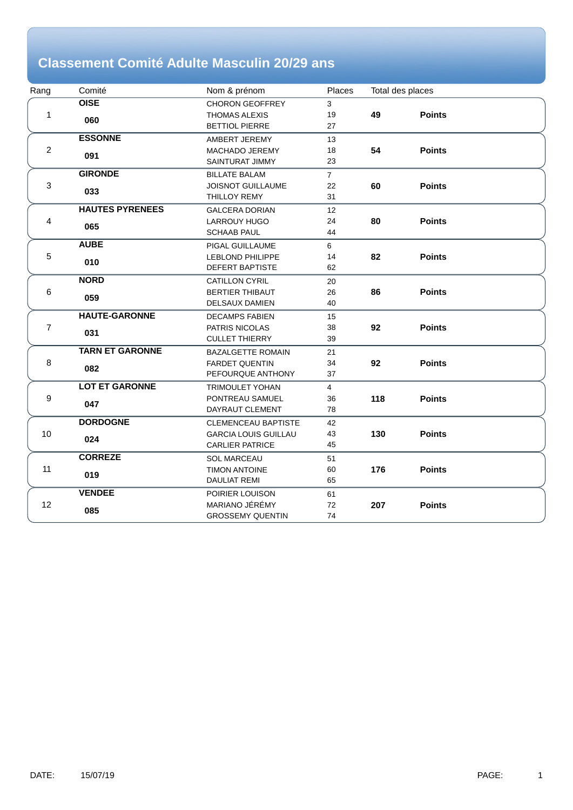## **Classement Comité Adulte Masculin 20/29 ans**

| Rang                      | Comité                 | Nom & prénom                | Places         |     | Total des places |  |
|---------------------------|------------------------|-----------------------------|----------------|-----|------------------|--|
|                           | <b>OISE</b>            | <b>CHORON GEOFFREY</b>      | 3              |     |                  |  |
| 1                         | 060                    | <b>THOMAS ALEXIS</b>        | 19             | 49  | <b>Points</b>    |  |
|                           |                        | <b>BETTIOL PIERRE</b>       | 27             |     |                  |  |
|                           | <b>ESSONNE</b>         | AMBERT JEREMY               | 13             |     |                  |  |
| $\overline{c}$            | 091                    | MACHADO JEREMY              | 18             | 54  | <b>Points</b>    |  |
|                           |                        | SAINTURAT JIMMY             | 23             |     |                  |  |
|                           | <b>GIRONDE</b>         | <b>BILLATE BALAM</b>        | $\overline{7}$ |     |                  |  |
| $\ensuremath{\mathsf{3}}$ | 033                    | <b>JOISNOT GUILLAUME</b>    | 22             | 60  | <b>Points</b>    |  |
|                           |                        | <b>THILLOY REMY</b>         | 31             |     |                  |  |
|                           | <b>HAUTES PYRENEES</b> | <b>GALCERA DORIAN</b>       | 12             |     |                  |  |
| 4                         | 065                    | LARROUY HUGO                | 24             | 80  | <b>Points</b>    |  |
|                           |                        | <b>SCHAAB PAUL</b>          | 44             |     |                  |  |
|                           | <b>AUBE</b>            | PIGAL GUILLAUME             | 6              |     |                  |  |
| $\mathbf 5$               | 010                    | <b>LEBLOND PHILIPPE</b>     | 14             | 82  | <b>Points</b>    |  |
|                           |                        | <b>DEFERT BAPTISTE</b>      | 62             |     |                  |  |
|                           | <b>NORD</b>            | <b>CATILLON CYRIL</b>       | 20             |     |                  |  |
| 6                         | 059                    | <b>BERTIER THIBAUT</b>      | 26             | 86  | <b>Points</b>    |  |
|                           |                        | DELSAUX DAMIEN              | 40             |     |                  |  |
|                           | <b>HAUTE-GARONNE</b>   | <b>DECAMPS FABIEN</b>       | 15             |     |                  |  |
| $\boldsymbol{7}$          | 031                    | PATRIS NICOLAS              | 38             | 92  | <b>Points</b>    |  |
|                           |                        | <b>CULLET THIERRY</b>       | 39             |     |                  |  |
|                           | <b>TARN ET GARONNE</b> | <b>BAZALGETTE ROMAIN</b>    | 21             |     |                  |  |
| 8                         | 082                    | <b>FARDET QUENTIN</b>       | 34             | 92  | <b>Points</b>    |  |
|                           |                        | PEFOURQUE ANTHONY           | 37             |     |                  |  |
|                           | <b>LOT ET GARONNE</b>  | <b>TRIMOULET YOHAN</b>      | $\overline{4}$ |     |                  |  |
| 9                         | 047                    | PONTREAU SAMUEL             | 36             | 118 | <b>Points</b>    |  |
|                           |                        | DAYRAUT CLEMENT             | 78             |     |                  |  |
|                           | <b>DORDOGNE</b>        | <b>CLEMENCEAU BAPTISTE</b>  | 42             |     |                  |  |
| $10$                      | 024                    | <b>GARCIA LOUIS GUILLAU</b> | 43             | 130 | <b>Points</b>    |  |
|                           |                        | <b>CARLIER PATRICE</b>      | 45             |     |                  |  |
|                           | <b>CORREZE</b>         | <b>SOL MARCEAU</b>          | 51             |     |                  |  |
| 11                        | 019                    | <b>TIMON ANTOINE</b>        | 60             | 176 | <b>Points</b>    |  |
|                           |                        | <b>DAULIAT REMI</b>         | 65             |     |                  |  |
|                           | <b>VENDEE</b>          | POIRIER LOUISON             | 61             |     |                  |  |
| 12                        | 085                    | MARIANO JÉRÉMY              | 72             | 207 | <b>Points</b>    |  |
|                           |                        | <b>GROSSEMY QUENTIN</b>     | 74             |     |                  |  |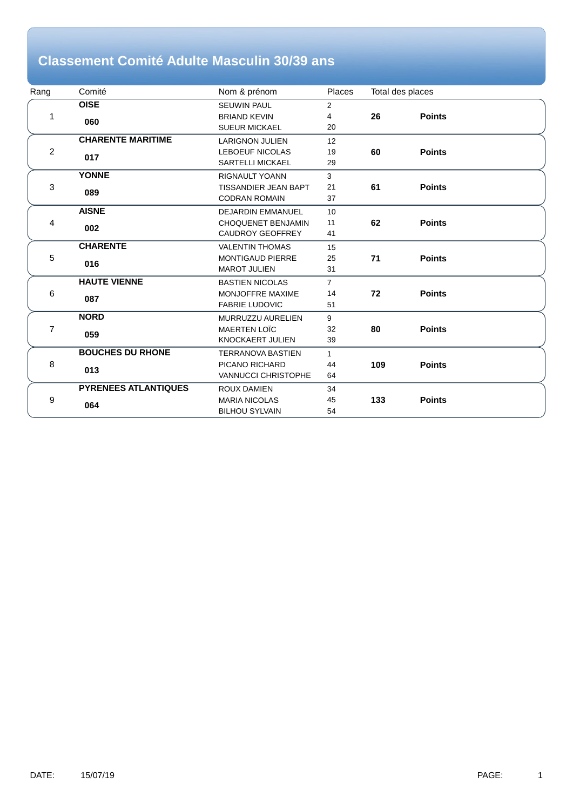## **Classement Comité Adulte Masculin 30/39 ans**

| Rang           | Comité                      | Nom & prénom                | Places         | Total des places |               |
|----------------|-----------------------------|-----------------------------|----------------|------------------|---------------|
|                | <b>OISE</b>                 | <b>SEUWIN PAUL</b>          | $\overline{2}$ |                  |               |
|                | 060                         | <b>BRIAND KEVIN</b>         | 4              | 26               | <b>Points</b> |
|                |                             | <b>SUEUR MICKAEL</b>        | 20             |                  |               |
|                | <b>CHARENTE MARITIME</b>    | <b>LARIGNON JULIEN</b>      | 12             |                  |               |
| $\overline{c}$ | 017                         | <b>LEBOEUF NICOLAS</b>      | 19             | 60               | <b>Points</b> |
|                |                             | <b>SARTELLI MICKAEL</b>     | 29             |                  |               |
|                | <b>YONNE</b>                | <b>RIGNAULT YOANN</b>       | 3              |                  |               |
| 3              | 089                         | <b>TISSANDIER JEAN BAPT</b> | 21             | 61               | <b>Points</b> |
|                |                             | <b>CODRAN ROMAIN</b>        | 37             |                  |               |
|                | <b>AISNE</b>                | <b>DEJARDIN EMMANUEL</b>    | 10             |                  |               |
| 4              | 002                         | <b>CHOQUENET BENJAMIN</b>   | 11             | 62               | <b>Points</b> |
|                |                             | <b>CAUDROY GEOFFREY</b>     | 41             |                  |               |
|                | <b>CHARENTE</b>             | <b>VALENTIN THOMAS</b>      | 15             |                  |               |
| 5              | 016                         | <b>MONTIGAUD PIERRE</b>     | 25             | 71               | <b>Points</b> |
|                |                             | <b>MAROT JULIEN</b>         | 31             |                  |               |
|                | <b>HAUTE VIENNE</b>         | <b>BASTIEN NICOLAS</b>      | $\overline{7}$ |                  |               |
| 6              | 087                         | MONJOFFRE MAXIME            | 14             | 72               | <b>Points</b> |
|                |                             | <b>FABRIE LUDOVIC</b>       | 51             |                  |               |
|                | <b>NORD</b>                 | MURRUZZU AURELIEN           | 9              |                  |               |
| 7              | 059                         | <b>MAERTEN LOÏC</b>         | 32             | 80               | <b>Points</b> |
|                |                             | KNOCKAERT JULIEN            | 39             |                  |               |
|                | <b>BOUCHES DU RHONE</b>     | <b>TERRANOVA BASTIEN</b>    | $\mathbf{1}$   |                  |               |
| 8              | 013                         | PICANO RICHARD              | 44             | 109              | <b>Points</b> |
|                |                             | <b>VANNUCCI CHRISTOPHE</b>  | 64             |                  |               |
|                | <b>PYRENEES ATLANTIQUES</b> | <b>ROUX DAMIEN</b>          | 34             |                  |               |
| 9              | 064                         | <b>MARIA NICOLAS</b>        | 45             | 133              | <b>Points</b> |
|                |                             | <b>BILHOU SYLVAIN</b>       | 54             |                  |               |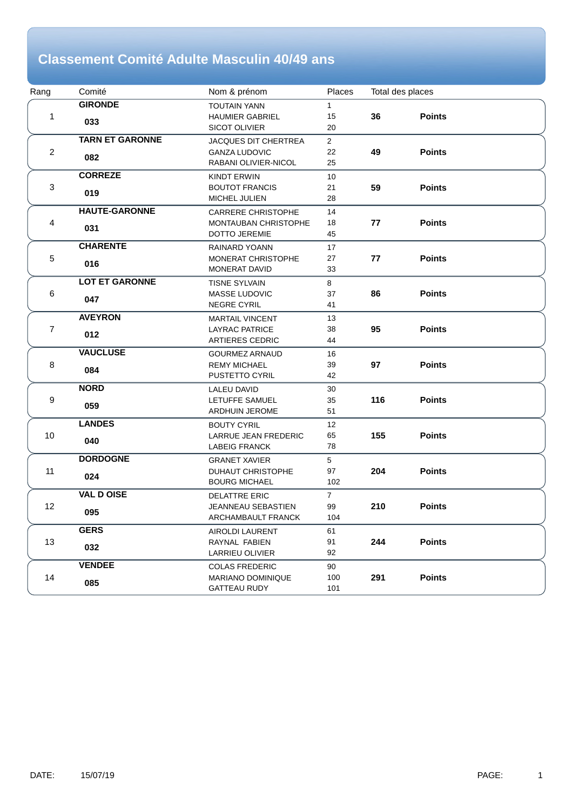#### **Classement Comité Adulte Masculin 40/49 ans**

| Rang           | Comité                 | Nom & prénom                                    | Places         |     | Total des places |  |
|----------------|------------------------|-------------------------------------------------|----------------|-----|------------------|--|
|                | <b>GIRONDE</b>         | <b>TOUTAIN YANN</b>                             | $\mathbf{1}$   |     |                  |  |
| 1              | 033                    | <b>HAUMIER GABRIEL</b>                          | 15             | 36  | <b>Points</b>    |  |
|                |                        | <b>SICOT OLIVIER</b>                            | 20             |     |                  |  |
|                | <b>TARN ET GARONNE</b> | <b>JACQUES DIT CHERTREA</b>                     | $\overline{2}$ |     |                  |  |
| $\overline{2}$ | 082                    | <b>GANZA LUDOVIC</b><br>RABANI OLIVIER-NICOL    | 22<br>25       | 49  | <b>Points</b>    |  |
|                | <b>CORREZE</b>         |                                                 | 10             |     |                  |  |
| 3              |                        | <b>KINDT ERWIN</b><br><b>BOUTOT FRANCIS</b>     | 21             | 59  | <b>Points</b>    |  |
|                | 019                    | MICHEL JULIEN                                   | 28             |     |                  |  |
|                | <b>HAUTE-GARONNE</b>   | <b>CARRERE CHRISTOPHE</b>                       | 14             |     |                  |  |
| 4              |                        | MONTAUBAN CHRISTOPHE                            | 18             | 77  | <b>Points</b>    |  |
|                | 031                    | DOTTO JEREMIE                                   | 45             |     |                  |  |
|                | <b>CHARENTE</b>        | <b>RAINARD YOANN</b>                            | 17             |     |                  |  |
| 5              | 016                    | MONERAT CHRISTOPHE                              | 27             | 77  | <b>Points</b>    |  |
|                |                        | <b>MONERAT DAVID</b>                            | 33             |     |                  |  |
|                | <b>LOT ET GARONNE</b>  | <b>TISNE SYLVAIN</b>                            | $\bf 8$        |     |                  |  |
| 6              | 047                    | MASSE LUDOVIC                                   | 37             | 86  | <b>Points</b>    |  |
|                |                        | <b>NEGRE CYRIL</b>                              | 41             |     |                  |  |
|                | <b>AVEYRON</b>         | <b>MARTAIL VINCENT</b>                          | 13             |     |                  |  |
| $\overline{7}$ | 012                    | <b>LAYRAC PATRICE</b>                           | 38             | 95  | <b>Points</b>    |  |
|                | <b>VAUCLUSE</b>        | <b>ARTIERES CEDRIC</b>                          | 44             |     |                  |  |
|                |                        | <b>GOURMEZ ARNAUD</b>                           | 16             |     | <b>Points</b>    |  |
| 8              | 084                    | <b>REMY MICHAEL</b><br>PUSTETTO CYRIL           | 39<br>42       | 97  |                  |  |
|                | <b>NORD</b>            | <b>LALEU DAVID</b>                              | 30             |     |                  |  |
| 9              |                        | LETUFFE SAMUEL                                  | 35             | 116 | <b>Points</b>    |  |
|                | 059                    | <b>ARDHUIN JEROME</b>                           | 51             |     |                  |  |
|                | <b>LANDES</b>          | <b>BOUTY CYRIL</b>                              | 12             |     |                  |  |
| 10             |                        | LARRUE JEAN FREDERIC                            | 65             | 155 | <b>Points</b>    |  |
|                | 040                    | <b>LABEIG FRANCK</b>                            | 78             |     |                  |  |
|                | <b>DORDOGNE</b>        | <b>GRANET XAVIER</b>                            | 5              |     |                  |  |
| 11             | 024                    | <b>DUHAUT CHRISTOPHE</b>                        | 97             | 204 | <b>Points</b>    |  |
|                |                        | <b>BOURG MICHAEL</b>                            | 102            |     |                  |  |
|                | <b>VAL D OISE</b>      | <b>DELATTRE ERIC</b>                            | $\overline{7}$ |     |                  |  |
| 12             | 095                    | <b>JEANNEAU SEBASTIEN</b>                       | 99             | 210 | <b>Points</b>    |  |
|                |                        | ARCHAMBAULT FRANCK                              | 104            |     |                  |  |
|                | <b>GERS</b>            | <b>AIROLDI LAURENT</b>                          | 61             |     |                  |  |
| 13             | 032                    | RAYNAL FABIEN                                   | 91             | 244 | <b>Points</b>    |  |
|                |                        | <b>LARRIEU OLIVIER</b>                          | 92             |     |                  |  |
|                | <b>VENDEE</b>          | <b>COLAS FREDERIC</b>                           | 90             |     |                  |  |
| 14             | 085                    | <b>MARIANO DOMINIQUE</b><br><b>GATTEAU RUDY</b> | 100<br>101     | 291 | <b>Points</b>    |  |
|                |                        |                                                 |                |     |                  |  |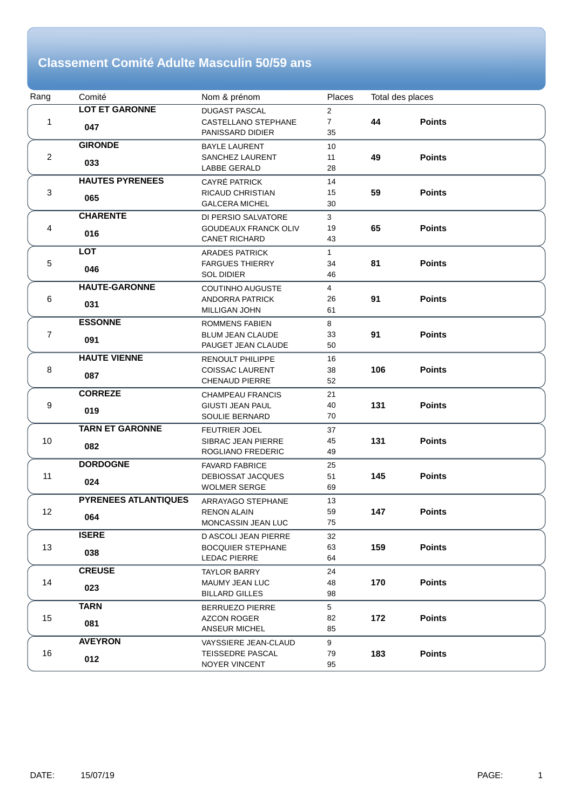#### **Classement Comité Adulte Masculin 50/59 ans**

| Rang           | Comité                      | Nom & prénom                | Places         | Total des places |               |  |
|----------------|-----------------------------|-----------------------------|----------------|------------------|---------------|--|
|                | <b>LOT ET GARONNE</b>       | <b>DUGAST PASCAL</b>        | $\overline{2}$ |                  |               |  |
| 1              | 047                         | CASTELLANO STEPHANE         | $\overline{7}$ | 44               | <b>Points</b> |  |
|                |                             | PANISSARD DIDIER            | 35             |                  |               |  |
|                | <b>GIRONDE</b>              | <b>BAYLE LAURENT</b>        | 10             |                  |               |  |
| $\overline{2}$ | 033                         | <b>SANCHEZ LAURENT</b>      | 11             | 49               | <b>Points</b> |  |
|                |                             | LABBE GERALD                | 28             |                  |               |  |
|                | <b>HAUTES PYRENEES</b>      | CAYRÉ PATRICK               | 14             |                  |               |  |
| 3              | 065                         | <b>RICAUD CHRISTIAN</b>     | 15             | 59               | <b>Points</b> |  |
|                |                             | <b>GALCERA MICHEL</b>       | 30             |                  |               |  |
|                | <b>CHARENTE</b>             | DI PERSIO SALVATORE         | 3              |                  |               |  |
| 4              | 016                         | <b>GOUDEAUX FRANCK OLIV</b> | 19             | 65               | <b>Points</b> |  |
|                |                             | <b>CANET RICHARD</b>        | 43             |                  |               |  |
|                | <b>LOT</b>                  | <b>ARADES PATRICK</b>       | $\mathbf{1}$   |                  |               |  |
| 5              | 046                         | <b>FARGUES THIERRY</b>      | 34             | 81               | <b>Points</b> |  |
|                |                             | <b>SOL DIDIER</b>           | 46             |                  |               |  |
|                | <b>HAUTE-GARONNE</b>        | <b>COUTINHO AUGUSTE</b>     | $\overline{4}$ |                  |               |  |
| 6              | 031                         | ANDORRA PATRICK             | 26             | 91               | <b>Points</b> |  |
|                |                             | MILLIGAN JOHN               | 61             |                  |               |  |
|                | <b>ESSONNE</b>              | <b>ROMMENS FABIEN</b>       | 8              |                  |               |  |
| $\overline{7}$ | 091                         | <b>BLUM JEAN CLAUDE</b>     | 33             | 91               | <b>Points</b> |  |
|                |                             | PAUGET JEAN CLAUDE          | 50             |                  |               |  |
|                | <b>HAUTE VIENNE</b>         | <b>RENOULT PHILIPPE</b>     | 16             |                  |               |  |
| 8              | 087                         | <b>COISSAC LAURENT</b>      | 38             | 106              | <b>Points</b> |  |
|                |                             | <b>CHENAUD PIERRE</b>       | 52             |                  |               |  |
|                | <b>CORREZE</b>              | <b>CHAMPEAU FRANCIS</b>     | 21             |                  |               |  |
| 9              | 019                         | <b>GIUSTI JEAN PAUL</b>     | 40             | 131              | <b>Points</b> |  |
|                |                             | <b>SOULIE BERNARD</b>       | 70             |                  |               |  |
|                | <b>TARN ET GARONNE</b>      | <b>FEUTRIER JOEL</b>        | 37             |                  |               |  |
| 10             | 082                         | SIBRAC JEAN PIERRE          | 45             | 131              | <b>Points</b> |  |
|                |                             | ROGLIANO FREDERIC           | 49             |                  |               |  |
|                | <b>DORDOGNE</b>             | <b>FAVARD FABRICE</b>       | 25             |                  |               |  |
| 11             | 024                         | DEBIOSSAT JACQUES           | 51             | 145              | <b>Points</b> |  |
|                |                             | <b>WOLMER SERGE</b>         | 69             |                  |               |  |
|                | <b>PYRENEES ATLANTIQUES</b> | <b>ARRAYAGO STEPHANE</b>    | 13             |                  |               |  |
| 12             | 064                         | <b>RENON ALAIN</b>          | 59             | 147              | <b>Points</b> |  |
|                |                             | MONCASSIN JEAN LUC          | 75             |                  |               |  |
|                | <b>ISERE</b>                | D ASCOLI JEAN PIERRE        | 32             |                  |               |  |
| 13             | 038                         | <b>BOCQUIER STEPHANE</b>    | 63             | 159              | <b>Points</b> |  |
|                |                             | <b>LEDAC PIERRE</b>         | 64             |                  |               |  |
|                | <b>CREUSE</b>               | <b>TAYLOR BARRY</b>         | 24             |                  |               |  |
| 14             | 023                         | MAUMY JEAN LUC              | 48             | 170              | <b>Points</b> |  |
|                |                             | <b>BILLARD GILLES</b>       | 98             |                  |               |  |
|                | <b>TARN</b>                 | <b>BERRUEZO PIERRE</b>      | 5              |                  |               |  |
| 15             |                             | AZCON ROGER                 | 82             | 172              | <b>Points</b> |  |
|                | 081                         | <b>ANSEUR MICHEL</b>        | 85             |                  |               |  |
|                | <b>AVEYRON</b>              | VAYSSIERE JEAN-CLAUD        | 9              |                  |               |  |
| 16             |                             | TEISSEDRE PASCAL            | 79             | 183              | <b>Points</b> |  |
|                | 012                         | NOYER VINCENT               | 95             |                  |               |  |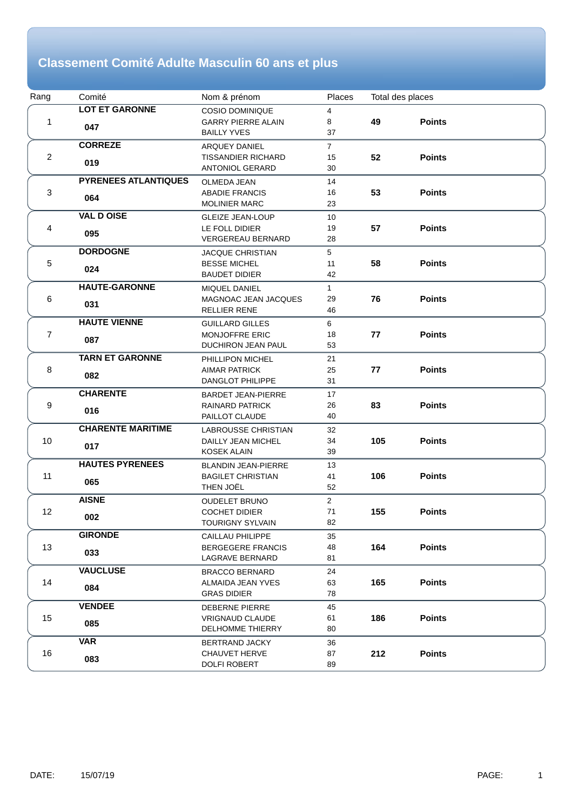## **Classement Comité Adulte Masculin 60 ans et plus**

| Rang           | Comité                      | Nom & prénom                                | Places         | Total des places |               |  |
|----------------|-----------------------------|---------------------------------------------|----------------|------------------|---------------|--|
| 1              | <b>LOT ET GARONNE</b>       | COSIO DOMINIQUE                             | 4              |                  |               |  |
|                | 047                         | <b>GARRY PIERRE ALAIN</b>                   | 8              | 49               | <b>Points</b> |  |
|                |                             | <b>BAILLY YVES</b>                          | 37             |                  |               |  |
| $\overline{2}$ | <b>CORREZE</b>              | <b>ARQUEY DANIEL</b>                        | $\overline{7}$ |                  |               |  |
|                | 019                         | <b>TISSANDIER RICHARD</b>                   | 15             | 52               | <b>Points</b> |  |
|                |                             | <b>ANTONIOL GERARD</b>                      | 30             |                  |               |  |
|                | <b>PYRENEES ATLANTIQUES</b> | <b>OLMEDA JEAN</b>                          | 14             |                  |               |  |
| 3              |                             | <b>ABADIE FRANCIS</b>                       | 16             | 53               | <b>Points</b> |  |
|                | 064                         | <b>MOLINIER MARC</b>                        | 23             |                  |               |  |
|                | <b>VAL D OISE</b>           | <b>GLEIZE JEAN-LOUP</b>                     | 10             |                  |               |  |
| 4              |                             | LE FOLL DIDIER                              | 19             | 57               | <b>Points</b> |  |
|                | 095                         | <b>VERGEREAU BERNARD</b>                    | 28             |                  |               |  |
|                | <b>DORDOGNE</b>             | <b>JACQUE CHRISTIAN</b>                     | 5              |                  |               |  |
| 5              |                             | <b>BESSE MICHEL</b>                         | 11             | 58               | <b>Points</b> |  |
|                | 024                         | <b>BAUDET DIDIER</b>                        | 42             |                  |               |  |
|                | <b>HAUTE-GARONNE</b>        | MIQUEL DANIEL                               | $\mathbf{1}$   |                  |               |  |
| 6              |                             | MAGNOAC JEAN JACQUES                        | 29             | 76               | <b>Points</b> |  |
|                | 031                         | <b>RELLIER RENE</b>                         | 46             |                  |               |  |
|                | <b>HAUTE VIENNE</b>         | <b>GUILLARD GILLES</b>                      | 6              |                  |               |  |
| $\overline{7}$ |                             | <b>MONJOFFRE ERIC</b>                       | 18             | 77               | <b>Points</b> |  |
|                | 087                         | DUCHIRON JEAN PAUL                          | 53             |                  |               |  |
|                | <b>TARN ET GARONNE</b>      | PHILLIPON MICHEL                            | 21             |                  |               |  |
| 8              |                             | <b>AIMAR PATRICK</b>                        | 25             | 77               | <b>Points</b> |  |
|                | 082                         | <b>DANGLOT PHILIPPE</b>                     | 31             |                  |               |  |
|                | <b>CHARENTE</b>             | <b>BARDET JEAN-PIERRE</b>                   | 17             |                  |               |  |
| 9              |                             | <b>RAINARD PATRICK</b>                      | 26             | 83               | <b>Points</b> |  |
|                | 016                         | PAILLOT CLAUDE                              | 40             |                  |               |  |
|                | <b>CHARENTE MARITIME</b>    | LABROUSSE CHRISTIAN                         | 32             |                  |               |  |
| 10             |                             | DAILLY JEAN MICHEL                          | 34             | 105              | <b>Points</b> |  |
|                | 017                         | <b>KOSEK ALAIN</b>                          | 39             |                  |               |  |
|                | <b>HAUTES PYRENEES</b>      | <b>BLANDIN JEAN-PIERRE</b>                  | 13             |                  |               |  |
| 11             |                             | <b>BAGILET CHRISTIAN</b>                    | 41             | 106              | <b>Points</b> |  |
|                | 065                         | THEN JOËL                                   | 52             |                  |               |  |
|                | <b>AISNE</b>                | <b>OUDELET BRUNO</b>                        | $\overline{2}$ |                  |               |  |
| 12             |                             | <b>COCHET DIDIER</b>                        | 71             | 155              | <b>Points</b> |  |
|                | 002                         | TOURIGNY SYLVAIN                            | 82             |                  |               |  |
|                | <b>GIRONDE</b>              | <b>CAILLAU PHILIPPE</b>                     | 35             |                  |               |  |
| 13             |                             | <b>BERGEGERE FRANCIS</b>                    | 48             | 164              | <b>Points</b> |  |
|                | 033                         | LAGRAVE BERNARD                             | 81             |                  |               |  |
|                | <b>VAUCLUSE</b>             | <b>BRACCO BERNARD</b>                       | 24             |                  |               |  |
| 14             |                             | ALMAIDA JEAN YVES                           | 63             | 165              | <b>Points</b> |  |
|                | 084                         | <b>GRAS DIDIER</b>                          | 78             |                  |               |  |
|                | <b>VENDEE</b>               | DEBERNE PIERRE                              | 45             |                  |               |  |
| 15             |                             | <b>VRIGNAUD CLAUDE</b>                      | 61             | 186              | <b>Points</b> |  |
|                | 085                         | DELHOMME THIERRY                            | 80             |                  |               |  |
|                | <b>VAR</b>                  |                                             |                |                  |               |  |
| 16             |                             | <b>BERTRAND JACKY</b>                       | 36<br>87       | 212              | <b>Points</b> |  |
|                | 083                         | <b>CHAUVET HERVE</b><br><b>DOLFI ROBERT</b> | 89             |                  |               |  |
|                |                             |                                             |                |                  |               |  |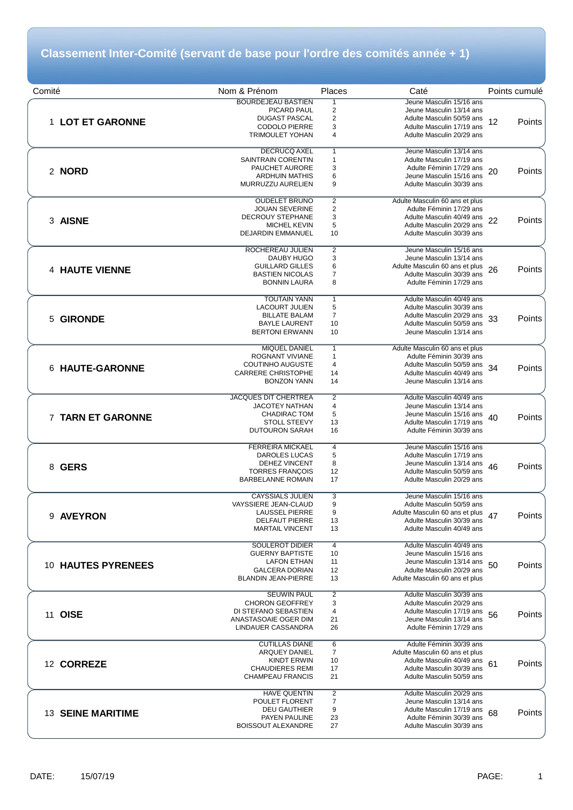## **Classement Inter-Comité (servant de base pour l'ordre des comités année + 1)**

| Comité                   | Nom & Prénom                                   | Places              | Caté                                                        | Points cumulé |
|--------------------------|------------------------------------------------|---------------------|-------------------------------------------------------------|---------------|
|                          | <b>BOURDEJEAU BASTIEN</b>                      | 1                   | Jeune Masculin 15/16 ans                                    |               |
|                          | PICARD PAUL                                    | $\overline{2}$      | Jeune Masculin 13/14 ans                                    |               |
| 1 LOT ET GARONNE         | <b>DUGAST PASCAL</b>                           | 2                   | Adulte Masculin 50/59 ans                                   | 12<br>Points  |
|                          | <b>CODOLO PIERRE</b>                           | 3                   | Adulte Masculin 17/19 ans                                   |               |
|                          | <b>TRIMOULET YOHAN</b>                         | 4                   | Adulte Masculin 20/29 ans                                   |               |
|                          | DECRUCQ AXEL                                   | $\mathbf{1}$        | Jeune Masculin 13/14 ans                                    |               |
|                          | <b>SAINTRAIN CORENTIN</b>                      | $\mathbf{1}$        | Adulte Masculin 17/19 ans                                   |               |
| 2 NORD                   | PAUCHET AURORE                                 | 3                   | Adulte Féminin 17/29 ans                                    | 20<br>Points  |
|                          | <b>ARDHUIN MATHIS</b><br>MURRUZZU AURELIEN     | 6<br>9              | Jeune Masculin 15/16 ans<br>Adulte Masculin 30/39 ans       |               |
|                          |                                                |                     |                                                             |               |
|                          | <b>OUDELET BRUNO</b>                           | $\overline{2}$      | Adulte Masculin 60 ans et plus                              |               |
|                          | <b>JOUAN SEVERINE</b>                          | $\overline{c}$      | Adulte Féminin 17/29 ans                                    |               |
| 3 AISNE                  | <b>DECROUY STEPHANE</b><br><b>MICHEL KEVIN</b> | 3<br>5              | Adulte Masculin 40/49 ans<br>Adulte Masculin 20/29 ans      | 22<br>Points  |
|                          | <b>DEJARDIN EMMANUEL</b>                       | 10                  | Adulte Masculin 30/39 ans                                   |               |
|                          |                                                |                     |                                                             |               |
|                          | ROCHEREAU JULIEN                               | $\overline{2}$      | Jeune Masculin 15/16 ans                                    |               |
|                          | DAUBY HUGO<br><b>GUILLARD GILLES</b>           | 3<br>6              | Jeune Masculin 13/14 ans<br>Adulte Masculin 60 ans et plus  |               |
| <b>4 HAUTE VIENNE</b>    | <b>BASTIEN NICOLAS</b>                         | 7                   | Adulte Masculin 30/39 ans                                   | 26<br>Points  |
|                          | <b>BONNIN LAURA</b>                            | 8                   | Adulte Féminin 17/29 ans                                    |               |
|                          |                                                |                     |                                                             |               |
|                          | <b>TOUTAIN YANN</b><br><b>LACOURT JULIEN</b>   | $\overline{1}$<br>5 | Adulte Masculin 40/49 ans<br>Adulte Masculin 30/39 ans      |               |
|                          | <b>BILLATE BALAM</b>                           | $\overline{7}$      | Adulte Masculin 20/29 ans                                   |               |
| 5 GIRONDE                | <b>BAYLE LAURENT</b>                           | 10                  | Adulte Masculin 50/59 ans                                   | 33<br>Points  |
|                          | <b>BERTONI ERWANN</b>                          | 10                  | Jeune Masculin 13/14 ans                                    |               |
|                          | <b>MIQUEL DANIEL</b>                           | $\overline{1}$      | Adulte Masculin 60 ans et plus                              |               |
|                          | <b>ROGNANT VIVIANE</b>                         | 1                   | Adulte Féminin 30/39 ans                                    |               |
| 6 HAUTE-GARONNE          | <b>COUTINHO AUGUSTE</b>                        | 4                   | Adulte Masculin 50/59 ans                                   | 34<br>Points  |
|                          | <b>CARRERE CHRISTOPHE</b>                      | 14                  | Adulte Masculin 40/49 ans                                   |               |
|                          | <b>BONZON YANN</b>                             | 14                  | Jeune Masculin 13/14 ans                                    |               |
|                          | <b>JACQUES DIT CHERTREA</b>                    | $\overline{2}$      | Adulte Masculin 40/49 ans                                   |               |
|                          | <b>JACOTEY NATHAN</b>                          | 4                   | Jeune Masculin 13/14 ans                                    |               |
| 7 TARN ET GARONNE        | CHADIRAC TOM                                   | 5                   | Jeune Masculin 15/16 ans                                    | 40<br>Points  |
|                          | <b>STOLL STEEVY</b><br><b>DUTOURON SARAH</b>   | 13<br>16            | Adulte Masculin 17/19 ans<br>Adulte Féminin 30/39 ans       |               |
|                          |                                                |                     |                                                             |               |
|                          | <b>FERREIRA MICKAEL</b>                        | $\overline{4}$      | Jeune Masculin 15/16 ans                                    |               |
|                          | DAROLES LUCAS                                  | 5                   | Adulte Masculin 17/19 ans                                   |               |
| 8 GERS                   | DEHEZ VINCENT<br><b>TORRES FRANÇOIS</b>        | 8<br>12             | Jeune Masculin 13/14 ans<br>Adulte Masculin 50/59 ans       | 46<br>Points  |
|                          | <b>BARBELANNE ROMAIN</b>                       | 17                  | Adulte Masculin 20/29 ans                                   |               |
|                          |                                                |                     |                                                             |               |
|                          | <b>CAYSSIALS JULIEN</b>                        | 3                   | Jeune Masculin 15/16 ans                                    |               |
|                          | VAYSSIERE JEAN-CLAUD<br><b>LAUSSEL PIERRE</b>  | 9<br>9              | Adulte Masculin 50/59 ans                                   |               |
| 9 AVEYRON                | <b>DELFAUT PIERRE</b>                          | 13                  | Adulte Masculin 60 ans et plus<br>Adulte Masculin 30/39 ans | 47<br>Points  |
|                          | <b>MARTAIL VINCENT</b>                         | 13                  | Adulte Masculin 40/49 ans                                   |               |
|                          | <b>SOULEROT DIDIER</b>                         |                     | Adulte Masculin 40/49 ans                                   |               |
|                          | <b>GUERNY BAPTISTE</b>                         | 4<br>10             | Jeune Masculin 15/16 ans                                    |               |
| 10 HAUTES PYRENEES       | <b>LAFON ETHAN</b>                             | 11                  | Jeune Masculin 13/14 ans                                    | 50<br>Points  |
|                          | <b>GALCERA DORIAN</b>                          | 12                  | Adulte Masculin 20/29 ans                                   |               |
|                          | <b>BLANDIN JEAN-PIERRE</b>                     | 13                  | Adulte Masculin 60 ans et plus                              |               |
|                          | <b>SEUWIN PAUL</b>                             | $\overline{2}$      | Adulte Masculin 30/39 ans                                   |               |
|                          | <b>CHORON GEOFFREY</b>                         | 3                   | Adulte Masculin 20/29 ans                                   |               |
| 11 OISE                  | DI STEFANO SEBASTIEN                           | 4                   | Adulte Masculin 17/19 ans                                   | 56<br>Points  |
|                          | ANASTASOAIE OGER DIM<br>LINDAUER CASSANDRA     | 21                  | Jeune Masculin 13/14 ans                                    |               |
|                          |                                                | 26                  | Adulte Féminin 17/29 ans                                    |               |
|                          | <b>CUTILLAS DIANE</b>                          | 6                   | Adulte Féminin 30/39 ans                                    |               |
|                          | ARQUEY DANIEL                                  | 7                   | Adulte Masculin 60 ans et plus                              |               |
| 12 CORREZE               | <b>KINDT ERWIN</b><br><b>CHAUDIERES REMI</b>   | 10<br>17            | Adulte Masculin 40/49 ans<br>Adulte Masculin 30/39 ans      | 61<br>Points  |
|                          | <b>CHAMPEAU FRANCIS</b>                        | 21                  | Adulte Masculin 50/59 ans                                   |               |
|                          |                                                |                     |                                                             |               |
|                          | <b>HAVE QUENTIN</b>                            | $\overline{2}$      | Adulte Masculin 20/29 ans                                   |               |
|                          | POULET FLORENT<br><b>DEU GAUTHIER</b>          | $\overline{7}$<br>9 | Jeune Masculin 13/14 ans<br>Adulte Masculin 17/19 ans       |               |
| <b>13 SEINE MARITIME</b> | PAYEN PAULINE                                  | 23                  | Adulte Féminin 30/39 ans                                    | 68<br>Points  |
|                          | <b>BOISSOUT ALEXANDRE</b>                      | 27                  | Adulte Masculin 30/39 ans                                   |               |
|                          |                                                |                     |                                                             |               |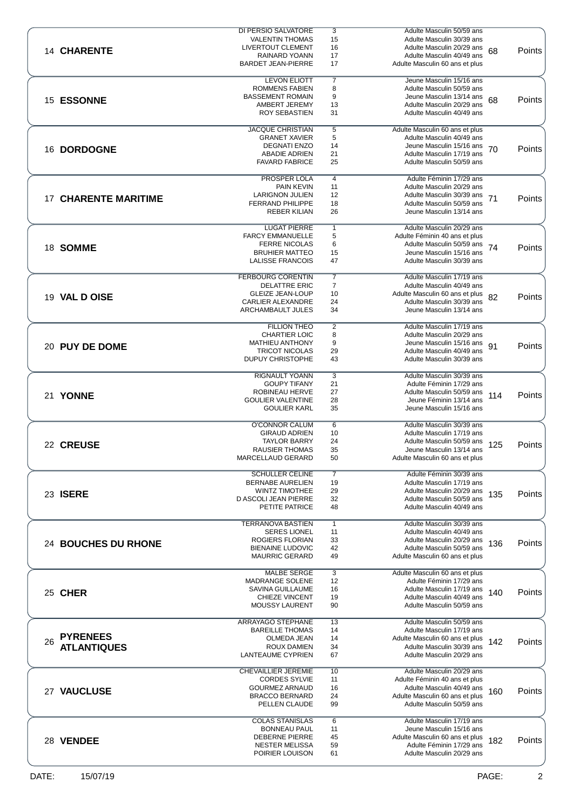|                             | <b>DI PERSIO SALVATORE</b>                      | 3                   | Adulte Masculin 50/59 ans                                   |        |
|-----------------------------|-------------------------------------------------|---------------------|-------------------------------------------------------------|--------|
|                             | <b>VALENTIN THOMAS</b>                          | 15                  | Adulte Masculin 30/39 ans                                   |        |
| 14 CHARENTE                 | LIVERTOUT CLEMENT                               | 16                  | Adulte Masculin 20/29 ans<br>68                             | Points |
|                             | RAINARD YOANN                                   | 17                  | Adulte Masculin 40/49 ans                                   |        |
|                             | <b>BARDET JEAN-PIERRE</b>                       | 17                  | Adulte Masculin 60 ans et plus                              |        |
|                             | <b>LEVON ELIOTT</b>                             | $\overline{7}$      | Jeune Masculin 15/16 ans                                    |        |
|                             | <b>ROMMENS FABIEN</b>                           | 8                   | Adulte Masculin 50/59 ans                                   |        |
|                             | <b>BASSEMENT ROMAIN</b>                         | 9                   | Jeune Masculin 13/14 ans                                    |        |
| 15 ESSONNE                  | AMBERT JEREMY                                   | 13                  | 68<br>Adulte Masculin 20/29 ans                             | Points |
|                             | <b>ROY SEBASTIEN</b>                            | 31                  | Adulte Masculin 40/49 ans                                   |        |
|                             |                                                 |                     |                                                             |        |
|                             | <b>JACQUE CHRISTIAN</b>                         | 5                   | Adulte Masculin 60 ans et plus                              |        |
|                             | <b>GRANET XAVIER</b>                            | 5                   | Adulte Masculin 40/49 ans                                   |        |
| 16 DORDOGNE                 | <b>DEGNATI ENZO</b>                             | 14                  | Jeune Masculin 15/16 ans<br>70                              | Points |
|                             | <b>ABADIE ADRIEN</b>                            | 21                  | Adulte Masculin 17/19 ans                                   |        |
|                             | <b>FAVARD FABRICE</b>                           | 25                  | Adulte Masculin 50/59 ans                                   |        |
|                             | <b>PROSPER LOLA</b>                             | $\overline{4}$      | Adulte Féminin 17/29 ans                                    |        |
|                             | <b>PAIN KEVIN</b>                               | 11                  | Adulte Masculin 20/29 ans                                   |        |
|                             | <b>LARIGNON JULIEN</b>                          | 12                  | Adulte Masculin 30/39 ans<br>71                             |        |
| <b>17 CHARENTE MARITIME</b> | <b>FERRAND PHILIPPE</b>                         | 18                  | Adulte Masculin 50/59 ans                                   | Points |
|                             | <b>REBER KILIAN</b>                             | 26                  | Jeune Masculin 13/14 ans                                    |        |
|                             |                                                 |                     |                                                             |        |
|                             | <b>LUGAT PIERRE</b>                             | $\mathbf{1}$        | Adulte Masculin 20/29 ans                                   |        |
|                             | <b>FARCY EMMANUELLE</b>                         | 5                   | Adulte Féminin 40 ans et plus                               |        |
| 18 SOMME                    | <b>FERRE NICOLAS</b><br><b>BRUHIER MATTEO</b>   | 6                   | Adulte Masculin 50/59 ans<br>74<br>Jeune Masculin 15/16 ans | Points |
|                             | <b>LALISSE FRANCOIS</b>                         | 15<br>47            | Adulte Masculin 30/39 ans                                   |        |
|                             |                                                 |                     |                                                             |        |
|                             | <b>FERBOURG CORENTIN</b>                        | $\overline{7}$      | Adulte Masculin 17/19 ans                                   |        |
|                             | <b>DELATTRE ERIC</b>                            | $\overline{7}$      | Adulte Masculin 40/49 ans                                   |        |
| 19 VAL D OISE               | <b>GLEIZE JEAN-LOUP</b>                         | 10                  | Adulte Masculin 60 ans et plus<br>82                        | Points |
|                             | <b>CARLIER ALEXANDRE</b>                        | 24                  | Adulte Masculin 30/39 ans                                   |        |
|                             | ARCHAMBAULT JULES                               | 34                  | Jeune Masculin 13/14 ans                                    |        |
|                             |                                                 |                     |                                                             |        |
|                             | <b>FILLION THEO</b><br><b>CHARTIER LOIC</b>     | $\overline{2}$<br>8 | Adulte Masculin 17/19 ans<br>Adulte Masculin 20/29 ans      |        |
|                             | MATHIEU ANTHONY                                 | 9                   | Jeune Masculin 15/16 ans                                    |        |
| 20 PUY DE DOME              | <b>TRICOT NICOLAS</b>                           | 29                  | 91<br>Adulte Masculin 40/49 ans                             | Points |
|                             | <b>DUPUY CHRISTOPHE</b>                         | 43                  | Adulte Masculin 30/39 ans                                   |        |
|                             |                                                 |                     |                                                             |        |
|                             | RIGNAULT YOANN                                  | 3                   | Adulte Masculin 30/39 ans                                   |        |
|                             | <b>GOUPY TIFANY</b>                             | 21                  | Adulte Féminin 17/29 ans                                    |        |
| 21 YONNE                    | ROBINEAU HERVE                                  | 27                  | Adulte Masculin 50/59 ans<br>114                            | Points |
|                             | <b>GOULIER VALENTINE</b><br><b>GOULIER KARL</b> | 28<br>35            | Jeune Féminin 13/14 ans<br>Jeune Masculin 15/16 ans         |        |
|                             |                                                 |                     |                                                             |        |
|                             | O'CONNOR CALUM                                  | 6                   | Adulte Masculin 30/39 ans                                   |        |
|                             | <b>GIRAUD ADRIEN</b>                            | 10                  | Adulte Masculin 17/19 ans                                   |        |
| 22 CREUSE                   | <b>TAYLOR BARRY</b>                             | 24                  | Adulte Masculin 50/59 ans<br>125                            | Points |
|                             | <b>RAUSIER THOMAS</b>                           | 35                  | Jeune Masculin 13/14 ans                                    |        |
|                             | MARCELLAUD GERARD                               | 50                  | Adulte Masculin 60 ans et plus                              |        |
|                             | <b>SCHULLER CELINE</b>                          | $\overline{7}$      | Adulte Féminin 30/39 ans                                    |        |
|                             | <b>BERNABE AURELIEN</b>                         | 19                  | Adulte Masculin 17/19 ans                                   |        |
| 23 ISERE                    | <b>WINTZ TIMOTHEE</b>                           | 29                  | Adulte Masculin 20/29 ans<br>135                            | Points |
|                             | D ASCOLI JEAN PIERRE                            | 32                  | Adulte Masculin 50/59 ans                                   |        |
|                             | PETITE PATRICE                                  | 48                  | Adulte Masculin 40/49 ans                                   |        |
|                             |                                                 |                     |                                                             |        |
|                             | <b>TERRANOVA BASTIEN</b>                        | $\mathbf{1}$        | Adulte Masculin 30/39 ans                                   |        |
|                             | <b>SERES LIONEL</b><br>ROGIERS FLORIAN          | 11<br>33            | Adulte Masculin 40/49 ans<br>Adulte Masculin 20/29 ans      |        |
| 24 BOUCHES DU RHONE         | <b>BIENAINE LUDOVIC</b>                         | 42                  | 136<br>Adulte Masculin 50/59 ans                            | Points |
|                             | <b>MAURRIC GERARD</b>                           | 49                  | Adulte Masculin 60 ans et plus                              |        |
|                             |                                                 |                     |                                                             |        |
|                             | <b>MALBE SERGE</b>                              | $\overline{3}$      | Adulte Masculin 60 ans et plus                              |        |
|                             | <b>MADRANGE SOLENE</b>                          | 12                  | Adulte Féminin 17/29 ans                                    |        |
| 25 CHER                     | SAVINA GUILLAUME                                | 16                  | Adulte Masculin 17/19 ans<br>140                            | Points |
|                             | <b>CHIEZE VINCENT</b>                           | 19                  | Adulte Masculin 40/49 ans                                   |        |
|                             | MOUSSY LAURENT                                  | 90                  | Adulte Masculin 50/59 ans                                   |        |
|                             | ARRAYAGO STEPHANE                               | 13                  | Adulte Masculin 50/59 ans                                   |        |
|                             | <b>BAREILLE THOMAS</b>                          | 14                  | Adulte Masculin 17/19 ans                                   |        |
| <b>PYRENEES</b><br>26       | OLMEDA JEAN                                     | 14                  | Adulte Masculin 60 ans et plus<br>142                       | Points |
| <b>ATLANTIQUES</b>          | ROUX DAMIEN                                     | 34                  | Adulte Masculin 30/39 ans                                   |        |
|                             | LANTEAUME CYPRIEN                               | 67                  | Adulte Masculin 20/29 ans                                   |        |
|                             |                                                 |                     |                                                             |        |
|                             | <b>CHEVAILLIER JEREMIE</b>                      | 10                  | Adulte Masculin 20/29 ans                                   |        |
|                             | <b>CORDES SYLVIE</b><br><b>GOURMEZ ARNAUD</b>   | 11<br>16            | Adulte Féminin 40 ans et plus<br>Adulte Masculin 40/49 ans  |        |
| 27 VAUCLUSE                 | <b>BRACCO BERNARD</b>                           | 24                  | 160<br>Adulte Masculin 60 ans et plus                       | Points |
|                             | PELLEN CLAUDE                                   | 99                  | Adulte Masculin 50/59 ans                                   |        |
|                             |                                                 |                     |                                                             |        |
|                             | <b>COLAS STANISLAS</b>                          | 6                   | Adulte Masculin 17/19 ans                                   |        |
|                             |                                                 |                     |                                                             |        |
|                             | <b>BONNEAU PAUL</b>                             | 11                  | Jeune Masculin 15/16 ans                                    |        |
| 28 VENDEE                   | <b>DEBERNE PIERRE</b>                           | 45                  | Adulte Masculin 60 ans et plus<br>182                       | Points |
|                             | <b>NESTER MELISSA</b><br>POIRIER LOUISON        | 59<br>61            | Adulte Féminin 17/29 ans<br>Adulte Masculin 20/29 ans       |        |